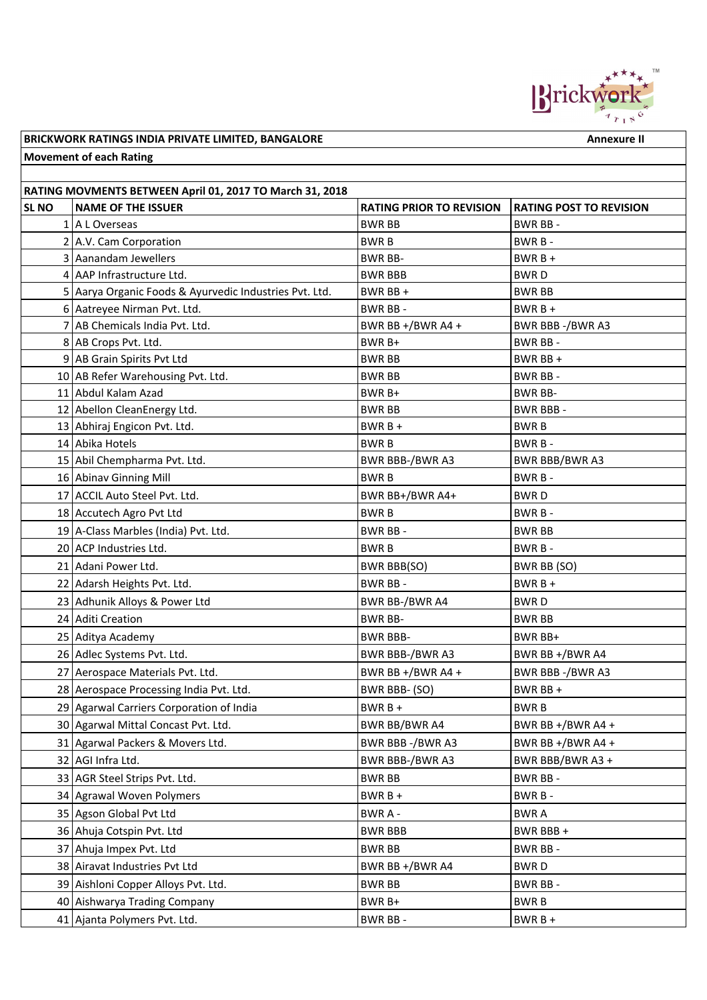

**BRICKWORK RATINGS INDIA PRIVATE LIMITED, BANGALORE Annexure II Annexure II Annexure II** 

## **Movement of each Rating**

## **RATING MOVMENTS BETWEEN April 01, 2017 TO March 31, 2018**

| <b>SL NO</b> | <b>NAME OF THE ISSUER</b>                              | <b>RATING PRIOR TO REVISION</b> | <b>RATING POST TO REVISION</b> |
|--------------|--------------------------------------------------------|---------------------------------|--------------------------------|
|              | $1$   A L Overseas                                     | <b>BWR BB</b>                   | BWR BB-                        |
|              | $2$   A.V. Cam Corporation                             | <b>BWRB</b>                     | BWR B -                        |
|              | 3 Aanandam Jewellers                                   | <b>BWR BB-</b>                  | $BWRB +$                       |
|              | 4 AAP Infrastructure Ltd.                              | <b>BWR BBB</b>                  | <b>BWRD</b>                    |
|              | 5 Aarya Organic Foods & Ayurvedic Industries Pvt. Ltd. | BWR BB+                         | <b>BWR BB</b>                  |
|              | 6 Aatreyee Nirman Pvt. Ltd.                            | BWR BB-                         | $BWRB +$                       |
|              | 7 AB Chemicals India Pvt. Ltd.                         | BWR BB +/BWR A4 +               | BWR BBB-/BWR A3                |
|              | 8 AB Crops Pvt. Ltd.                                   | BWR B+                          | BWR BB -                       |
|              | 9 AB Grain Spirits Pvt Ltd                             | <b>BWR BB</b>                   | BWR BB +                       |
|              | 10 AB Refer Warehousing Pvt. Ltd.                      | <b>BWR BB</b>                   | BWR BB-                        |
|              | 11 Abdul Kalam Azad                                    | BWR B+                          | <b>BWR BB-</b>                 |
|              | 12 Abellon CleanEnergy Ltd.                            | <b>BWR BB</b>                   | <b>BWR BBB-</b>                |
|              | 13 Abhiraj Engicon Pvt. Ltd.                           | $BWRB+$                         | <b>BWRB</b>                    |
|              | 14 Abika Hotels                                        | <b>BWRB</b>                     | BWR B -                        |
|              | 15 Abil Chempharma Pvt. Ltd.                           | BWR BBB-/BWR A3                 | <b>BWR BBB/BWR A3</b>          |
|              | 16 Abinav Ginning Mill                                 | <b>BWRB</b>                     | BWR B-                         |
|              | 17 ACCIL Auto Steel Pvt. Ltd.                          | BWR BB+/BWR A4+                 | <b>BWRD</b>                    |
|              | 18 Accutech Agro Pvt Ltd                               | <b>BWRB</b>                     | BWR B-                         |
|              | 19 A-Class Marbles (India) Pvt. Ltd.                   | BWR BB-                         | <b>BWR BB</b>                  |
|              | 20 ACP Industries Ltd.                                 | <b>BWRB</b>                     | BWR B-                         |
|              | 21 Adani Power Ltd.                                    | BWR BBB(SO)                     | BWR BB (SO)                    |
|              | 22 Adarsh Heights Pvt. Ltd.                            | BWR BB-                         | $BWRB +$                       |
|              | 23 Adhunik Alloys & Power Ltd                          | BWR BB-/BWR A4                  | <b>BWRD</b>                    |
|              | 24 Aditi Creation                                      | <b>BWR BB-</b>                  | <b>BWR BB</b>                  |
|              | 25 Aditya Academy                                      | <b>BWR BBB-</b>                 | BWR BB+                        |
|              | 26 Adlec Systems Pvt. Ltd.                             | BWR BBB-/BWR A3                 | BWR BB +/BWR A4                |
|              | 27 Aerospace Materials Pvt. Ltd.                       | BWR BB $+$ /BWR A4 $+$          | BWR BBB-/BWR A3                |
|              | 28 Aerospace Processing India Pvt. Ltd.                | BWR BBB- (SO)                   | BWR BB +                       |
|              | 29 Agarwal Carriers Corporation of India               | $BWRB+$                         | <b>BWRB</b>                    |
|              | 30 Agarwal Mittal Concast Pvt. Ltd.                    | <b>BWR BB/BWR A4</b>            | BWR BB +/BWR A4 +              |
|              | 31 Agarwal Packers & Movers Ltd.                       | BWR BBB-/BWR A3                 | BWR BB +/BWR A4 +              |
|              | 32 AGI Infra Ltd.                                      | BWR BBB-/BWR A3                 | BWR BBB/BWR A3 +               |
|              | 33 AGR Steel Strips Pvt. Ltd.                          | <b>BWR BB</b>                   | BWR BB-                        |
|              | 34 Agrawal Woven Polymers                              | BWR B +                         | BWR B-                         |
|              | 35 Agson Global Pvt Ltd                                | <b>BWRA-</b>                    | <b>BWRA</b>                    |
|              | 36 Ahuja Cotspin Pvt. Ltd                              | <b>BWR BBB</b>                  | BWR BBB +                      |
|              | 37 Ahuja Impex Pvt. Ltd                                | <b>BWR BB</b>                   | BWR BB-                        |
|              | 38 Airavat Industries Pvt Ltd                          | BWR BB +/BWR A4                 | <b>BWRD</b>                    |
|              | 39 Aishloni Copper Alloys Pvt. Ltd.                    | <b>BWR BB</b>                   | BWR BB-                        |
|              | 40 Aishwarya Trading Company                           | BWR B+                          | <b>BWRB</b>                    |
|              | 41 Ajanta Polymers Pvt. Ltd.                           | BWR BB-                         | BWR B +                        |
|              |                                                        |                                 |                                |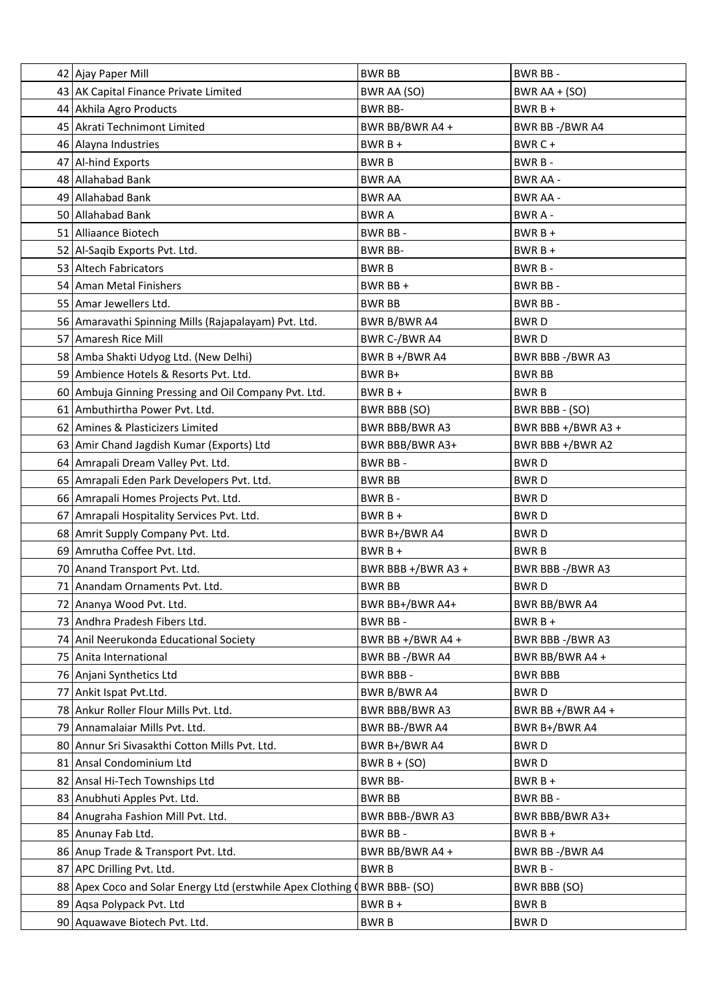| 42 Ajay Paper Mill                                                         | <b>BWR BB</b>       | BWR BB-              |
|----------------------------------------------------------------------------|---------------------|----------------------|
| 43 AK Capital Finance Private Limited                                      | BWR AA (SO)         | BWR $AA + (SO)$      |
| 44 Akhila Agro Products                                                    | <b>BWR BB-</b>      | $BWRB+$              |
| 45 Akrati Technimont Limited                                               | BWR BB/BWR A4 +     | BWR BB-/BWR A4       |
| 46 Alayna Industries                                                       | $BWRB +$            | BWR C +              |
| 47 Al-hind Exports                                                         | <b>BWRB</b>         | BWR B-               |
| 48 Allahabad Bank                                                          | <b>BWR AA</b>       | <b>BWR AA -</b>      |
| 49 Allahabad Bank                                                          | <b>BWR AA</b>       | <b>BWR AA -</b>      |
| 50 Allahabad Bank                                                          | <b>BWRA</b>         | BWR A -              |
| 51 Alliaance Biotech                                                       | <b>BWR BB-</b>      | $BWRB +$             |
| 52 Al-Saqib Exports Pvt. Ltd.                                              | <b>BWR BB-</b>      | $BWRB+$              |
| 53 Altech Fabricators                                                      | <b>BWRB</b>         | BWR B-               |
| 54 Aman Metal Finishers                                                    | BWR BB +            | BWR BB-              |
| 55 Amar Jewellers Ltd.                                                     | <b>BWR BB</b>       | BWR BB-              |
| 56   Amaravathi Spinning Mills (Rajapalayam) Pvt. Ltd.                     | <b>BWR B/BWR A4</b> | <b>BWRD</b>          |
| 57 Amaresh Rice Mill                                                       | BWR C-/BWR A4       | <b>BWRD</b>          |
| 58 Amba Shakti Udyog Ltd. (New Delhi)                                      | BWR B $+/BWR$ A4    | BWR BBB-/BWR A3      |
| 59 Ambience Hotels & Resorts Pvt. Ltd.                                     | BWR B+              | <b>BWR BB</b>        |
| 60 Ambuja Ginning Pressing and Oil Company Pvt. Ltd.                       | $BWRB+$             | <b>BWRB</b>          |
| 61 Ambuthirtha Power Pvt. Ltd.                                             | BWR BBB (SO)        | BWR BBB - (SO)       |
| 62 Amines & Plasticizers Limited                                           | BWR BBB/BWR A3      | BWR BBB +/BWR A3 +   |
| 63 Amir Chand Jagdish Kumar (Exports) Ltd                                  | BWR BBB/BWR A3+     | BWR BBB +/BWR A2     |
| 64 Amrapali Dream Valley Pvt. Ltd.                                         | BWR BB-             | <b>BWRD</b>          |
| 65 Amrapali Eden Park Developers Pvt. Ltd.                                 | <b>BWR BB</b>       | <b>BWRD</b>          |
| 66   Amrapali Homes Projects Pvt. Ltd.                                     | BWR B-              | <b>BWRD</b>          |
| 67   Amrapali Hospitality Services Pvt. Ltd.                               | $BWRB+$             | <b>BWRD</b>          |
| 68 Amrit Supply Company Pvt. Ltd.                                          | BWR B+/BWR A4       | <b>BWRD</b>          |
| 69 Amrutha Coffee Pvt. Ltd.                                                | $BWRB+$             | <b>BWRB</b>          |
| 70 Anand Transport Pvt. Ltd.                                               | BWR BBB +/BWR A3 +  | BWR BBB-/BWR A3      |
| 71 Anandam Ornaments Pvt. Ltd.                                             | <b>BWR BB</b>       | <b>BWRD</b>          |
| 72 Ananya Wood Pvt. Ltd.                                                   | BWR BB+/BWR A4+     | <b>BWR BB/BWR A4</b> |
| 73 Andhra Pradesh Fibers Ltd.                                              | BWR BB-             | $BWRB +$             |
| 74 Anil Neerukonda Educational Society                                     | BWR BB +/BWR A4 +   | BWR BBB-/BWR A3      |
| 75 Anita International                                                     | BWR BB-/BWR A4      | BWR BB/BWR A4 +      |
| 76 Anjani Synthetics Ltd                                                   | <b>BWR BBB-</b>     | <b>BWR BBB</b>       |
| 77 Ankit Ispat Pvt.Ltd.                                                    | BWR B/BWR A4        | <b>BWRD</b>          |
| 78 Ankur Roller Flour Mills Pvt. Ltd.                                      | BWR BBB/BWR A3      | BWR BB +/BWR A4 +    |
| 79 Annamalaiar Mills Pvt. Ltd.                                             | BWR BB-/BWR A4      | BWR B+/BWR A4        |
| 80 Annur Sri Sivasakthi Cotton Mills Pvt. Ltd.                             | BWR B+/BWR A4       | <b>BWRD</b>          |
| 81 Ansal Condominium Ltd                                                   | BWR $B + (SO)$      | <b>BWRD</b>          |
| 82 Ansal Hi-Tech Townships Ltd                                             | <b>BWR BB-</b>      | BWR B +              |
| 83 Anubhuti Apples Pvt. Ltd.                                               | <b>BWR BB</b>       | BWR BB -             |
| 84 Anugraha Fashion Mill Pvt. Ltd.                                         | BWR BBB-/BWR A3     | BWR BBB/BWR A3+      |
| 85 Anunay Fab Ltd.                                                         | BWR BB-             | $BWRB +$             |
| 86 Anup Trade & Transport Pvt. Ltd.                                        | BWR BB/BWR A4 +     | BWR BB-/BWR A4       |
| 87 APC Drilling Pvt. Ltd.                                                  | <b>BWRB</b>         | BWR B-               |
| 88 Apex Coco and Solar Energy Ltd (erstwhile Apex Clothing J BWR BBB- (SO) |                     | BWR BBB (SO)         |
| 89 Aqsa Polypack Pvt. Ltd                                                  | $BWR B +$           | <b>BWRB</b>          |
| 90 Aquawave Biotech Pvt. Ltd.                                              | <b>BWRB</b>         | <b>BWRD</b>          |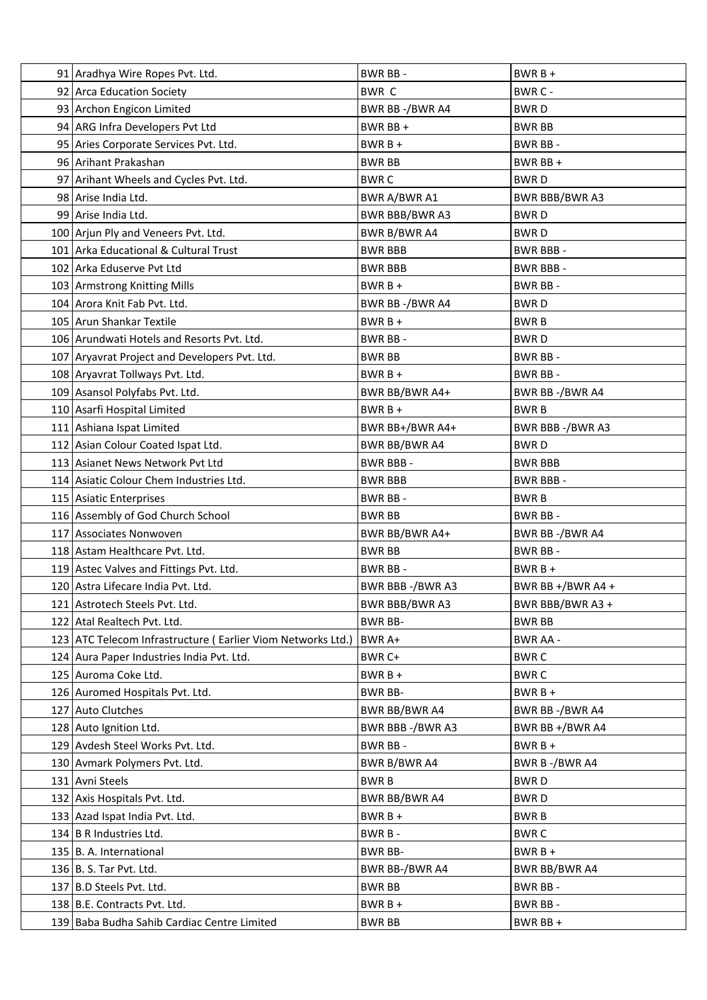| 91   Aradhya Wire Ropes Pvt. Ltd.                           | BWR BB-              | $BWRB +$          |
|-------------------------------------------------------------|----------------------|-------------------|
| 92 Arca Education Society                                   | BWR C                | BWR C -           |
| 93 Archon Engicon Limited                                   | BWR BB-/BWR A4       | <b>BWRD</b>       |
| 94 ARG Infra Developers Pvt Ltd                             | BWR BB +             | <b>BWR BB</b>     |
| 95 Aries Corporate Services Pvt. Ltd.                       | $BWRB+$              | BWR BB-           |
| 96 Arihant Prakashan                                        | <b>BWR BB</b>        | BWR BB +          |
| 97 Arihant Wheels and Cycles Pvt. Ltd.                      | <b>BWRC</b>          | <b>BWRD</b>       |
| 98 Arise India Ltd.                                         | BWR A/BWR A1         | BWR BBB/BWR A3    |
| 99 Arise India Ltd.                                         | BWR BBB/BWR A3       | <b>BWRD</b>       |
| 100 Arjun Ply and Veneers Pvt. Ltd.                         | BWR B/BWR A4         | <b>BWRD</b>       |
| 101 Arka Educational & Cultural Trust                       | <b>BWR BBB</b>       | <b>BWR BBB-</b>   |
| 102 Arka Eduserve Pvt Ltd                                   | <b>BWR BBB</b>       | <b>BWR BBB-</b>   |
| 103   Armstrong Knitting Mills                              | $BWR B +$            | BWR BB-           |
| 104 Arora Knit Fab Pvt. Ltd.                                | BWR BB-/BWR A4       | <b>BWRD</b>       |
| 105 Arun Shankar Textile                                    | BWR B +              | <b>BWRB</b>       |
| 106 Arundwati Hotels and Resorts Pvt. Ltd.                  | BWR BB-              | <b>BWRD</b>       |
| 107 Aryavrat Project and Developers Pvt. Ltd.               | <b>BWR BB</b>        | BWR BB-           |
| 108 Aryavrat Tollways Pvt. Ltd.                             | $BWRB+$              | BWR BB-           |
| 109 Asansol Polyfabs Pvt. Ltd.                              | BWR BB/BWR A4+       | BWR BB-/BWR A4    |
| 110 Asarfi Hospital Limited                                 | BWR $B +$            | <b>BWRB</b>       |
| 111 Ashiana Ispat Limited                                   | BWR BB+/BWR A4+      | BWR BBB-/BWR A3   |
| 112 Asian Colour Coated Ispat Ltd.                          | BWR BB/BWR A4        | <b>BWRD</b>       |
| 113 Asianet News Network Pvt Ltd                            | BWR BBB-             | <b>BWR BBB</b>    |
| 114 Asiatic Colour Chem Industries Ltd.                     | <b>BWR BBB</b>       | <b>BWR BBB-</b>   |
| 115 Asiatic Enterprises                                     | BWR BB-              | <b>BWRB</b>       |
| 116 Assembly of God Church School                           | <b>BWR BB</b>        | BWR BB-           |
| 117 Associates Nonwoven                                     | BWR BB/BWR A4+       | BWR BB-/BWR A4    |
| 118 Astam Healthcare Pvt. Ltd.                              | <b>BWR BB</b>        | BWR BB-           |
| 119 Astec Valves and Fittings Pvt. Ltd.                     | BWR BB-              | $BWRB +$          |
| 120 Astra Lifecare India Pvt. Ltd.                          | BWR BBB-/BWR A3      | BWR BB +/BWR A4 + |
| 121 Astrotech Steels Pvt. Ltd.                              | BWR BBB/BWR A3       | BWR BBB/BWR A3 +  |
| 122 Atal Realtech Pvt. Ltd.                                 | <b>BWR BB-</b>       | <b>BWR BB</b>     |
| 123 ATC Telecom Infrastructure (Earlier Viom Networks Ltd.) | BWR A+               | <b>BWR AA -</b>   |
| 124 Aura Paper Industries India Pvt. Ltd.                   | BWR C+               | <b>BWRC</b>       |
| 125 Auroma Coke Ltd.                                        | $BWRB+$              | <b>BWRC</b>       |
| 126 Auromed Hospitals Pvt. Ltd.                             | <b>BWR BB-</b>       | $BWRB +$          |
| 127 Auto Clutches                                           | <b>BWR BB/BWR A4</b> | BWR BB-/BWR A4    |
| 128 Auto Ignition Ltd.                                      | BWR BBB-/BWR A3      | BWR BB +/BWR A4   |
| 129 Avdesh Steel Works Pvt. Ltd.                            | <b>BWR BB-</b>       | $BWRB +$          |
| 130 Avmark Polymers Pvt. Ltd.                               | BWR B/BWR A4         | BWR B-/BWR A4     |
| 131 Avni Steels                                             | <b>BWRB</b>          | <b>BWRD</b>       |
| 132 Axis Hospitals Pvt. Ltd.                                | <b>BWR BB/BWR A4</b> | <b>BWRD</b>       |
| 133 Azad Ispat India Pvt. Ltd.                              | $BWRB+$              | <b>BWRB</b>       |
| 134   B R Industries Ltd.                                   | BWR B-               | <b>BWRC</b>       |
| 135 B. A. International                                     | BWR BB-              | $BWRB+$           |
| $136$   B. S. Tar Pvt. Ltd.                                 | BWR BB-/BWR A4       | BWR BB/BWR A4     |
| 137 B.D Steels Pvt. Ltd.                                    | <b>BWR BB</b>        | BWR BB-           |
| 138 B.E. Contracts Pvt. Ltd.                                | BWR B +              | BWR BB-           |
| 139 Baba Budha Sahib Cardiac Centre Limited                 | <b>BWR BB</b>        | BWR BB +          |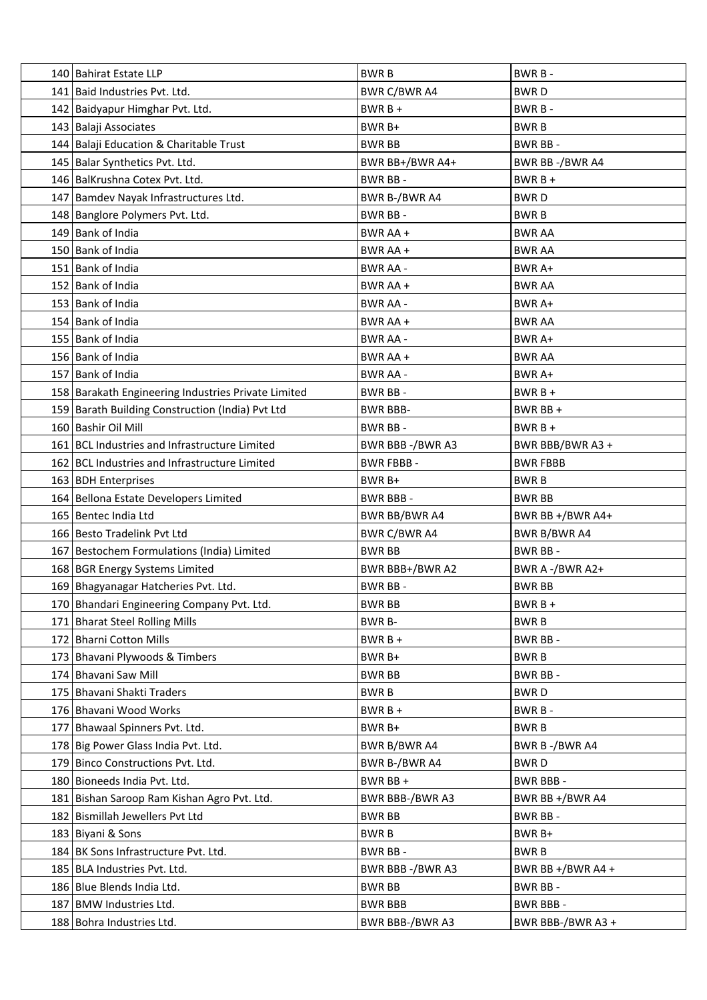| 140 Bahirat Estate LLP                                                | <b>BWRB</b>                   | BWR B-                       |
|-----------------------------------------------------------------------|-------------------------------|------------------------------|
| 141 Baid Industries Pvt. Ltd.                                         | <b>BWR C/BWR A4</b>           | <b>BWRD</b>                  |
| 142 Baidyapur Himghar Pvt. Ltd.                                       | $BWRB +$                      | BWR B-                       |
| 143 Balaji Associates                                                 | BWR B+                        | <b>BWRB</b>                  |
| 144 Balaji Education & Charitable Trust                               | <b>BWR BB</b>                 | BWR BB-                      |
| 145   Balar Synthetics Pvt. Ltd.                                      | BWR BB+/BWR A4+               | BWR BB-/BWR A4               |
| 146 BalKrushna Cotex Pvt. Ltd.                                        | BWR BB-                       | $BWRB +$                     |
| 147 Bamdev Nayak Infrastructures Ltd.                                 | BWR B-/BWR A4                 | <b>BWRD</b>                  |
| 148 Banglore Polymers Pvt. Ltd.                                       | BWR BB-                       | <b>BWRB</b>                  |
| 149 Bank of India                                                     | BWR AA +                      | <b>BWR AA</b>                |
| 150 Bank of India                                                     | BWR AA +                      | <b>BWR AA</b>                |
| 151 Bank of India                                                     | <b>BWR AA -</b>               | BWR A+                       |
| 152 Bank of India                                                     | BWR AA +                      | <b>BWR AA</b>                |
| 153 Bank of India                                                     | <b>BWR AA -</b>               | BWR A+                       |
| 154 Bank of India                                                     | BWR AA +                      | <b>BWR AA</b>                |
| 155 Bank of India                                                     | <b>BWR AA -</b>               | BWR A+                       |
| 156 Bank of India                                                     | BWR AA +                      | <b>BWR AA</b>                |
| 157 Bank of India                                                     | <b>BWR AA -</b>               | BWR A+                       |
| 158 Barakath Engineering Industries Private Limited                   | BWR BB-                       | $BWRB +$                     |
| 159 Barath Building Construction (India) Pvt Ltd                      | <b>BWR BBB-</b>               | BWR BB +                     |
| 160 Bashir Oil Mill                                                   | BWR BB-                       | $BWRB +$                     |
| 161 BCL Industries and Infrastructure Limited                         | BWR BBB-/BWR A3               | BWR BBB/BWR A3 +             |
| 162 BCL Industries and Infrastructure Limited                         | <b>BWR FBBB-</b>              | <b>BWR FBBB</b>              |
| 163 BDH Enterprises                                                   | BWR B+                        | <b>BWRB</b>                  |
| 164 Bellona Estate Developers Limited                                 | <b>BWR BBB-</b>               | <b>BWR BB</b>                |
| 165 Bentec India Ltd                                                  | BWR BB/BWR A4                 | BWR BB +/BWR A4+             |
| 166 Besto Tradelink Pvt Ltd                                           | BWR C/BWR A4                  | BWR B/BWR A4                 |
| 167 Bestochem Formulations (India) Limited                            | <b>BWR BB</b>                 | <b>BWR BB-</b>               |
| 168 BGR Energy Systems Limited                                        | BWR BBB+/BWR A2               | BWR A-/BWR A2+               |
| 169 Bhagyanagar Hatcheries Pvt. Ltd.                                  | BWR BB-                       | <b>BWR BB</b>                |
| 170 Bhandari Engineering Company Pvt. Ltd.                            | <b>BWR BB</b>                 | $BWRB +$                     |
| 171 Bharat Steel Rolling Mills                                        | BWR B-                        | <b>BWRB</b>                  |
| 172 Bharni Cotton Mills                                               | BWR B +                       | <b>BWR BB-</b>               |
| 173 Bhavani Plywoods & Timbers                                        | BWR B+                        | <b>BWRB</b>                  |
| 174 Bhavani Saw Mill                                                  | <b>BWR BB</b>                 | BWR BB-                      |
| 175   Bhavani Shakti Traders                                          | <b>BWRB</b><br>$BWRB +$       | <b>BWRD</b>                  |
| 176 Bhavani Wood Works                                                |                               | BWR B-                       |
| 177 Bhawaal Spinners Pvt. Ltd.<br>178 Big Power Glass India Pvt. Ltd. | BWR B+                        | <b>BWRB</b>                  |
| 179 Binco Constructions Pvt. Ltd.                                     | BWR B/BWR A4<br>BWR B-/BWR A4 | BWR B-/BWR A4<br><b>BWRD</b> |
| 180 Bioneeds India Pvt. Ltd.                                          | BWR BB +                      | <b>BWR BBB-</b>              |
| 181 Bishan Saroop Ram Kishan Agro Pvt. Ltd.                           | BWR BBB-/BWR A3               | BWR BB +/BWR A4              |
| 182 Bismillah Jewellers Pvt Ltd                                       | <b>BWR BB</b>                 | BWR BB-                      |
| 183 Biyani & Sons                                                     | <b>BWRB</b>                   | BWR B+                       |
| 184 BK Sons Infrastructure Pvt. Ltd.                                  | BWR BB-                       | <b>BWRB</b>                  |
| 185 BLA Industries Pvt. Ltd.                                          | BWR BBB-/BWR A3               | BWR BB $+/BWR$ A4 +          |
| 186 Blue Blends India Ltd.                                            | <b>BWR BB</b>                 | BWR BB-                      |
| 187 BMW Industries Ltd.                                               | <b>BWR BBB</b>                | <b>BWR BBB-</b>              |
| 188 Bohra Industries Ltd.                                             | BWR BBB-/BWR A3               | BWR BBB-/BWR A3 +            |
|                                                                       |                               |                              |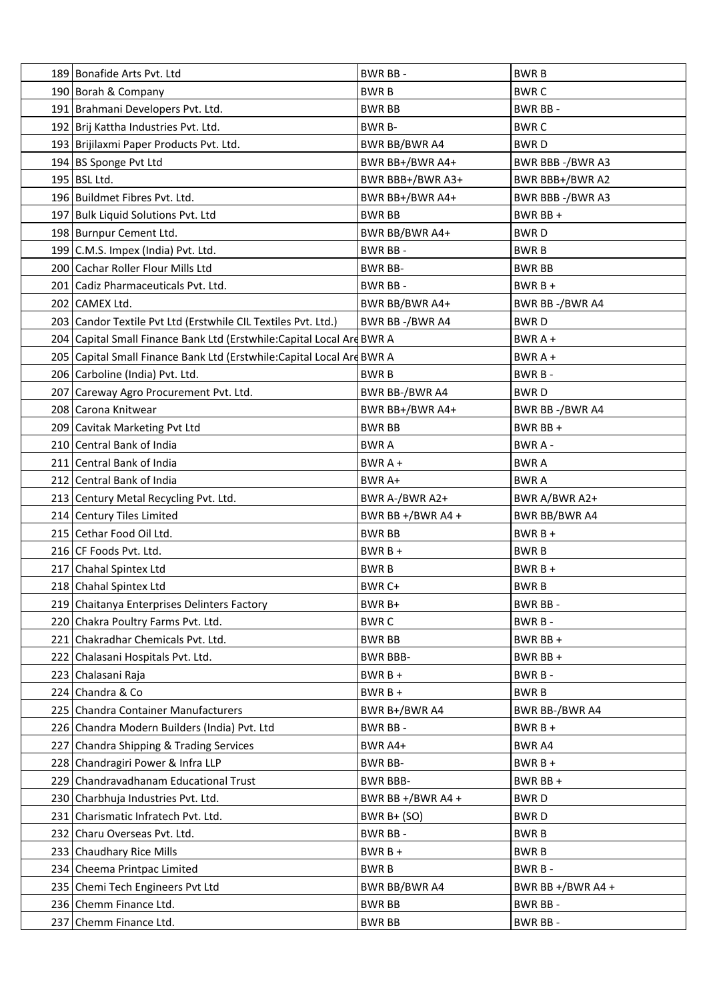| 189 Bonafide Arts Pvt. Ltd                                            | BWR BB-              | <b>BWRB</b>         |
|-----------------------------------------------------------------------|----------------------|---------------------|
| 190 Borah & Company                                                   | <b>BWRB</b>          | <b>BWRC</b>         |
| 191 Brahmani Developers Pvt. Ltd.                                     | <b>BWR BB</b>        | BWR BB-             |
| 192 Brij Kattha Industries Pvt. Ltd.                                  | <b>BWR B-</b>        | <b>BWRC</b>         |
| 193 Brijilaxmi Paper Products Pvt. Ltd.                               | <b>BWR BB/BWR A4</b> | <b>BWRD</b>         |
| 194 BS Sponge Pvt Ltd                                                 | BWR BB+/BWR A4+      | BWR BBB-/BWR A3     |
| $195$ BSL Ltd.                                                        | BWR BBB+/BWR A3+     | BWR BBB+/BWR A2     |
| 196 Buildmet Fibres Pvt. Ltd.                                         | BWR BB+/BWR A4+      | BWR BBB-/BWR A3     |
| 197 Bulk Liquid Solutions Pvt. Ltd                                    | <b>BWR BB</b>        | BWR BB +            |
| 198 Burnpur Cement Ltd.                                               | BWR BB/BWR A4+       | <b>BWRD</b>         |
| 199 C.M.S. Impex (India) Pvt. Ltd.                                    | BWR BB-              | <b>BWRB</b>         |
| 200 Cachar Roller Flour Mills Ltd                                     | <b>BWR BB-</b>       | <b>BWR BB</b>       |
| 201   Cadiz Pharmaceuticals Pvt. Ltd.                                 | BWR BB-              | $BWRB +$            |
| 202 CAMEX Ltd.                                                        | BWR BB/BWR A4+       | BWR BB-/BWR A4      |
| 203 Candor Textile Pvt Ltd (Erstwhile CIL Textiles Pvt. Ltd.)         | BWR BB-/BWR A4       | <b>BWRD</b>         |
| 204 Capital Small Finance Bank Ltd (Erstwhile:Capital Local Ard BWR A |                      | $BWRA +$            |
| 205 Capital Small Finance Bank Ltd (Erstwhile:Capital Local Ard BWR A |                      | $BWRA +$            |
| 206 Carboline (India) Pvt. Ltd.                                       | <b>BWRB</b>          | BWR B-              |
| 207 Careway Agro Procurement Pvt. Ltd.                                | BWR BB-/BWR A4       | <b>BWRD</b>         |
| 208 Carona Knitwear                                                   | BWR BB+/BWR A4+      | BWR BB-/BWR A4      |
| 209 Cavitak Marketing Pvt Ltd                                         | <b>BWR BB</b>        | BWR BB +            |
| 210 Central Bank of India                                             | <b>BWR A</b>         | BWR A -             |
| 211 Central Bank of India                                             | BWR A +              | <b>BWRA</b>         |
| 212 Central Bank of India                                             | BWR A+               | <b>BWRA</b>         |
| 213 Century Metal Recycling Pvt. Ltd.                                 | BWR A-/BWR A2+       | BWR A/BWR A2+       |
| 214 Century Tiles Limited                                             | BWR BB +/BWR A4 +    | BWR BB/BWR A4       |
| 215 Cethar Food Oil Ltd.                                              | <b>BWR BB</b>        | $BWRB +$            |
| 216 CF Foods Pvt. Ltd.                                                | $BWRB+$              | <b>BWRB</b>         |
| 217 Chahal Spintex Ltd                                                | <b>BWRB</b>          | $BWRB +$            |
| 218 Chahal Spintex Ltd                                                | BWR C+               | <b>BWRB</b>         |
| 219 Chaitanya Enterprises Delinters Factory                           | BWR B+               | BWR BB -            |
| 220 Chakra Poultry Farms Pvt. Ltd.                                    | <b>BWRC</b>          | BWR B-              |
| 221 Chakradhar Chemicals Pvt. Ltd.                                    | <b>BWR BB</b>        | BWR BB +            |
| 222 Chalasani Hospitals Pvt. Ltd.                                     | <b>BWR BBB-</b>      | BWR BB +            |
| 223 Chalasani Raja                                                    | BWR B +              | BWR B-              |
| 224 Chandra & Co                                                      | $BWRB +$             | <b>BWRB</b>         |
| 225 Chandra Container Manufacturers                                   | BWR B+/BWR A4        | BWR BB-/BWR A4      |
| 226 Chandra Modern Builders (India) Pvt. Ltd                          | BWR BB-              | $BWRB +$            |
| 227 Chandra Shipping & Trading Services                               | BWR A4+              | BWR A4              |
| 228 Chandragiri Power & Infra LLP                                     | <b>BWR BB-</b>       | $BWRB +$            |
| 229 Chandravadhanam Educational Trust                                 | <b>BWR BBB-</b>      | BWR BB +            |
| 230 Charbhuja Industries Pvt. Ltd.                                    | BWR BB +/BWR A4 +    | <b>BWRD</b>         |
| 231 Charismatic Infratech Pvt. Ltd.                                   | BWR $B+$ (SO)        | <b>BWRD</b>         |
| 232 Charu Overseas Pvt. Ltd.                                          | BWR BB-              | <b>BWRB</b>         |
| 233 Chaudhary Rice Mills                                              | $BWRB +$             | <b>BWRB</b>         |
| 234 Cheema Printpac Limited                                           | <b>BWRB</b>          | BWR B-              |
| 235 Chemi Tech Engineers Pvt Ltd                                      | <b>BWR BB/BWR A4</b> | BWR BB $+/BWR$ A4 + |
| 236 Chemm Finance Ltd.                                                | <b>BWR BB</b>        | BWR BB-             |
| 237 Chemm Finance Ltd.                                                | <b>BWR BB</b>        | BWR BB-             |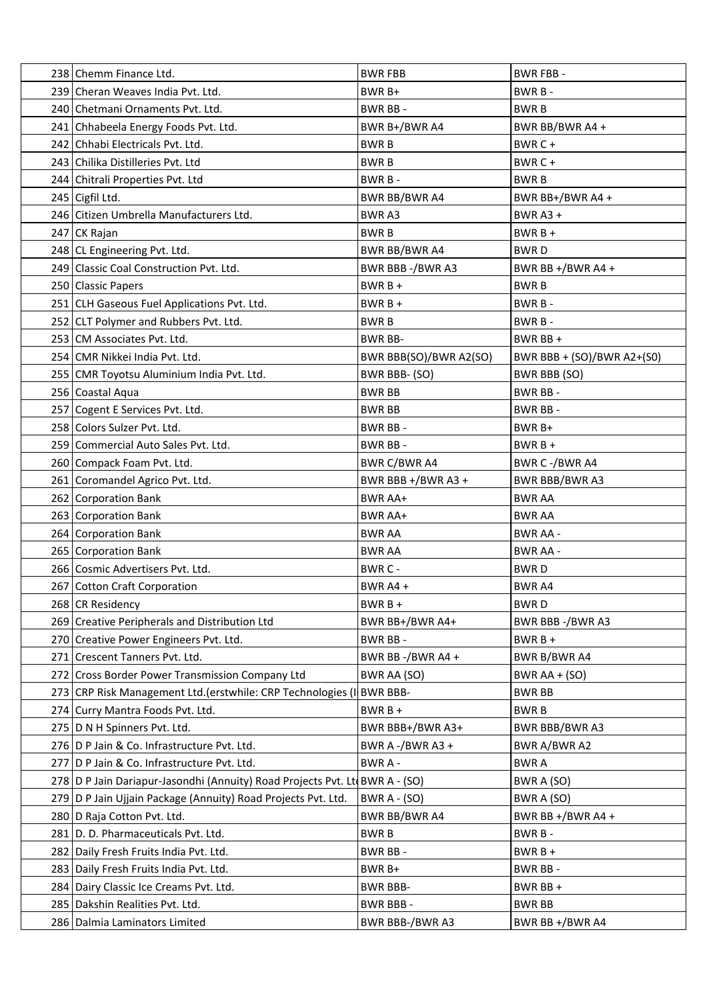| 238 Chemm Finance Ltd.                                                      | <b>BWR FBB</b>         | <b>BWR FBB-</b>                 |
|-----------------------------------------------------------------------------|------------------------|---------------------------------|
| 239 Cheran Weaves India Pvt. Ltd.                                           | BWR B+                 | BWR B-                          |
| 240 Chetmani Ornaments Pvt. Ltd.                                            | BWR BB-                | <b>BWRB</b>                     |
| 241 Chhabeela Energy Foods Pvt. Ltd.                                        | BWR B+/BWR A4          | BWR BB/BWR A4+                  |
| 242 Chhabi Electricals Pvt. Ltd.                                            | <b>BWRB</b>            | BWR C +                         |
| 243 Chilika Distilleries Pvt. Ltd                                           | <b>BWRB</b>            | BWR C +                         |
| 244 Chitrali Properties Pvt. Ltd                                            | BWR B-                 | <b>BWRB</b>                     |
| 245 Cigfil Ltd.                                                             | <b>BWR BB/BWR A4</b>   | BWR BB+/BWR A4 +                |
| 246 Citizen Umbrella Manufacturers Ltd.                                     | BWR A3                 | BWR A3+                         |
| 247 CK Rajan                                                                | <b>BWRB</b>            | $BWRB +$                        |
| 248 CL Engineering Pvt. Ltd.                                                | <b>BWR BB/BWR A4</b>   | <b>BWRD</b>                     |
| 249 Classic Coal Construction Pvt. Ltd.                                     | BWR BBB-/BWR A3        | BWR BB +/BWR A4 +               |
| 250 Classic Papers                                                          | $BWRB +$               | <b>BWRB</b>                     |
| 251 CLH Gaseous Fuel Applications Pvt. Ltd.                                 | $BWRB +$               | BWR B-                          |
| 252 CLT Polymer and Rubbers Pvt. Ltd.                                       | <b>BWRB</b>            | BWR B-                          |
| 253 CM Associates Pvt. Ltd.                                                 | <b>BWR BB-</b>         | BWR BB +                        |
| 254 CMR Nikkei India Pvt. Ltd.                                              | BWR BBB(SO)/BWR A2(SO) | BWR BBB + $(SO)/BWR$ A2+ $(SO)$ |
| 255 CMR Toyotsu Aluminium India Pvt. Ltd.                                   | BWR BBB- (SO)          | BWR BBB (SO)                    |
| 256 Coastal Aqua                                                            | <b>BWR BB</b>          | <b>BWR BB-</b>                  |
| 257 Cogent E Services Pvt. Ltd.                                             | <b>BWR BB</b>          | BWR BB-                         |
| 258 Colors Sulzer Pvt. Ltd.                                                 | BWR BB-                | BWR B+                          |
| 259 Commercial Auto Sales Pvt. Ltd.                                         | BWR BB-                | $BWRB +$                        |
| 260 Compack Foam Pvt. Ltd.                                                  | BWR C/BWR A4           | BWR C-/BWR A4                   |
| 261 Coromandel Agrico Pvt. Ltd.                                             | BWR BBB +/BWR A3 +     | BWR BBB/BWR A3                  |
| 262 Corporation Bank                                                        | <b>BWR AA+</b>         | <b>BWR AA</b>                   |
| 263 Corporation Bank                                                        | BWR AA+                | <b>BWR AA</b>                   |
| 264 Corporation Bank                                                        | <b>BWR AA</b>          | <b>BWR AA -</b>                 |
| 265 Corporation Bank                                                        | <b>BWR AA</b>          | <b>BWR AA -</b>                 |
| 266 Cosmic Advertisers Pvt. Ltd.                                            | BWR C -                | <b>BWRD</b>                     |
| 267 Cotton Craft Corporation                                                | BWR A4 +               | <b>BWRA4</b>                    |
| 268 CR Residency                                                            | $BWRB+$                | <b>BWRD</b>                     |
| 269 Creative Peripherals and Distribution Ltd                               | BWR BB+/BWR A4+        | BWR BBB -/BWR A3                |
| 270 Creative Power Engineers Pvt. Ltd.                                      | BWR BB-                | $BWRB +$                        |
| 271 Crescent Tanners Pvt. Ltd.                                              | BWR BB-/BWR A4+        | BWR B/BWR A4                    |
| 272 Cross Border Power Transmission Company Ltd                             | BWR AA (SO)            | BWR $AA + (SO)$                 |
| 273 CRP Risk Management Ltd. (erstwhile: CRP Technologies (I BWR BBB-       |                        | <b>BWR BB</b>                   |
| 274 Curry Mantra Foods Pvt. Ltd.                                            | BWR B +                | <b>BWRB</b>                     |
| 275   D N H Spinners Pvt. Ltd.                                              | BWR BBB+/BWR A3+       | <b>BWR BBB/BWR A3</b>           |
| 276   D P Jain & Co. Infrastructure Pvt. Ltd.                               | BWR A-/BWR A3+         | BWR A/BWR A2                    |
| 277 D P Jain & Co. Infrastructure Pvt. Ltd.                                 | <b>BWRA-</b>           | <b>BWRA</b>                     |
| 278 D P Jain Dariapur-Jasondhi (Annuity) Road Projects Pvt. Lt BWR A - (SO) |                        | BWR A (SO)                      |
| 279 D P Jain Ujjain Package (Annuity) Road Projects Pvt. Ltd.               | <b>BWR A - (SO)</b>    | BWR A (SO)                      |
| 280   D Raja Cotton Pvt. Ltd.                                               | BWR BB/BWR A4          | BWR BB $+/BWR$ A4 +             |
| 281   D. D. Pharmaceuticals Pvt. Ltd.                                       | <b>BWRB</b>            | BWR B-                          |
| 282 Daily Fresh Fruits India Pvt. Ltd.                                      | BWR BB-                | $BWRB +$                        |
| 283 Daily Fresh Fruits India Pvt. Ltd.                                      | BWR B+                 | BWR BB -                        |
| 284 Dairy Classic Ice Creams Pvt. Ltd.                                      | <b>BWR BBB-</b>        | BWR BB +                        |
| 285   Dakshin Realities Pvt. Ltd.                                           | <b>BWR BBB-</b>        | <b>BWR BB</b>                   |
| 286   Dalmia Laminators Limited                                             | BWR BBB-/BWR A3        | BWR BB +/BWR A4                 |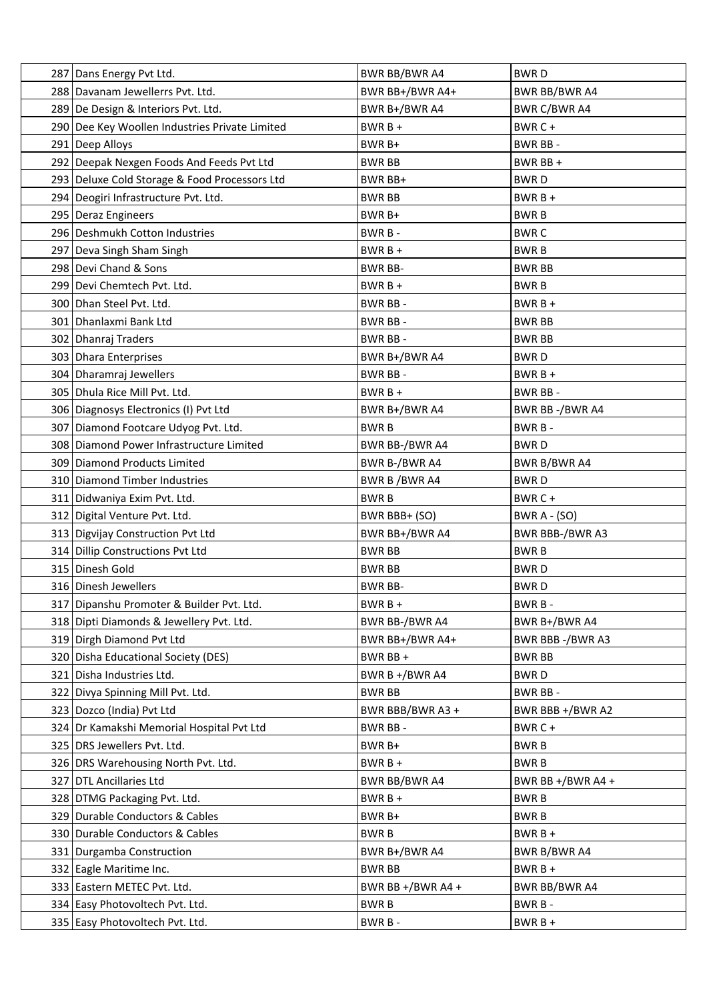| 287 Dans Energy Pvt Ltd.                       | BWR BB/BWR A4        | <b>BWRD</b>          |
|------------------------------------------------|----------------------|----------------------|
| 288 Davanam Jewellerrs Pvt. Ltd.               | BWR BB+/BWR A4+      | <b>BWR BB/BWR A4</b> |
| 289 De Design & Interiors Pvt. Ltd.            | BWR B+/BWR A4        | BWR C/BWR A4         |
| 290 Dee Key Woollen Industries Private Limited | $BWRB +$             | BWR C +              |
| 291 Deep Alloys                                | BWR B+               | BWR BB-              |
| 292 Deepak Nexgen Foods And Feeds Pvt Ltd      | <b>BWR BB</b>        | BWR BB +             |
| 293 Deluxe Cold Storage & Food Processors Ltd  | BWR BB+              | <b>BWRD</b>          |
| 294 Deogiri Infrastructure Pvt. Ltd.           | <b>BWR BB</b>        | $BWRB +$             |
| 295   Deraz Engineers                          | BWR B+               | <b>BWRB</b>          |
| 296 Deshmukh Cotton Industries                 | BWR B-               | <b>BWRC</b>          |
| 297 Deva Singh Sham Singh                      | $BWRB +$             | <b>BWRB</b>          |
| 298 Devi Chand & Sons                          | <b>BWR BB-</b>       | <b>BWR BB</b>        |
| 299 Devi Chemtech Pvt. Ltd.                    | $BWRB +$             | <b>BWRB</b>          |
| 300 Dhan Steel Pvt. Ltd.                       | BWR BB-              | $BWRB +$             |
| 301 Dhanlaxmi Bank Ltd                         | <b>BWR BB-</b>       | <b>BWR BB</b>        |
| 302 Dhanraj Traders                            | <b>BWR BB-</b>       | <b>BWR BB</b>        |
| 303 Dhara Enterprises                          | BWR B+/BWR A4        | <b>BWRD</b>          |
| 304 Dharamraj Jewellers                        | BWR BB-              | $BWRB +$             |
| 305 Dhula Rice Mill Pvt. Ltd.                  | $BWRB +$             | BWR BB-              |
| 306 Diagnosys Electronics (I) Pvt Ltd          | BWR B+/BWR A4        | BWR BB-/BWR A4       |
| 307 Diamond Footcare Udyog Pvt. Ltd.           | <b>BWRB</b>          | BWR B-               |
| 308 Diamond Power Infrastructure Limited       | BWR BB-/BWR A4       | <b>BWRD</b>          |
| 309 Diamond Products Limited                   | BWR B-/BWR A4        | BWR B/BWR A4         |
| 310 Diamond Timber Industries                  | BWR B / BWR A4       | <b>BWRD</b>          |
| 311   Didwaniya Exim Pvt. Ltd.                 | <b>BWRB</b>          | BWR C +              |
| 312   Digital Venture Pvt. Ltd.                | BWR BBB+ (SO)        | <b>BWR A - (SO)</b>  |
| 313 Digvijay Construction Pvt Ltd              | BWR BB+/BWR A4       | BWR BBB-/BWR A3      |
| 314 Dillip Constructions Pvt Ltd               | <b>BWR BB</b>        | <b>BWRB</b>          |
| 315 Dinesh Gold                                | <b>BWR BB</b>        | <b>BWRD</b>          |
| 316 Dinesh Jewellers                           | <b>BWR BB-</b>       | <b>BWRD</b>          |
| 317 Dipanshu Promoter & Builder Pvt. Ltd.      | $BWRB +$             | BWR B-               |
| 318 Dipti Diamonds & Jewellery Pvt. Ltd.       | BWR BB-/BWR A4       | BWR B+/BWR A4        |
| 319 Dirgh Diamond Pvt Ltd                      | BWR BB+/BWR A4+      | BWR BBB-/BWR A3      |
| 320 Disha Educational Society (DES)            | BWR BB +             | <b>BWR BB</b>        |
| 321 Disha Industries Ltd.                      | BWR B+/BWR A4        | <b>BWRD</b>          |
| 322 Divya Spinning Mill Pvt. Ltd.              | <b>BWR BB</b>        | BWR BB-              |
| 323 Dozco (India) Pvt Ltd                      | BWR BBB/BWR A3 +     | BWR BBB +/BWR A2     |
| 324 Dr Kamakshi Memorial Hospital Pvt Ltd      | BWR BB-              | BWR C +              |
| 325 DRS Jewellers Pvt. Ltd.                    | BWR B+               | <b>BWRB</b>          |
| 326   DRS Warehousing North Pvt. Ltd.          | $BWRB +$             | <b>BWRB</b>          |
| 327 DTL Ancillaries Ltd                        | <b>BWR BB/BWR A4</b> | BWR BB +/BWR A4 +    |
| 328 DTMG Packaging Pvt. Ltd.                   | BWR B +              | <b>BWRB</b>          |
| 329 Durable Conductors & Cables                | BWR B+               | <b>BWRB</b>          |
| 330 Durable Conductors & Cables                | <b>BWRB</b>          | $BWRB +$             |
| 331 Durgamba Construction                      | BWR B+/BWR A4        | BWR B/BWR A4         |
| 332 Eagle Maritime Inc.                        | <b>BWR BB</b>        | $BWRB +$             |
| 333 Eastern METEC Pvt. Ltd.                    | BWR BB +/BWR A4 +    | <b>BWR BB/BWR A4</b> |
| 334 Easy Photovoltech Pvt. Ltd.                | <b>BWRB</b>          | BWR B-               |
| 335 Easy Photovoltech Pvt. Ltd.                | BWR B-               | $BWRB +$             |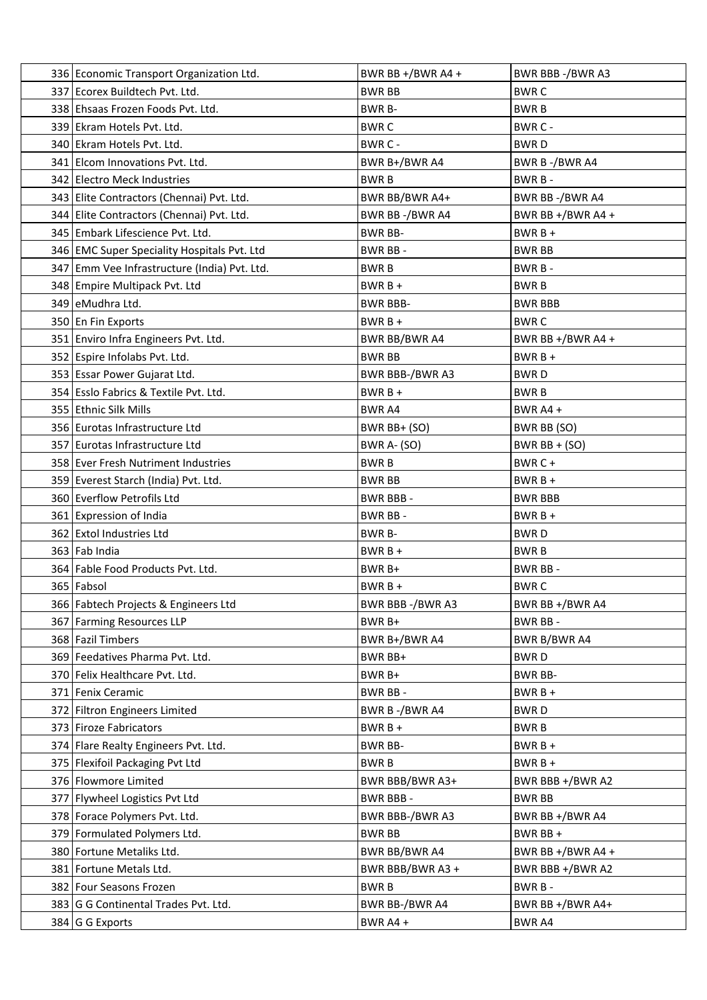| 336 Economic Transport Organization Ltd.     | BWR BB +/BWR A4 +      | BWR BBB -/BWR A3     |
|----------------------------------------------|------------------------|----------------------|
| 337 Ecorex Buildtech Pvt. Ltd.               | <b>BWR BB</b>          | <b>BWRC</b>          |
| 338 Ehsaas Frozen Foods Pvt. Ltd.            | BWR B-                 | <b>BWRB</b>          |
| 339 Ekram Hotels Pvt. Ltd.                   | <b>BWRC</b>            | BWR C -              |
| 340 Ekram Hotels Pvt. Ltd.                   | BWR C -                | <b>BWRD</b>          |
| 341 Elcom Innovations Pvt. Ltd.              | BWR B+/BWR A4          | <b>BWR B-/BWR A4</b> |
| 342 Electro Meck Industries                  | <b>BWRB</b>            | BWR B-               |
| 343 Elite Contractors (Chennai) Pvt. Ltd.    | BWR BB/BWR A4+         | BWR BB-/BWR A4       |
| 344 Elite Contractors (Chennai) Pvt. Ltd.    | BWR BB-/BWR A4         | BWR BB +/BWR A4 +    |
| 345 Embark Lifescience Pvt. Ltd.             | <b>BWR BB-</b>         | $BWRB +$             |
| 346 EMC Super Speciality Hospitals Pvt. Ltd  | BWR BB-                | <b>BWR BB</b>        |
| 347 Emm Vee Infrastructure (India) Pvt. Ltd. | <b>BWRB</b>            | BWR B-               |
| 348 Empire Multipack Pvt. Ltd                | $BWRB +$               | <b>BWRB</b>          |
| 349 eMudhra Ltd.                             | <b>BWR BBB-</b>        | <b>BWR BBB</b>       |
| 350 En Fin Exports                           | $BWRB +$               | <b>BWR C</b>         |
| 351 Enviro Infra Engineers Pvt. Ltd.         | <b>BWR BB/BWR A4</b>   | BWR BB $+/BWR$ A4 +  |
| 352 Espire Infolabs Pvt. Ltd.                | <b>BWR BB</b>          | $BWRB+$              |
| 353 Essar Power Gujarat Ltd.                 | <b>BWR BBB-/BWR A3</b> | <b>BWRD</b>          |
| 354 Esslo Fabrics & Textile Pvt. Ltd.        | $BWRB +$               | <b>BWRB</b>          |
| 355 Ethnic Silk Mills                        | <b>BWR A4</b>          | BWR $A4 +$           |
| 356 Eurotas Infrastructure Ltd               | BWR BB+ (SO)           | BWR BB (SO)          |
| 357 Eurotas Infrastructure Ltd               | BWR A- (SO)            | BWR BB + $(SO)$      |
| 358 Ever Fresh Nutriment Industries          | <b>BWRB</b>            | BWR C +              |
| 359 Everest Starch (India) Pvt. Ltd.         | <b>BWR BB</b>          | $BWRB +$             |
| 360 Everflow Petrofils Ltd                   | <b>BWR BBB-</b>        | <b>BWR BBB</b>       |
| 361 Expression of India                      | BWR BB-                | $BWRB +$             |
| 362 Extol Industries Ltd                     | <b>BWR B-</b>          | <b>BWRD</b>          |
| 363 Fab India                                | $BWRB+$                | <b>BWRB</b>          |
| 364 Fable Food Products Pvt. Ltd.            | BWR B+                 | BWR BB-              |
| 365 Fabsol                                   | $BWRB +$               | <b>BWRC</b>          |
| 366 Fabtech Projects & Engineers Ltd         | BWR BBB-/BWR A3        | BWR BB +/BWR A4      |
| 367 Farming Resources LLP                    | BWR B+                 | BWR BB-              |
| 368   Fazil Timbers                          | BWR B+/BWR A4          | <b>BWR B/BWR A4</b>  |
| 369 Feedatives Pharma Pvt. Ltd.              | BWR BB+                | <b>BWRD</b>          |
| 370 Felix Healthcare Pvt. Ltd.               | BWR B+                 | <b>BWR BB-</b>       |
| 371 Fenix Ceramic                            | BWR BB-                | $BWRB +$             |
| 372 Filtron Engineers Limited                | BWR B-/BWR A4          | <b>BWRD</b>          |
| 373 Firoze Fabricators                       | $BWRB +$               | <b>BWRB</b>          |
| 374 Flare Realty Engineers Pvt. Ltd.         | <b>BWR BB-</b>         | $BWRB +$             |
| 375   Flexifoil Packaging Pvt Ltd            | <b>BWRB</b>            | $BWRB +$             |
| 376 Flowmore Limited                         | BWR BBB/BWR A3+        | BWR BBB +/BWR A2     |
| 377 Flywheel Logistics Pvt Ltd               | <b>BWR BBB-</b>        | <b>BWR BB</b>        |
| 378   Forace Polymers Pvt. Ltd.              | BWR BBB-/BWR A3        | BWR BB +/BWR A4      |
| 379 Formulated Polymers Ltd.                 | <b>BWR BB</b>          | BWR BB +             |
| 380 Fortune Metaliks Ltd.                    | BWR BB/BWR A4          | BWR BB $+/BWR$ A4 +  |
| 381   Fortune Metals Ltd.                    | BWR BBB/BWR A3 +       | BWR BBB +/BWR A2     |
| 382 Four Seasons Frozen                      | <b>BWRB</b>            | BWR B-               |
| 383 G G Continental Trades Pvt. Ltd.         | BWR BB-/BWR A4         | BWR BB +/BWR A4+     |
| $384$ G Exports                              | BWR A4 +               | BWR A4               |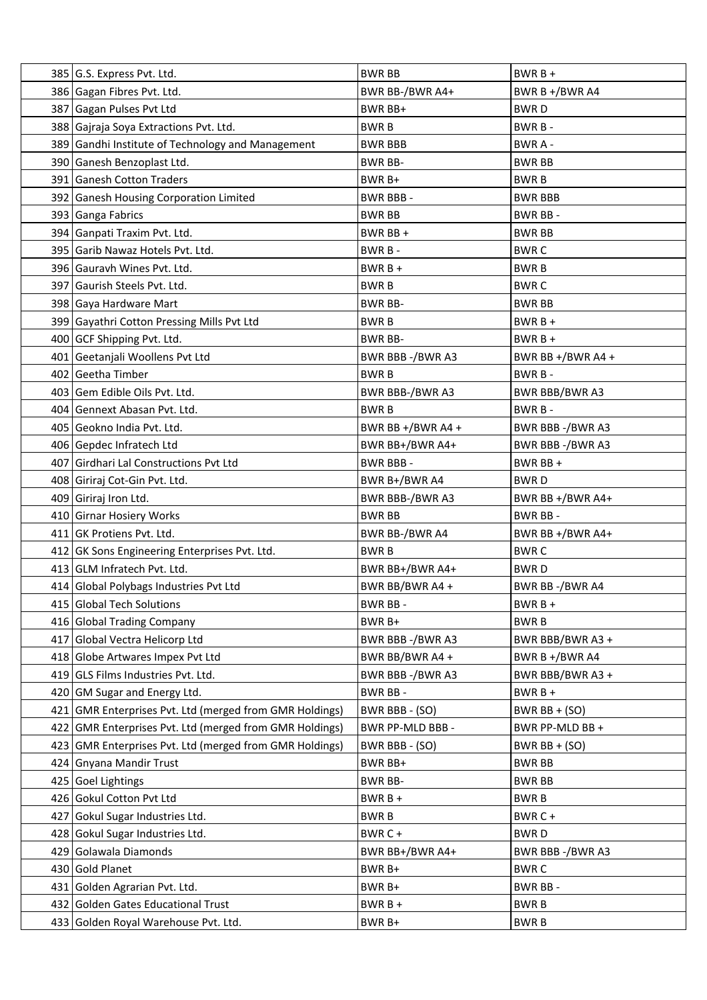| 385 G.S. Express Pvt. Ltd.                              | <b>BWR BB</b>     | BWR B +               |
|---------------------------------------------------------|-------------------|-----------------------|
| 386 Gagan Fibres Pvt. Ltd.                              | BWR BB-/BWR A4+   | BWR B +/BWR A4        |
| 387 Gagan Pulses Pvt Ltd                                | BWR BB+           | <b>BWRD</b>           |
| 388 Gajraja Soya Extractions Pvt. Ltd.                  | <b>BWRB</b>       | BWR B-                |
| 389 Gandhi Institute of Technology and Management       | <b>BWR BBB</b>    | BWR A -               |
| 390 Ganesh Benzoplast Ltd.                              | <b>BWR BB-</b>    | <b>BWR BB</b>         |
| 391 Ganesh Cotton Traders                               | BWR B+            | <b>BWRB</b>           |
| 392 Ganesh Housing Corporation Limited                  | <b>BWR BBB-</b>   | <b>BWR BBB</b>        |
| 393 Ganga Fabrics                                       | <b>BWR BB</b>     | BWR BB-               |
| 394 Ganpati Traxim Pvt. Ltd.                            | BWR BB +          | <b>BWR BB</b>         |
| 395 Garib Nawaz Hotels Pvt. Ltd.                        | BWR B-            | <b>BWRC</b>           |
| 396 Gauravh Wines Pvt. Ltd.                             | $BWRB+$           | <b>BWRB</b>           |
| 397 Gaurish Steels Pvt. Ltd.                            | <b>BWRB</b>       | <b>BWRC</b>           |
| 398 Gaya Hardware Mart                                  | <b>BWR BB-</b>    | <b>BWR BB</b>         |
| 399 Gayathri Cotton Pressing Mills Pvt Ltd              | <b>BWRB</b>       | $BWRB +$              |
| 400 GCF Shipping Pvt. Ltd.                              | <b>BWR BB-</b>    | $BWRB +$              |
| 401 Geetanjali Woollens Pvt Ltd                         | BWR BBB-/BWR A3   | BWR BB +/BWR A4 +     |
| 402 Geetha Timber                                       | <b>BWRB</b>       | BWR B-                |
| 403 Gem Edible Oils Pvt. Ltd.                           | BWR BBB-/BWR A3   | <b>BWR BBB/BWR A3</b> |
| 404 Gennext Abasan Pyt. Ltd.                            | <b>BWRB</b>       | BWR B-                |
| 405 Geokno India Pvt. Ltd.                              | BWR BB +/BWR A4 + | BWR BBB-/BWR A3       |
| 406 Gepdec Infratech Ltd                                | BWR BB+/BWR A4+   | BWR BBB -/BWR A3      |
| 407 Girdhari Lal Constructions Pvt Ltd                  | <b>BWR BBB-</b>   | BWR BB +              |
| 408 Giriraj Cot-Gin Pvt. Ltd.                           | BWR B+/BWR A4     | <b>BWRD</b>           |
| 409 Giriraj Iron Ltd.                                   | BWR BBB-/BWR A3   | BWR BB +/BWR A4+      |
| 410 Girnar Hosiery Works                                | <b>BWR BB</b>     | BWR BB-               |
| 411 GK Protiens Pvt. Ltd.                               | BWR BB-/BWR A4    | BWR BB +/BWR A4+      |
| 412 GK Sons Engineering Enterprises Pvt. Ltd.           | <b>BWRB</b>       | <b>BWRC</b>           |
| 413 GLM Infratech Pvt. Ltd.                             | BWR BB+/BWR A4+   | <b>BWRD</b>           |
| 414 Global Polybags Industries Pvt Ltd                  | BWR BB/BWR A4 +   | BWR BB-/BWR A4        |
| 415 Global Tech Solutions                               | BWR BB-           | $BWRB +$              |
| 416 Global Trading Company                              | BWR B+            | <b>BWRB</b>           |
| 417 Global Vectra Helicorp Ltd                          | BWR BBB-/BWR A3   | BWR BBB/BWR A3 +      |
| 418 Globe Artwares Impex Pvt Ltd                        | BWR BB/BWR A4 +   | BWR B +/BWR A4        |
| 419 GLS Films Industries Pvt. Ltd.                      | BWR BBB-/BWR A3   | BWR BBB/BWR A3 +      |
| 420 GM Sugar and Energy Ltd.                            | BWR BB-           | $BWRB +$              |
| 421 GMR Enterprises Pvt. Ltd (merged from GMR Holdings) | BWR BBB - (SO)    | BWR BB + $(SO)$       |
| 422 GMR Enterprises Pvt. Ltd (merged from GMR Holdings) | BWR PP-MLD BBB -  | BWR PP-MLD BB +       |
| 423 GMR Enterprises Pvt. Ltd (merged from GMR Holdings) | BWR BBB - (SO)    | BWR BB + $(SO)$       |
| 424 Gnyana Mandir Trust                                 | BWR BB+           | <b>BWR BB</b>         |
| 425 Goel Lightings                                      | <b>BWR BB-</b>    | <b>BWR BB</b>         |
| 426 Gokul Cotton Pvt Ltd                                | $BWRB +$          | <b>BWRB</b>           |
| 427 Gokul Sugar Industries Ltd.                         | <b>BWRB</b>       | BWR C +               |
| 428 Gokul Sugar Industries Ltd.                         | BWR C +           | <b>BWRD</b>           |
| 429 Golawala Diamonds                                   | BWR BB+/BWR A4+   | BWR BBB-/BWR A3       |
| 430 Gold Planet                                         | BWR B+            | <b>BWRC</b>           |
| 431 Golden Agrarian Pvt. Ltd.                           | BWR B+            | BWR BB -              |
| 432 Golden Gates Educational Trust                      | $BWRB +$          | <b>BWRB</b>           |
| 433 Golden Royal Warehouse Pvt. Ltd.                    | BWR B+            | <b>BWRB</b>           |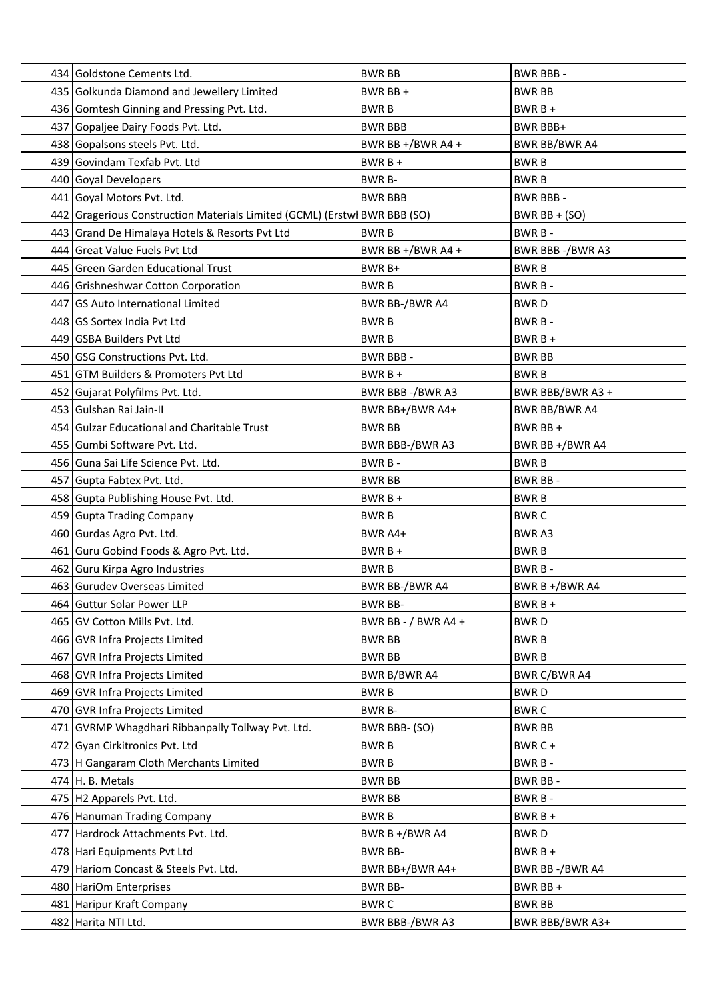| 434 Goldstone Cements Ltd.                                               | <b>BWR BB</b>         | <b>BWR BBB-</b>  |
|--------------------------------------------------------------------------|-----------------------|------------------|
| 435 Golkunda Diamond and Jewellery Limited                               | BWR BB +              | <b>BWR BB</b>    |
| 436 Gomtesh Ginning and Pressing Pvt. Ltd.                               | <b>BWRB</b>           | $BWRB +$         |
| 437 Gopaljee Dairy Foods Pvt. Ltd.                                       | <b>BWR BBB</b>        | BWR BBB+         |
| 438 Gopalsons steels Pvt. Ltd.                                           | BWR BB +/BWR A4 +     | BWR BB/BWR A4    |
| 439 Govindam Texfab Pvt. Ltd                                             | $BWRB +$              | <b>BWRB</b>      |
| 440 Goyal Developers                                                     | BWR B-                | <b>BWRB</b>      |
| 441 Goyal Motors Pvt. Ltd.                                               | <b>BWR BBB</b>        | <b>BWR BBB-</b>  |
| 442 Gragerious Construction Materials Limited (GCML) (Erstw BWR BBB (SO) |                       | BWR BB + $(SO)$  |
| 443 Grand De Himalaya Hotels & Resorts Pvt Ltd                           | <b>BWRB</b>           | BWR B-           |
| 444 Great Value Fuels Pvt Ltd                                            | BWR BB +/BWR A4 +     | BWR BBB-/BWR A3  |
| 445 Green Garden Educational Trust                                       | BWR B+                | <b>BWRB</b>      |
| 446 Grishneshwar Cotton Corporation                                      | <b>BWRB</b>           | BWR B-           |
| 447 GS Auto International Limited                                        | <b>BWR BB-/BWR A4</b> | <b>BWRD</b>      |
| 448 GS Sortex India Pvt Ltd                                              | <b>BWRB</b>           | BWR B-           |
| 449 GSBA Builders Pvt Ltd                                                | <b>BWRB</b>           | $BWRB +$         |
| 450 GSG Constructions Pvt. Ltd.                                          | <b>BWR BBB-</b>       | <b>BWR BB</b>    |
| 451 GTM Builders & Promoters Pvt Ltd                                     | $BWRB +$              | <b>BWRB</b>      |
| 452 Gujarat Polyfilms Pvt. Ltd.                                          | BWR BBB-/BWR A3       | BWR BBB/BWR A3 + |
| 453 Gulshan Rai Jain-II                                                  | BWR BB+/BWR A4+       | BWR BB/BWR A4    |
| 454 Gulzar Educational and Charitable Trust                              | <b>BWR BB</b>         | BWR BB +         |
| 455 Gumbi Software Pvt. Ltd.                                             | BWR BBB-/BWR A3       | BWR BB +/BWR A4  |
| 456 Guna Sai Life Science Pvt. Ltd.                                      | BWR B-                | <b>BWRB</b>      |
| 457 Gupta Fabtex Pvt. Ltd.                                               | <b>BWR BB</b>         | BWR BB-          |
| 458 Gupta Publishing House Pvt. Ltd.                                     | $BWRB+$               | <b>BWRB</b>      |
| 459 Gupta Trading Company                                                | <b>BWRB</b>           | <b>BWRC</b>      |
| 460 Gurdas Agro Pvt. Ltd.                                                | BWR A4+               | <b>BWRA3</b>     |
| 461 Guru Gobind Foods & Agro Pvt. Ltd.                                   | $BWRB +$              | <b>BWRB</b>      |
| 462 Guru Kirpa Agro Industries                                           | <b>BWRB</b>           | BWR B-           |
| 463 Gurudev Overseas Limited                                             | BWR BB-/BWR A4        | BWR B +/BWR A4   |
| 464 Guttur Solar Power LLP                                               | <b>BWR BB-</b>        | $BWRB +$         |
| 465 GV Cotton Mills Pvt. Ltd.                                            | BWR BB - $/$ BWR A4 + | <b>BWRD</b>      |
| 466 GVR Infra Projects Limited                                           | <b>BWR BB</b>         | <b>BWRB</b>      |
| 467 GVR Infra Projects Limited                                           | <b>BWR BB</b>         | <b>BWRB</b>      |
| 468 GVR Infra Projects Limited                                           | <b>BWR B/BWR A4</b>   | BWR C/BWR A4     |
| 469 GVR Infra Projects Limited                                           | <b>BWRB</b>           | <b>BWRD</b>      |
| 470 GVR Infra Projects Limited                                           | <b>BWR B-</b>         | <b>BWRC</b>      |
| 471 GVRMP Whagdhari Ribbanpally Tollway Pvt. Ltd.                        | BWR BBB- (SO)         | <b>BWR BB</b>    |
| 472 Gyan Cirkitronics Pvt. Ltd                                           | <b>BWRB</b>           | BWR C +          |
| 473 H Gangaram Cloth Merchants Limited                                   | <b>BWRB</b>           | BWR B-           |
| $474$ H. B. Metals                                                       | <b>BWR BB</b>         | BWR BB-          |
| 475 H2 Apparels Pvt. Ltd.                                                | <b>BWR BB</b>         | BWR B-           |
| 476 Hanuman Trading Company                                              | <b>BWRB</b>           | $BWRB +$         |
| 477 Hardrock Attachments Pvt. Ltd.                                       | BWR B +/BWR A4        | <b>BWRD</b>      |
| 478   Hari Equipments Pvt Ltd                                            | <b>BWR BB-</b>        | $BWRB +$         |
| 479 Hariom Concast & Steels Pvt. Ltd.                                    | BWR BB+/BWR A4+       | BWR BB-/BWR A4   |
| 480 HariOm Enterprises                                                   | <b>BWR BB-</b>        | BWR BB +         |
| 481 Haripur Kraft Company                                                | <b>BWRC</b>           | <b>BWR BB</b>    |
| 482 Harita NTI Ltd.                                                      | BWR BBB-/BWR A3       | BWR BBB/BWR A3+  |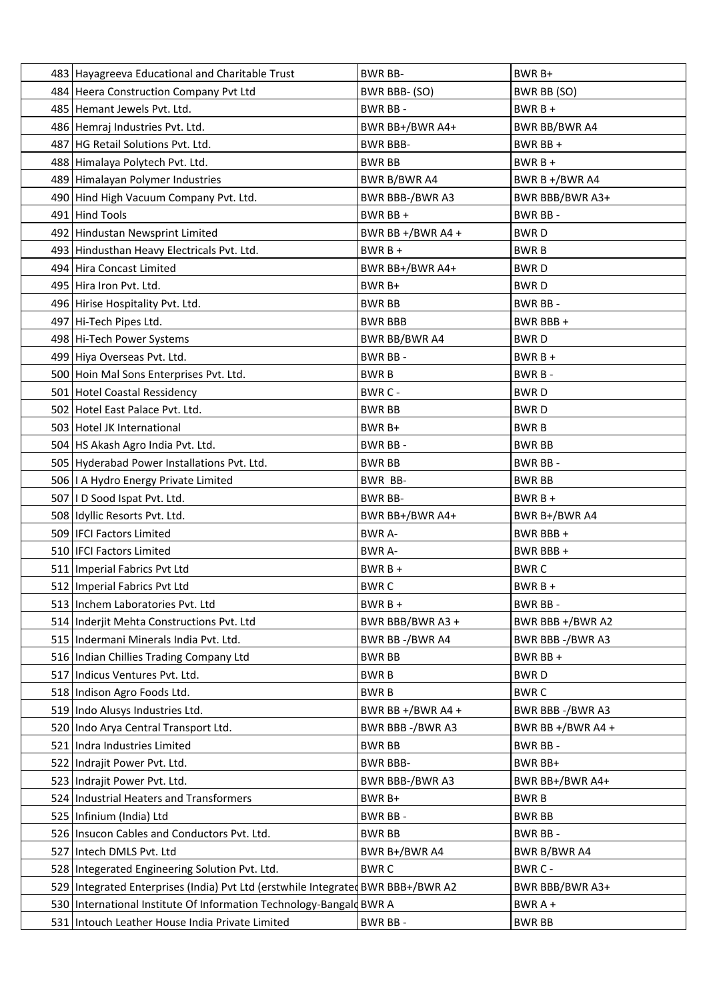| 483 Hayagreeva Educational and Charitable Trust                                  | <b>BWR BB-</b>       | BWR B+               |
|----------------------------------------------------------------------------------|----------------------|----------------------|
| 484 Heera Construction Company Pvt Ltd                                           | BWR BBB- (SO)        | BWR BB (SO)          |
| 485 Hemant Jewels Pyt. Ltd.                                                      | BWR BB-              | $BWRB +$             |
| 486 Hemraj Industries Pvt. Ltd.                                                  | BWR BB+/BWR A4+      | <b>BWR BB/BWR A4</b> |
| 487 HG Retail Solutions Pvt. Ltd.                                                | <b>BWR BBB-</b>      | BWR BB +             |
| 488 Himalaya Polytech Pvt. Ltd.                                                  | <b>BWR BB</b>        | BWR B +              |
| 489 Himalayan Polymer Industries                                                 | BWR B/BWR A4         | BWR B +/BWR A4       |
| 490 Hind High Vacuum Company Pvt. Ltd.                                           | BWR BBB-/BWR A3      | BWR BBB/BWR A3+      |
| 491 Hind Tools                                                                   | BWR BB +             | BWR BB-              |
| 492 Hindustan Newsprint Limited                                                  | BWR BB +/BWR A4 +    | <b>BWRD</b>          |
| 493 Hindusthan Heavy Electricals Pvt. Ltd.                                       | BWR $B +$            | <b>BWRB</b>          |
| 494 Hira Concast Limited                                                         | BWR BB+/BWR A4+      | <b>BWRD</b>          |
| 495 Hira Iron Pvt. Ltd.                                                          | BWR B+               | <b>BWRD</b>          |
| 496 Hirise Hospitality Pvt. Ltd.                                                 | <b>BWR BB</b>        | BWR BB-              |
| 497 Hi-Tech Pipes Ltd.                                                           | <b>BWR BBB</b>       | BWR BBB +            |
| 498 Hi-Tech Power Systems                                                        | <b>BWR BB/BWR A4</b> | <b>BWRD</b>          |
| 499 Hiya Overseas Pvt. Ltd.                                                      | BWR BB-              | $BWRB +$             |
| 500 Hoin Mal Sons Enterprises Pvt. Ltd.                                          | <b>BWRB</b>          | BWR B-               |
| 501   Hotel Coastal Ressidency                                                   | BWR C -              | <b>BWRD</b>          |
| 502 Hotel East Palace Pvt. Ltd.                                                  | <b>BWR BB</b>        | <b>BWRD</b>          |
| 503 Hotel JK International                                                       | BWR B+               | <b>BWRB</b>          |
| 504   HS Akash Agro India Pvt. Ltd.                                              | BWR BB-              | <b>BWR BB</b>        |
| 505 Hyderabad Power Installations Pvt. Ltd.                                      | <b>BWR BB</b>        | BWR BB-              |
| 506   I A Hydro Energy Private Limited                                           | BWR BB-              | <b>BWR BB</b>        |
| 507   I D Sood Ispat Pvt. Ltd.                                                   | <b>BWR BB-</b>       | $BWRB +$             |
| 508 Idyllic Resorts Pvt. Ltd.                                                    | BWR BB+/BWR A4+      | BWR B+/BWR A4        |
| 509   IFCI Factors Limited                                                       | <b>BWR A-</b>        | BWR BBB +            |
| 510   IFCI Factors Limited                                                       | BWR A-               | BWR BBB +            |
| 511   Imperial Fabrics Pvt Ltd                                                   | BWR B +              | <b>BWRC</b>          |
| 512   Imperial Fabrics Pvt Ltd                                                   | <b>BWRC</b>          | $BWRB +$             |
| 513   Inchem Laboratories Pvt. Ltd                                               | BWR $B +$            | BWR BB -             |
| 514 Inderjit Mehta Constructions Pvt. Ltd                                        | BWR BBB/BWR A3 +     | BWR BBB +/BWR A2     |
| 515   Indermani Minerals India Pvt. Ltd.                                         | BWR BB-/BWR A4       | BWR BBB-/BWR A3      |
| 516 Indian Chillies Trading Company Ltd                                          | <b>BWR BB</b>        | BWR BB +             |
| 517   Indicus Ventures Pvt. Ltd.                                                 | <b>BWRB</b>          | <b>BWRD</b>          |
| 518   Indison Agro Foods Ltd.                                                    | <b>BWRB</b>          | <b>BWRC</b>          |
| 519 Indo Alusys Industries Ltd.                                                  | BWR BB +/BWR A4 +    | BWR BBB-/BWR A3      |
| 520 Indo Arya Central Transport Ltd.                                             | BWR BBB-/BWR A3      | BWR BB +/BWR A4 +    |
| 521 Indra Industries Limited                                                     | <b>BWR BB</b>        | BWR BB-              |
| 522   Indrajit Power Pvt. Ltd.                                                   | <b>BWR BBB-</b>      | BWR BB+              |
| 523 Indrajit Power Pvt. Ltd.                                                     | BWR BBB-/BWR A3      | BWR BB+/BWR A4+      |
| 524   Industrial Heaters and Transformers                                        | BWR B+               | <b>BWRB</b>          |
| 525   Infinium (India) Ltd                                                       | BWR BB-              | <b>BWR BB</b>        |
| 526 Insucon Cables and Conductors Pvt. Ltd.                                      | <b>BWR BB</b>        | BWR BB -             |
| 527 Intech DMLS Pvt. Ltd                                                         | BWR B+/BWR A4        | BWR B/BWR A4         |
| 528 Integerated Engineering Solution Pvt. Ltd.                                   | <b>BWRC</b>          | BWR C -              |
| 529 Integrated Enterprises (India) Pvt Ltd (erstwhile Integrated BWR BBB+/BWR A2 |                      | BWR BBB/BWR A3+      |
| 530 International Institute Of Information Technology-Bangald BWR A              |                      | $BWRA +$             |
| 531 Intouch Leather House India Private Limited                                  | BWR BB-              | <b>BWR BB</b>        |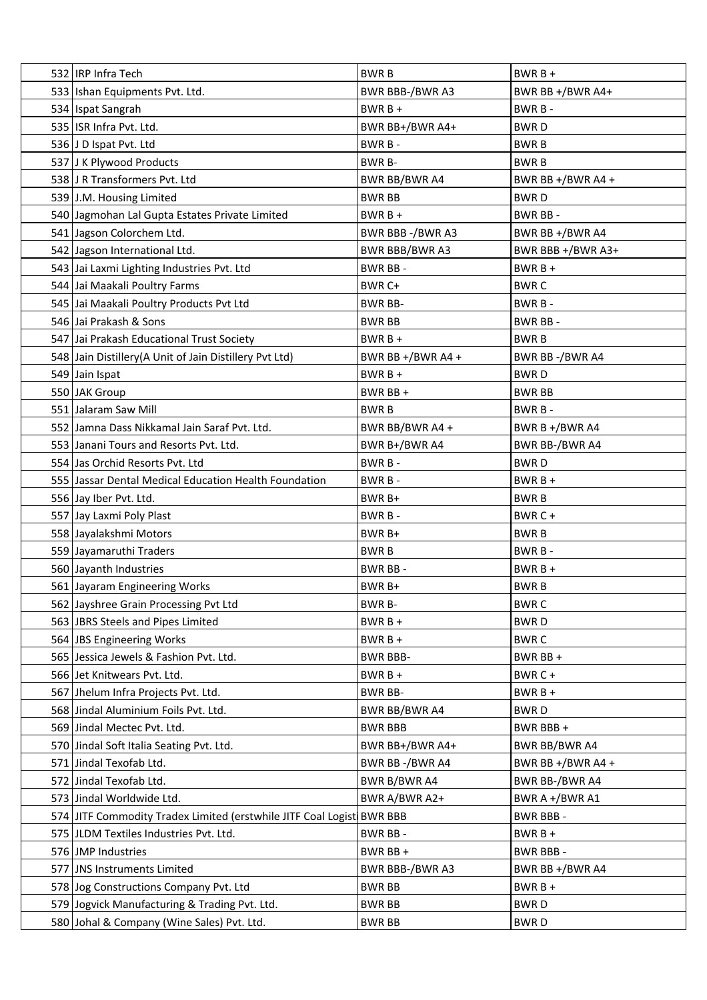| 532   IRP Infra Tech                                                  | <b>BWRB</b>            | $BWRB +$              |
|-----------------------------------------------------------------------|------------------------|-----------------------|
| 533 Ishan Equipments Pvt. Ltd.                                        | <b>BWR BBB-/BWR A3</b> | BWR BB +/BWR A4+      |
| 534 Ispat Sangrah                                                     | $BWRB +$               | BWR B-                |
| 535   ISR Infra Pvt. Ltd.                                             | BWR BB+/BWR A4+        | <b>BWRD</b>           |
| 536 J D Ispat Pvt. Ltd                                                | BWR B-                 | <b>BWRB</b>           |
| 537 J K Plywood Products                                              | <b>BWR B-</b>          | <b>BWRB</b>           |
| 538 J R Transformers Pvt. Ltd                                         | <b>BWR BB/BWR A4</b>   | BWR BB +/BWR A4 +     |
| 539 J.M. Housing Limited                                              | <b>BWR BB</b>          | <b>BWRD</b>           |
| 540 Jagmohan Lal Gupta Estates Private Limited                        | $BWRB +$               | BWR BB-               |
| 541 Jagson Colorchem Ltd.                                             | BWR BBB-/BWR A3        | BWR BB +/BWR A4       |
| 542 Jagson International Ltd.                                         | <b>BWR BBB/BWR A3</b>  | BWR BBB +/BWR A3+     |
| 543 Jai Laxmi Lighting Industries Pvt. Ltd                            | BWR BB-                | $BWRB +$              |
| 544 Jai Maakali Poultry Farms                                         | BWR C+                 | <b>BWRC</b>           |
| 545 Jai Maakali Poultry Products Pvt Ltd                              | <b>BWR BB-</b>         | BWR B-                |
| 546 Jai Prakash & Sons                                                | <b>BWR BB</b>          | <b>BWR BB-</b>        |
| 547 Jai Prakash Educational Trust Society                             | $BWRB+$                | <b>BWRB</b>           |
| 548 Jain Distillery (A Unit of Jain Distillery Pvt Ltd)               | BWR BB +/BWR A4 +      | BWR BB-/BWR A4        |
| 549 Jain Ispat                                                        | $BWRB +$               | <b>BWRD</b>           |
| 550 JAK Group                                                         | BWR BB +               | <b>BWR BB</b>         |
| 551 Jalaram Saw Mill                                                  | <b>BWRB</b>            | BWR B-                |
| 552 Jamna Dass Nikkamal Jain Saraf Pvt. Ltd.                          | BWR BB/BWR A4 +        | BWR B +/BWR A4        |
| 553 Janani Tours and Resorts Pvt. Ltd.                                | BWR B+/BWR A4          | <b>BWR BB-/BWR A4</b> |
| 554 Jas Orchid Resorts Pvt. Ltd                                       | BWR B-                 | <b>BWRD</b>           |
| 555 Jassar Dental Medical Education Health Foundation                 | BWR B-                 | $BWRB +$              |
| 556 Jay Iber Pvt. Ltd.                                                | BWR B+                 | <b>BWRB</b>           |
| 557 Jay Laxmi Poly Plast                                              | BWR B-                 | BWR C +               |
| 558 Jayalakshmi Motors                                                | BWR B+                 | <b>BWRB</b>           |
| 559 Jayamaruthi Traders                                               | <b>BWRB</b>            | BWR B-                |
| 560 Jayanth Industries                                                | BWR BB-                | BWR B +               |
| 561 Jayaram Engineering Works                                         | BWR B+                 | <b>BWRB</b>           |
| 562 Jayshree Grain Processing Pvt Ltd                                 | <b>BWR B-</b>          | <b>BWRC</b>           |
| 563 JBRS Steels and Pipes Limited                                     | $BWRB +$               | <b>BWRD</b>           |
| 564 JBS Engineering Works                                             | BWR B +                | <b>BWRC</b>           |
| 565 Jessica Jewels & Fashion Pvt. Ltd.                                | <b>BWR BBB-</b>        | BWR BB +              |
| 566 Jet Knitwears Pvt. Ltd.                                           | BWR B +                | BWR C +               |
| 567 Jhelum Infra Projects Pvt. Ltd.                                   | <b>BWR BB-</b>         | $BWRB +$              |
| 568 Jindal Aluminium Foils Pvt. Ltd.                                  | <b>BWR BB/BWR A4</b>   | <b>BWRD</b>           |
| 569 Jindal Mectec Pvt. Ltd.                                           | <b>BWR BBB</b>         | BWR BBB +             |
| 570 Jindal Soft Italia Seating Pvt. Ltd.                              | BWR BB+/BWR A4+        | <b>BWR BB/BWR A4</b>  |
| 571 Jindal Texofab Ltd.                                               | BWR BB-/BWR A4         | BWR BB $+/BWR$ A4 +   |
| 572 Jindal Texofab Ltd.                                               | BWR B/BWR A4           | BWR BB-/BWR A4        |
| 573 Jindal Worldwide Ltd.                                             | BWR A/BWR A2+          | BWR A +/BWR A1        |
| 574 JITF Commodity Tradex Limited (erstwhile JITF Coal Logist BWR BBB |                        | <b>BWR BBB-</b>       |
| 575 JLDM Textiles Industries Pvt. Ltd.                                | BWR BB-                | $BWRB +$              |
| 576 JMP Industries                                                    | BWR BB +               | <b>BWR BBB-</b>       |
| 577 JNS Instruments Limited                                           | BWR BBB-/BWR A3        | BWR BB +/BWR A4       |
| 578 Jog Constructions Company Pvt. Ltd                                | <b>BWR BB</b>          | BWR B +               |
| 579 Jogvick Manufacturing & Trading Pvt. Ltd.                         | <b>BWR BB</b>          | <b>BWRD</b>           |
| 580 Johal & Company (Wine Sales) Pvt. Ltd.                            | <b>BWR BB</b>          | <b>BWRD</b>           |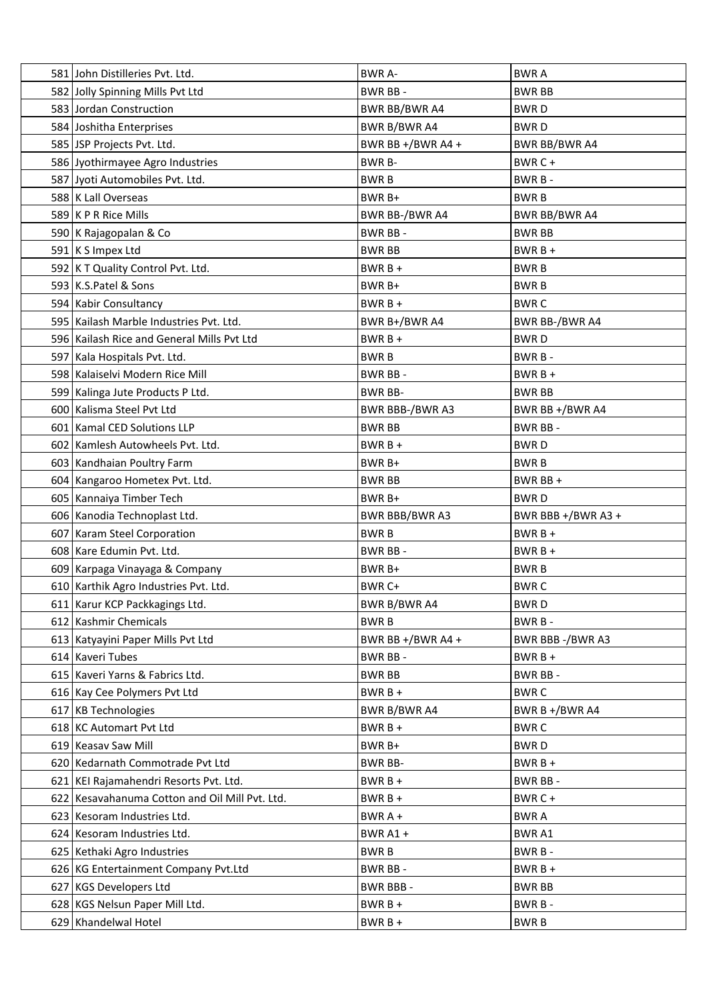| 581 John Distilleries Pvt. Ltd.                | BWR A-                | <b>BWRA</b>          |
|------------------------------------------------|-----------------------|----------------------|
| 582 Jolly Spinning Mills Pvt Ltd               | <b>BWR BB-</b>        | <b>BWR BB</b>        |
| 583 Jordan Construction                        | BWR BB/BWR A4         | <b>BWRD</b>          |
| 584 Joshitha Enterprises                       | <b>BWR B/BWR A4</b>   | <b>BWRD</b>          |
| 585 JSP Projects Pvt. Ltd.                     | BWR BB +/BWR A4 +     | <b>BWR BB/BWR A4</b> |
| 586 Jyothirmayee Agro Industries               | <b>BWR B-</b>         | BWR C +              |
| 587 Jyoti Automobiles Pvt. Ltd.                | <b>BWRB</b>           | BWR B-               |
| 588 K Lall Overseas                            | BWR B+                | <b>BWRB</b>          |
| 589 K P R Rice Mills                           | BWR BB-/BWR A4        | <b>BWR BB/BWR A4</b> |
| 590 K Rajagopalan & Co                         | BWR BB-               | <b>BWR BB</b>        |
| 591 K S Impex Ltd                              | <b>BWR BB</b>         | $BWRB +$             |
| 592 K T Quality Control Pvt. Ltd.              | $BWRB +$              | <b>BWRB</b>          |
| 593 K.S.Patel & Sons                           | BWR B+                | <b>BWRB</b>          |
| 594 Kabir Consultancy                          | $BWRB +$              | <b>BWRC</b>          |
| 595   Kailash Marble Industries Pvt. Ltd.      | BWR B+/BWR A4         | BWR BB-/BWR A4       |
| 596 Kailash Rice and General Mills Pvt Ltd     | $BWRB +$              | <b>BWRD</b>          |
| 597   Kala Hospitals Pvt. Ltd.                 | <b>BWRB</b>           | BWR B-               |
| 598   Kalaiselvi Modern Rice Mill              | BWR BB-               | $BWRB +$             |
| 599   Kalinga Jute Products P Ltd.             | <b>BWR BB-</b>        | <b>BWR BB</b>        |
| 600 Kalisma Steel Pvt Ltd                      | BWR BBB-/BWR A3       | BWR BB +/BWR A4      |
| 601   Kamal CED Solutions LLP                  | <b>BWR BB</b>         | BWR BB-              |
| 602 Kamlesh Autowheels Pyt. Ltd.               | $BWRB +$              | <b>BWRD</b>          |
| 603   Kandhaian Poultry Farm                   | BWR B+                | <b>BWRB</b>          |
| 604 Kangaroo Hometex Pvt. Ltd.                 | <b>BWR BB</b>         | BWR BB +             |
| 605   Kannaiya Timber Tech                     | BWR B+                | <b>BWRD</b>          |
| 606 Kanodia Technoplast Ltd.                   | <b>BWR BBB/BWR A3</b> | BWR BBB +/BWR A3 +   |
| 607 Karam Steel Corporation                    | <b>BWRB</b>           | $BWRB +$             |
| 608 Kare Edumin Pvt. Ltd.                      | BWR BB-               | $BWRB +$             |
| 609 Karpaga Vinayaga & Company                 | BWR B+                | <b>BWRB</b>          |
| 610 Karthik Agro Industries Pvt. Ltd.          | BWR C+                | <b>BWRC</b>          |
| 611 Karur KCP Packkagings Ltd.                 | <b>BWR B/BWR A4</b>   | <b>BWRD</b>          |
| 612 Kashmir Chemicals                          | <b>BWRB</b>           | BWR B-               |
| 613 Katyayini Paper Mills Pvt Ltd              | BWR BB +/BWR A4 +     | BWR BBB-/BWR A3      |
| 614 Kaveri Tubes                               | BWR BB-               | $BWRB +$             |
| 615 Kaveri Yarns & Fabrics Ltd.                | <b>BWR BB</b>         | BWR BB-              |
| 616   Kay Cee Polymers Pvt Ltd                 | $BWRB +$              | <b>BWRC</b>          |
| 617 KB Technologies                            | <b>BWR B/BWR A4</b>   | BWR B +/BWR A4       |
| 618 KC Automart Pvt Ltd                        | $BWRB +$              | <b>BWRC</b>          |
| 619 Keasav Saw Mill                            | BWR B+                | <b>BWRD</b>          |
| 620 Kedarnath Commotrade Pvt Ltd               | <b>BWR BB-</b>        | $BWRB +$             |
| 621 KEI Rajamahendri Resorts Pvt. Ltd.         | $BWRB +$              | BWR BB-              |
| 622 Kesavahanuma Cotton and Oil Mill Pvt. Ltd. | $BWRB +$              | BWR C +              |
| 623   Kesoram Industries Ltd.                  | $BWRA +$              | <b>BWRA</b>          |
| 624   Kesoram Industries Ltd.                  | BWR A1 +              | <b>BWRA1</b>         |
| 625   Kethaki Agro Industries                  | <b>BWRB</b>           | BWR B-               |
| 626 KG Entertainment Company Pvt.Ltd           | BWR BB-               | $BWRB +$             |
| 627 KGS Developers Ltd                         | <b>BWR BBB-</b>       | <b>BWR BB</b>        |
| 628 KGS Nelsun Paper Mill Ltd.                 | $BWRB +$              | BWR B-               |
| 629 Khandelwal Hotel                           | $BWRB +$              | <b>BWRB</b>          |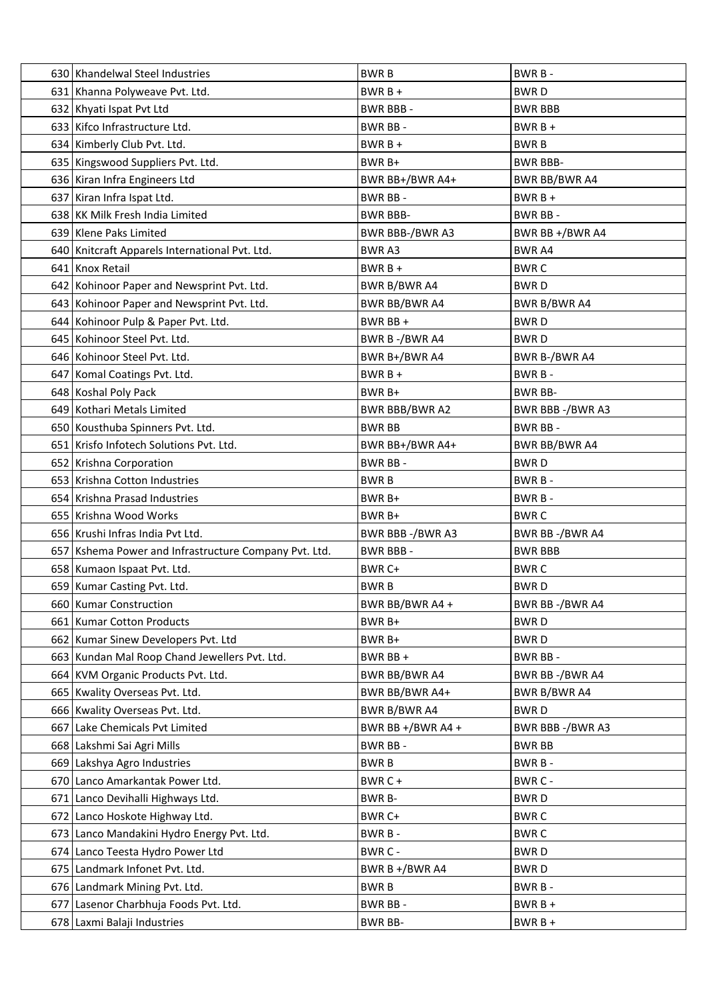| 630 Khandelwal Steel Industries                       | <b>BWRB</b>          | BWR B-               |
|-------------------------------------------------------|----------------------|----------------------|
| 631 Khanna Polyweave Pvt. Ltd.                        | $BWRB+$              | <b>BWRD</b>          |
| 632 Khyati Ispat Pvt Ltd                              | <b>BWR BBB-</b>      | <b>BWR BBB</b>       |
| 633 Kifco Infrastructure Ltd.                         | BWR BB-              | $BWRB +$             |
| 634 Kimberly Club Pvt. Ltd.                           | $BWRB +$             | <b>BWRB</b>          |
| 635 Kingswood Suppliers Pvt. Ltd.                     | BWR B+               | <b>BWR BBB-</b>      |
| 636 Kiran Infra Engineers Ltd                         | BWR BB+/BWR A4+      | <b>BWR BB/BWR A4</b> |
| 637 Kiran Infra Ispat Ltd.                            | BWR BB-              | $BWRB +$             |
| 638 KK Milk Fresh India Limited                       | <b>BWR BBB-</b>      | BWR BB-              |
| 639 Klene Paks Limited                                | BWR BBB-/BWR A3      | BWR BB +/BWR A4      |
| 640 Knitcraft Apparels International Pvt. Ltd.        | BWR A3               | <b>BWR A4</b>        |
| 641 Knox Retail                                       | $BWRB+$              | <b>BWRC</b>          |
| 642 Kohinoor Paper and Newsprint Pvt. Ltd.            | <b>BWR B/BWR A4</b>  | <b>BWRD</b>          |
| 643 Kohinoor Paper and Newsprint Pvt. Ltd.            | BWR BB/BWR A4        | BWR B/BWR A4         |
| 644 Kohinoor Pulp & Paper Pvt. Ltd.                   | BWR BB+              | <b>BWRD</b>          |
| 645   Kohinoor Steel Pvt. Ltd.                        | BWR B-/BWR A4        | <b>BWRD</b>          |
| 646   Kohinoor Steel Pvt. Ltd.                        | BWR B+/BWR A4        | BWR B-/BWR A4        |
| 647 Komal Coatings Pvt. Ltd.                          | $BWRB +$             | BWR B-               |
| 648 Koshal Poly Pack                                  | BWR B+               | <b>BWR BB-</b>       |
| 649 Kothari Metals Limited                            | BWR BBB/BWR A2       | BWR BBB -/BWR A3     |
| 650 Kousthuba Spinners Pvt. Ltd.                      | <b>BWR BB</b>        | BWR BB-              |
| 651 Krisfo Infotech Solutions Pvt. Ltd.               | BWR BB+/BWR A4+      | BWR BB/BWR A4        |
| 652 Krishna Corporation                               | BWR BB-              | <b>BWRD</b>          |
| 653 Krishna Cotton Industries                         | <b>BWRB</b>          | BWR B-               |
| 654 Krishna Prasad Industries                         | BWR B+               | BWR B-               |
| 655 Krishna Wood Works                                | BWR B+               | <b>BWR C</b>         |
| 656 Krushi Infras India Pvt Ltd.                      | BWR BBB-/BWR A3      | BWR BB-/BWR A4       |
| 657 Kshema Power and Infrastructure Company Pvt. Ltd. | <b>BWR BBB-</b>      | <b>BWR BBB</b>       |
| 658 Kumaon Ispaat Pvt. Ltd.                           | BWR C+               | <b>BWRC</b>          |
| 659 Kumar Casting Pvt. Ltd.                           | <b>BWRB</b>          | <b>BWRD</b>          |
| 660 Kumar Construction                                | BWR BB/BWR A4+       | BWR BB-/BWR A4       |
| 661   Kumar Cotton Products                           | BWR B+               | <b>BWRD</b>          |
| 662 Kumar Sinew Developers Pvt. Ltd                   | BWR B+               | <b>BWRD</b>          |
| 663 Kundan Mal Roop Chand Jewellers Pvt. Ltd.         | BWR BB +             | BWR BB-              |
| 664 KVM Organic Products Pvt. Ltd.                    | <b>BWR BB/BWR A4</b> | BWR BB-/BWR A4       |
| 665   Kwality Overseas Pvt. Ltd.                      | BWR BB/BWR A4+       | BWR B/BWR A4         |
| 666 Kwality Overseas Pvt. Ltd.                        | <b>BWR B/BWR A4</b>  | <b>BWRD</b>          |
| 667 Lake Chemicals Pvt Limited                        | BWR BB +/BWR A4 +    | BWR BBB-/BWR A3      |
| 668 Lakshmi Sai Agri Mills                            | BWR BB-              | <b>BWR BB</b>        |
| 669 Lakshya Agro Industries                           | <b>BWRB</b>          | BWR B-               |
| 670 Lanco Amarkantak Power Ltd.                       | BWR C +              | BWR C -              |
| 671 Lanco Devihalli Highways Ltd.                     | <b>BWR B-</b>        | <b>BWRD</b>          |
| 672 Lanco Hoskote Highway Ltd.                        | BWR C+               | <b>BWRC</b>          |
| 673 Lanco Mandakini Hydro Energy Pvt. Ltd.            | BWR B-               | <b>BWRC</b>          |
| 674 Lanco Teesta Hydro Power Ltd                      | BWR C -              | <b>BWRD</b>          |
| 675 Landmark Infonet Pvt. Ltd.                        | BWR B +/BWR A4       | <b>BWRD</b>          |
| 676 Landmark Mining Pvt. Ltd.                         | <b>BWRB</b>          | BWR B-               |
| 677 Lasenor Charbhuja Foods Pvt. Ltd.                 | BWR BB-              | $BWRB +$             |
| 678   Laxmi Balaji Industries                         | <b>BWR BB-</b>       | $BWRB +$             |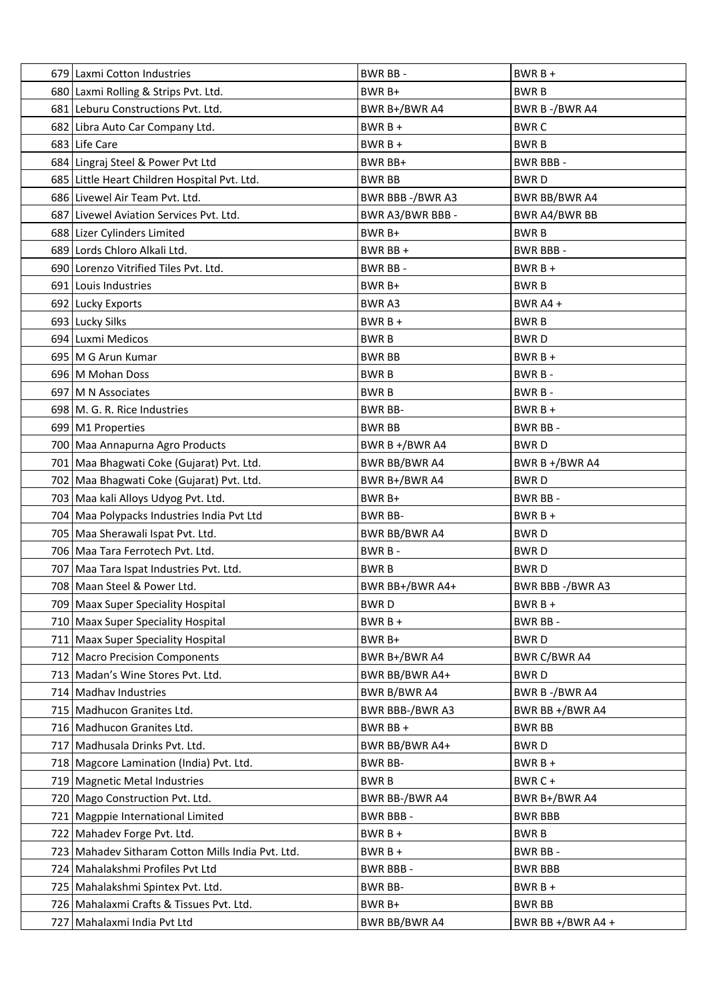| 679 Laxmi Cotton Industries                         | BWR BB-             | BWR B +              |
|-----------------------------------------------------|---------------------|----------------------|
| 680 Laxmi Rolling & Strips Pvt. Ltd.                | BWR B+              | <b>BWRB</b>          |
| 681 Leburu Constructions Pvt. Ltd.                  | BWR B+/BWR A4       | BWR B-/BWR A4        |
| 682 Libra Auto Car Company Ltd.                     | $BWRB +$            | <b>BWRC</b>          |
| 683 Life Care                                       | $BWRB +$            | <b>BWRB</b>          |
| 684 Lingraj Steel & Power Pvt Ltd                   | BWR BB+             | <b>BWR BBB-</b>      |
| 685 Little Heart Children Hospital Pvt. Ltd.        | <b>BWR BB</b>       | <b>BWRD</b>          |
| 686 Livewel Air Team Pvt. Ltd.                      | BWR BBB-/BWR A3     | <b>BWR BB/BWR A4</b> |
| 687 Livewel Aviation Services Pvt. Ltd.             | BWR A3/BWR BBB -    | <b>BWR A4/BWR BB</b> |
| 688 Lizer Cylinders Limited                         | BWR B+              | <b>BWRB</b>          |
| 689 Lords Chloro Alkali Ltd.                        | BWR BB +            | <b>BWR BBB-</b>      |
| 690 Lorenzo Vitrified Tiles Pvt. Ltd.               | BWR BB-             | $BWRB +$             |
| 691 Louis Industries                                | BWR B+              | <b>BWRB</b>          |
| 692 Lucky Exports                                   | <b>BWRA3</b>        | BWR A4 +             |
| 693 Lucky Silks                                     | $BWRB +$            | <b>BWRB</b>          |
| 694 Luxmi Medicos                                   | <b>BWRB</b>         | <b>BWRD</b>          |
| 695   M G Arun Kumar                                | <b>BWR BB</b>       | $BWRB +$             |
| 696 M Mohan Doss                                    | <b>BWRB</b>         | BWR B-               |
| 697   M N Associates                                | <b>BWRB</b>         | BWR B-               |
| 698   M. G. R. Rice Industries                      | <b>BWR BB-</b>      | $BWRB +$             |
| 699 M1 Properties                                   | <b>BWR BB</b>       | BWR BB-              |
| 700   Maa Annapurna Agro Products                   | BWR B $+/BWR$ A4    | <b>BWRD</b>          |
| 701   Maa Bhagwati Coke (Gujarat) Pvt. Ltd.         | BWR BB/BWR A4       | BWR B +/BWR A4       |
| 702   Maa Bhagwati Coke (Gujarat) Pvt. Ltd.         | BWR B+/BWR A4       | <b>BWRD</b>          |
| 703   Maa kali Alloys Udyog Pvt. Ltd.               | BWR B+              | BWR BB-              |
| 704 Maa Polypacks Industries India Pvt Ltd          | <b>BWR BB-</b>      | $BWRB +$             |
| 705 Maa Sherawali Ispat Pvt. Ltd.                   | BWR BB/BWR A4       | <b>BWRD</b>          |
| 706 Maa Tara Ferrotech Pvt. Ltd.                    | BWR B-              | <b>BWRD</b>          |
| 707 Maa Tara Ispat Industries Pvt. Ltd.             | <b>BWRB</b>         | <b>BWRD</b>          |
| 708 Maan Steel & Power Ltd.                         | BWR BB+/BWR A4+     | BWR BBB-/BWR A3      |
| 709 Maax Super Speciality Hospital                  | <b>BWRD</b>         | $BWRB +$             |
| 710 Maax Super Speciality Hospital                  | $BWRB +$            | BWR BB-              |
| 711 Maax Super Speciality Hospital                  | BWR B+              | <b>BWRD</b>          |
| 712 Macro Precision Components                      | BWR B+/BWR A4       | BWR C/BWR A4         |
| 713 Madan's Wine Stores Pvt. Ltd.                   | BWR BB/BWR A4+      | <b>BWRD</b>          |
| 714 Madhav Industries                               | <b>BWR B/BWR A4</b> | BWR B-/BWR A4        |
| 715   Madhucon Granites Ltd.                        | BWR BBB-/BWR A3     | BWR BB +/BWR A4      |
| 716   Madhucon Granites Ltd.                        | BWR BB +            | <b>BWR BB</b>        |
| 717 Madhusala Drinks Pvt. Ltd.                      | BWR BB/BWR A4+      | <b>BWRD</b>          |
| 718   Magcore Lamination (India) Pvt. Ltd.          | <b>BWR BB-</b>      | $BWRB +$             |
| 719 Magnetic Metal Industries                       | <b>BWRB</b>         | BWR C +              |
| 720 Mago Construction Pvt. Ltd.                     | BWR BB-/BWR A4      | BWR B+/BWR A4        |
| 721 Magppie International Limited                   | BWR BBB-            | <b>BWR BBB</b>       |
| 722   Mahadev Forge Pvt. Ltd.                       | $BWRB +$            | <b>BWRB</b>          |
| 723   Mahadev Sitharam Cotton Mills India Pvt. Ltd. | $BWRB +$            | BWR BB-              |
| 724   Mahalakshmi Profiles Pvt Ltd                  | <b>BWR BBB-</b>     | <b>BWR BBB</b>       |
| 725   Mahalakshmi Spintex Pvt. Ltd.                 | <b>BWR BB-</b>      | $BWRB +$             |
| 726   Mahalaxmi Crafts & Tissues Pvt. Ltd.          | BWR B+              | <b>BWR BB</b>        |
| 727 Mahalaxmi India Pvt Ltd                         | BWR BB/BWR A4       | BWR BB $+/BWR$ A4 +  |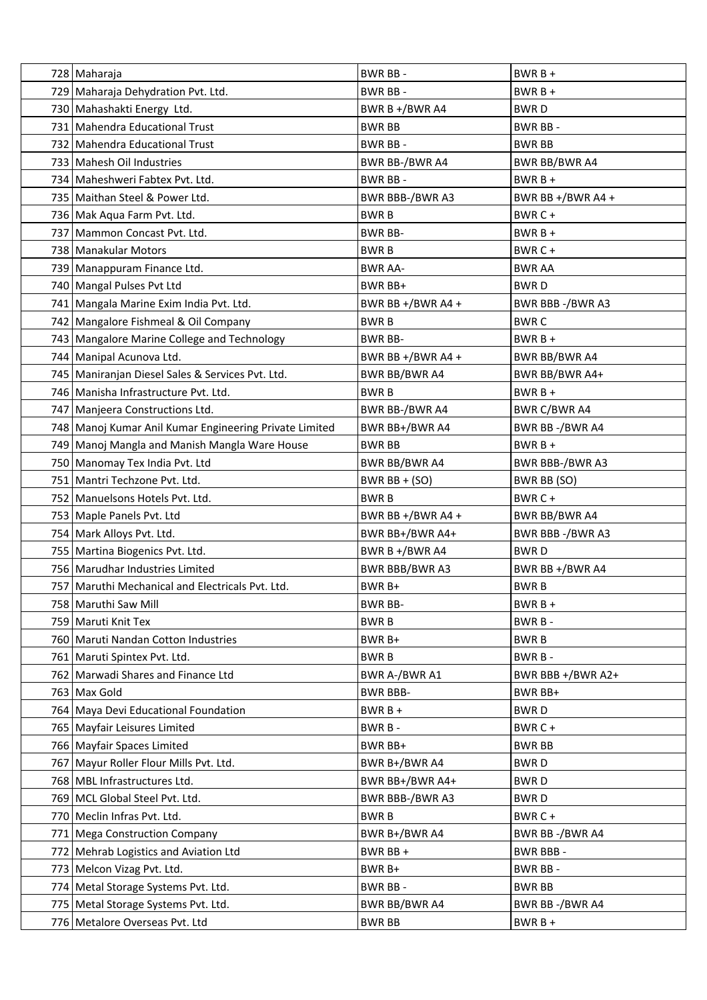| 728 Maharaja                                             | BWR BB-              | $BWRB +$             |
|----------------------------------------------------------|----------------------|----------------------|
| 729   Maharaja Dehydration Pvt. Ltd.                     | BWR BB-              | $BWRB +$             |
| 730 Mahashakti Energy Ltd.                               | BWR B +/BWR A4       | <b>BWRD</b>          |
| 731   Mahendra Educational Trust                         | <b>BWR BB</b>        | BWR BB-              |
| 732   Mahendra Educational Trust                         | BWR BB-              | <b>BWR BB</b>        |
| 733   Mahesh Oil Industries                              | BWR BB-/BWR A4       | <b>BWR BB/BWR A4</b> |
| 734   Maheshweri Fabtex Pvt. Ltd.                        | BWR BB-              | $BWRB+$              |
| 735   Maithan Steel & Power Ltd.                         | BWR BBB-/BWR A3      | BWR BB +/BWR A4 +    |
| 736   Mak Aqua Farm Pvt. Ltd.                            | <b>BWRB</b>          | BWR C +              |
| 737 Mammon Concast Pvt. Ltd.                             | <b>BWR BB-</b>       | $BWRB +$             |
| 738   Manakular Motors                                   | <b>BWRB</b>          | BWR $C +$            |
| 739 Manappuram Finance Ltd.                              | <b>BWR AA-</b>       | <b>BWR AA</b>        |
| 740   Mangal Pulses Pvt Ltd                              | BWR BB+              | <b>BWRD</b>          |
| 741   Mangala Marine Exim India Pvt. Ltd.                | BWR BB +/BWR A4 +    | BWR BBB-/BWR A3      |
| 742 Mangalore Fishmeal & Oil Company                     | <b>BWRB</b>          | <b>BWRC</b>          |
| 743 Mangalore Marine College and Technology              | <b>BWR BB-</b>       | $BWRB +$             |
| 744   Manipal Acunova Ltd.                               | BWR BB +/BWR A4 +    | <b>BWR BB/BWR A4</b> |
| 745   Maniranjan Diesel Sales & Services Pvt. Ltd.       | <b>BWR BB/BWR A4</b> | BWR BB/BWR A4+       |
| 746   Manisha Infrastructure Pvt. Ltd.                   | <b>BWRB</b>          | $BWRB +$             |
| 747   Manjeera Constructions Ltd.                        | BWR BB-/BWR A4       | BWR C/BWR A4         |
| 748   Manoj Kumar Anil Kumar Engineering Private Limited | BWR BB+/BWR A4       | BWR BB-/BWR A4       |
| 749 Manoj Mangla and Manish Mangla Ware House            | <b>BWR BB</b>        | $BWRB +$             |
| 750 Manomay Tex India Pvt. Ltd                           | BWR BB/BWR A4        | BWR BBB-/BWR A3      |
| 751   Mantri Techzone Pvt. Ltd.                          | BWR $BB + (SO)$      | BWR BB (SO)          |
| 752   Manuelsons Hotels Pyt. Ltd.                        | <b>BWRB</b>          | BWR C +              |
| 753 Maple Panels Pvt. Ltd                                | BWR BB +/BWR A4 +    | BWR BB/BWR A4        |
| 754   Mark Alloys Pvt. Ltd.                              | BWR BB+/BWR A4+      | BWR BBB -/BWR A3     |
| 755   Martina Biogenics Pvt. Ltd.                        | BWR B $+/BWR$ A4     | <b>BWRD</b>          |
| 756   Marudhar Industries Limited                        | BWR BBB/BWR A3       | BWR BB +/BWR A4      |
| 757 Maruthi Mechanical and Electricals Pvt. Ltd.         | BWR B+               | <b>BWRB</b>          |
| 758 Maruthi Saw Mill                                     | <b>BWR BB-</b>       | $BWRB +$             |
| 759   Maruti Knit Tex                                    | <b>BWRB</b>          | BWR B-               |
| 760 Maruti Nandan Cotton Industries                      | BWR B+               | <b>BWRB</b>          |
| 761   Maruti Spintex Pvt. Ltd.                           | <b>BWRB</b>          | BWR B-               |
| 762 Marwadi Shares and Finance Ltd                       | BWR A-/BWR A1        | BWR BBB +/BWR A2+    |
| 763 Max Gold                                             | <b>BWR BBB-</b>      | BWR BB+              |
| 764 Maya Devi Educational Foundation                     | BWR B +              | <b>BWRD</b>          |
| 765   Mayfair Leisures Limited                           | BWR B-               | BWR C +              |
| 766 Mayfair Spaces Limited                               | BWR BB+              | <b>BWR BB</b>        |
| 767 Mayur Roller Flour Mills Pvt. Ltd.                   | BWR B+/BWR A4        | <b>BWRD</b>          |
| 768 MBL Infrastructures Ltd.                             | BWR BB+/BWR A4+      | <b>BWRD</b>          |
| 769 MCL Global Steel Pvt. Ltd.                           | BWR BBB-/BWR A3      | <b>BWRD</b>          |
| 770 Meclin Infras Pvt. Ltd.                              | <b>BWRB</b>          | BWR C +              |
| 771 Mega Construction Company                            | BWR B+/BWR A4        | BWR BB-/BWR A4       |
| 772 Mehrab Logistics and Aviation Ltd                    | BWR BB +             | <b>BWR BBB-</b>      |
| 773 Melcon Vizag Pvt. Ltd.                               | BWR B+               | BWR BB-              |
| 774 Metal Storage Systems Pvt. Ltd.                      | BWR BB-              | <b>BWR BB</b>        |
| 775   Metal Storage Systems Pvt. Ltd.                    | BWR BB/BWR A4        | BWR BB-/BWR A4       |
| 776   Metalore Overseas Pvt. Ltd                         | <b>BWR BB</b>        | $BWRB +$             |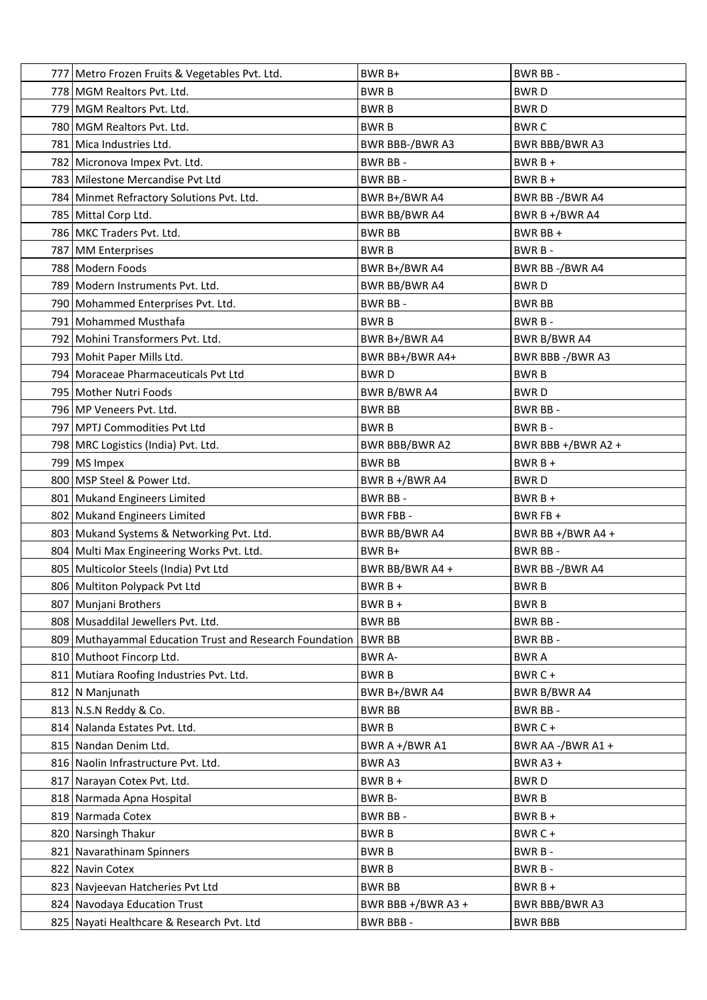| 777 Metro Frozen Fruits & Vegetables Pvt. Ltd.                   | BWR B+                   | BWR BB -                      |
|------------------------------------------------------------------|--------------------------|-------------------------------|
| 778 MGM Realtors Pvt. Ltd.                                       | <b>BWRB</b>              | <b>BWRD</b>                   |
| 779   MGM Realtors Pvt. Ltd.                                     | <b>BWRB</b>              | <b>BWRD</b>                   |
| 780 MGM Realtors Pvt. Ltd.                                       | <b>BWRB</b>              | <b>BWRC</b>                   |
| 781   Mica Industries Ltd.                                       | BWR BBB-/BWR A3          | <b>BWR BBB/BWR A3</b>         |
| 782 Micronova Impex Pvt. Ltd.                                    | BWR BB-                  | $BWRB +$                      |
| 783 Milestone Mercandise Pvt Ltd                                 | BWR BB-                  | $BWRB +$                      |
| 784 Minmet Refractory Solutions Pvt. Ltd.                        | BWR B+/BWR A4            | BWR BB-/BWR A4                |
| 785 Mittal Corp Ltd.                                             | <b>BWR BB/BWR A4</b>     | BWR B +/BWR A4                |
| 786 MKC Traders Pvt. Ltd.                                        | <b>BWR BB</b>            | BWR BB +                      |
| 787 MM Enterprises                                               | <b>BWRB</b>              | BWR B-                        |
| 788 Modern Foods                                                 | BWR B+/BWR A4            | BWR BB-/BWR A4                |
| 789   Modern Instruments Pvt. Ltd.                               | BWR BB/BWR A4            | <b>BWRD</b>                   |
| 790 Mohammed Enterprises Pvt. Ltd.                               | BWR BB-                  | <b>BWR BB</b>                 |
| 791 Mohammed Musthafa                                            | <b>BWRB</b>              | BWR B-                        |
| 792 Mohini Transformers Pvt. Ltd.                                | BWR B+/BWR A4            | BWR B/BWR A4                  |
| 793 Mohit Paper Mills Ltd.                                       | BWR BB+/BWR A4+          | BWR BBB-/BWR A3               |
| 794 Moraceae Pharmaceuticals Pvt Ltd                             | <b>BWRD</b>              | <b>BWRB</b>                   |
| 795   Mother Nutri Foods                                         | BWR B/BWR A4             | <b>BWRD</b>                   |
| 796   MP Veneers Pvt. Ltd.                                       | <b>BWR BB</b>            | BWR BB-                       |
| 797   MPTJ Commodities Pvt Ltd                                   | <b>BWRB</b>              | BWR B-                        |
| 798   MRC Logistics (India) Pvt. Ltd.                            | <b>BWR BBB/BWR A2</b>    | BWR BBB $+/BWR$ A2 +          |
| 799 MS Impex                                                     | <b>BWR BB</b>            | $BWRB +$                      |
| 800 MSP Steel & Power Ltd.                                       | BWR B +/BWR A4           | <b>BWRD</b>                   |
| 801   Mukand Engineers Limited                                   | BWR BB-                  | $BWRB +$                      |
| 802 Mukand Engineers Limited                                     | BWR FBB -                | BWR FB +                      |
| 803 Mukand Systems & Networking Pvt. Ltd.                        | BWR BB/BWR A4            | BWR BB +/BWR A4 +             |
| 804 Multi Max Engineering Works Pvt. Ltd.                        | BWR B+                   | BWR BB-                       |
| 805   Multicolor Steels (India) Pvt Ltd                          | BWR BB/BWR A4 +          | BWR BB-/BWR A4                |
| 806   Multiton Polypack Pvt Ltd                                  | $BWRB +$                 | <b>BWRB</b>                   |
| 807 Munjani Brothers                                             | BWR B +                  | <b>BWRB</b>                   |
| 808   Musaddilal Jewellers Pvt. Ltd.                             | <b>BWR BB</b>            | BWR BB-                       |
| 809 Muthayammal Education Trust and Research Foundation   BWR BB |                          | BWR BB-                       |
| 810 Muthoot Fincorp Ltd.                                         | <b>BWR A-</b>            | <b>BWRA</b>                   |
| 811 Mutiara Roofing Industries Pvt. Ltd.                         | <b>BWRB</b>              | BWR C +                       |
| 812 N Manjunath                                                  | BWR B+/BWR A4            | <b>BWR B/BWR A4</b>           |
| 813 N.S.N Reddy & Co.                                            | <b>BWR BB</b>            | BWR BB-                       |
| 814 Nalanda Estates Pvt. Ltd.                                    | <b>BWRB</b>              | BWR C +                       |
| 815 Nandan Denim Ltd.<br>816 Naolin Infrastructure Pvt. Ltd.     | BWR A +/BWR A1<br>BWR A3 | BWR AA -/BWR A1 +<br>BWR A3 + |
| 817 Narayan Cotex Pvt. Ltd.                                      | $BWRB +$                 | <b>BWRD</b>                   |
| 818 Narmada Apna Hospital                                        | BWR B-                   | <b>BWRB</b>                   |
| 819 Narmada Cotex                                                | BWR BB-                  | BWR B +                       |
| 820 Narsingh Thakur                                              | <b>BWRB</b>              | BWR C +                       |
| 821 Navarathinam Spinners                                        | <b>BWRB</b>              | BWR B-                        |
| 822 Navin Cotex                                                  | <b>BWRB</b>              | BWR B-                        |
| 823 Navjeevan Hatcheries Pvt Ltd                                 | <b>BWR BB</b>            | $BWRB +$                      |
| 824 Navodaya Education Trust                                     | BWR BBB +/BWR A3 +       | BWR BBB/BWR A3                |
| 825 Nayati Healthcare & Research Pvt. Ltd                        | <b>BWR BBB-</b>          | <b>BWR BBB</b>                |
|                                                                  |                          |                               |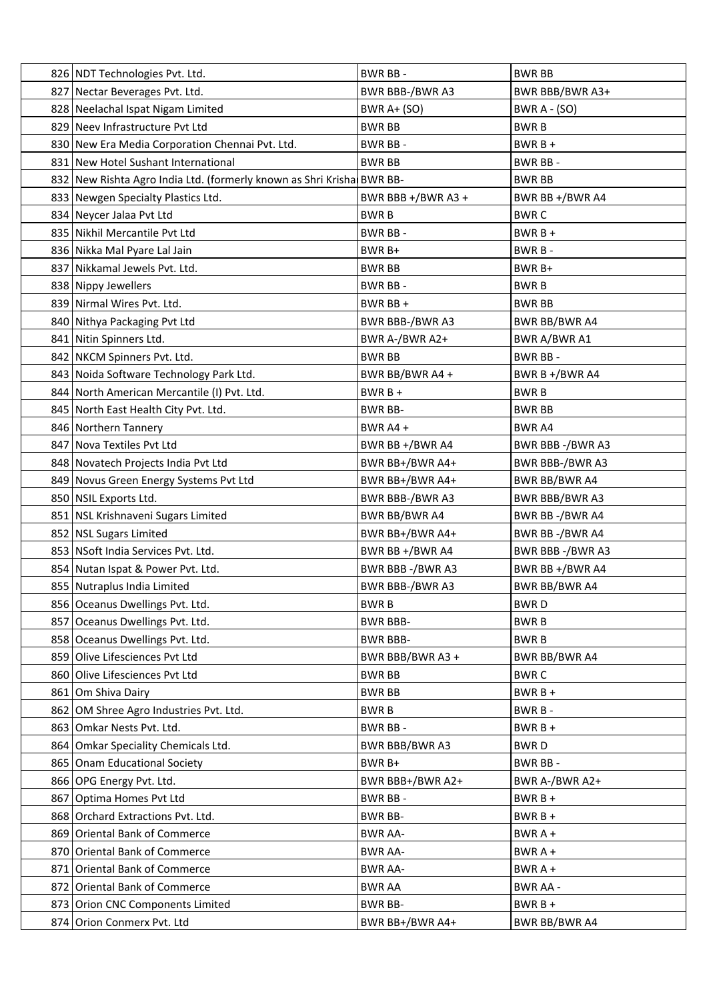| 826 NDT Technologies Pvt. Ltd.                                        | BWR BB-                | <b>BWR BB</b>        |
|-----------------------------------------------------------------------|------------------------|----------------------|
| 827 Nectar Beverages Pvt. Ltd.                                        | BWR BBB-/BWR A3        | BWR BBB/BWR A3+      |
| 828 Neelachal Ispat Nigam Limited                                     | <b>BWR A+ (SO)</b>     | <b>BWR A - (SO)</b>  |
| 829 Neev Infrastructure Pvt Ltd                                       | <b>BWR BB</b>          | <b>BWRB</b>          |
| 830 New Era Media Corporation Chennai Pvt. Ltd.                       | BWR BB-                | $BWRB +$             |
| 831 New Hotel Sushant International                                   | <b>BWR BB</b>          | BWR BB-              |
| 832 New Rishta Agro India Ltd. (formerly known as Shri Krisha BWR BB- |                        | <b>BWR BB</b>        |
| 833 Newgen Specialty Plastics Ltd.                                    | BWR BBB +/BWR A3 +     | BWR BB +/BWR A4      |
| 834 Neycer Jalaa Pvt Ltd                                              | <b>BWRB</b>            | <b>BWRC</b>          |
| 835 Nikhil Mercantile Pvt Ltd                                         | BWR BB-                | $BWRB +$             |
| 836 Nikka Mal Pyare Lal Jain                                          | BWR B+                 | BWR B-               |
| 837 Nikkamal Jewels Pvt. Ltd.                                         | <b>BWR BB</b>          | BWR B+               |
| 838 Nippy Jewellers                                                   | BWR BB-                | <b>BWRB</b>          |
| 839   Nirmal Wires Pvt. Ltd.                                          | BWR BB +               | <b>BWR BB</b>        |
| 840 Nithya Packaging Pvt Ltd                                          | <b>BWR BBB-/BWR A3</b> | BWR BB/BWR A4        |
| 841 Nitin Spinners Ltd.                                               | BWR A-/BWR A2+         | BWR A/BWR A1         |
| 842   NKCM Spinners Pvt. Ltd.                                         | <b>BWR BB</b>          | BWR BB-              |
| 843 Noida Software Technology Park Ltd.                               | BWR BB/BWR A4 +        | BWR B $+/BWR$ A4     |
| 844 North American Mercantile (I) Pvt. Ltd.                           | $BWRB+$                | <b>BWRB</b>          |
| 845 North East Health City Pvt. Ltd.                                  | <b>BWR BB-</b>         | <b>BWR BB</b>        |
| 846 Northern Tannery                                                  | BWR $AA +$             | BWR A4               |
| 847 Nova Textiles Pvt Ltd                                             | BWR BB +/BWR A4        | BWR BBB -/BWR A3     |
| 848 Novatech Projects India Pvt Ltd                                   | BWR BB+/BWR A4+        | BWR BBB-/BWR A3      |
| 849 Novus Green Energy Systems Pvt Ltd                                | BWR BB+/BWR A4+        | BWR BB/BWR A4        |
| 850   NSIL Exports Ltd.                                               | BWR BBB-/BWR A3        | BWR BBB/BWR A3       |
| 851   NSL Krishnaveni Sugars Limited                                  | BWR BB/BWR A4          | BWR BB -/BWR A4      |
| 852 NSL Sugars Limited                                                | BWR BB+/BWR A4+        | BWR BB-/BWR A4       |
| 853   NSoft India Services Pvt. Ltd.                                  | BWR BB +/BWR A4        | BWR BBB -/BWR A3     |
| 854 Nutan Ispat & Power Pvt. Ltd.                                     | BWR BBB-/BWR A3        | BWR BB +/BWR A4      |
| 855 Nutraplus India Limited                                           | BWR BBB-/BWR A3        | <b>BWR BB/BWR A4</b> |
| 856 Oceanus Dwellings Pvt. Ltd.                                       | <b>BWRB</b>            | <b>BWRD</b>          |
| 857 Oceanus Dwellings Pvt. Ltd.                                       | <b>BWR BBB-</b>        | <b>BWRB</b>          |
| 858 Oceanus Dwellings Pvt. Ltd.                                       | <b>BWR BBB-</b>        | <b>BWRB</b>          |
| 859 Olive Lifesciences Pvt Ltd                                        | BWR BBB/BWR A3 +       | <b>BWR BB/BWR A4</b> |
| 860 Olive Lifesciences Pvt Ltd                                        | <b>BWR BB</b>          | <b>BWRC</b>          |
| 861 Om Shiva Dairy                                                    | <b>BWR BB</b>          | $BWRB +$             |
| 862 OM Shree Agro Industries Pvt. Ltd.                                | <b>BWRB</b>            | BWR B-               |
| 863 Omkar Nests Pvt. Ltd.                                             | BWR BB-                | $BWRB +$             |
| 864 Omkar Speciality Chemicals Ltd.                                   | BWR BBB/BWR A3         | <b>BWRD</b>          |
| 865 Onam Educational Society                                          | BWR B+                 | BWR BB-              |
| 866 OPG Energy Pvt. Ltd.                                              | BWR BBB+/BWR A2+       | BWR A-/BWR A2+       |
| 867 Optima Homes Pvt Ltd                                              | BWR BB-                | $BWRB +$             |
| 868 Orchard Extractions Pvt. Ltd.                                     | <b>BWR BB-</b>         | $BWRB +$             |
| 869 Oriental Bank of Commerce                                         | <b>BWR AA-</b>         | BWR A +              |
| 870 Oriental Bank of Commerce                                         | <b>BWR AA-</b>         | BWR A +              |
| 871 Oriental Bank of Commerce                                         | <b>BWR AA-</b>         | BWR A +              |
| 872 Oriental Bank of Commerce                                         | <b>BWR AA</b>          | <b>BWR AA -</b>      |
| 873 Orion CNC Components Limited                                      | <b>BWR BB-</b>         | $BWRB +$             |
| 874 Orion Conmerx Pvt. Ltd                                            | BWR BB+/BWR A4+        | <b>BWR BB/BWR A4</b> |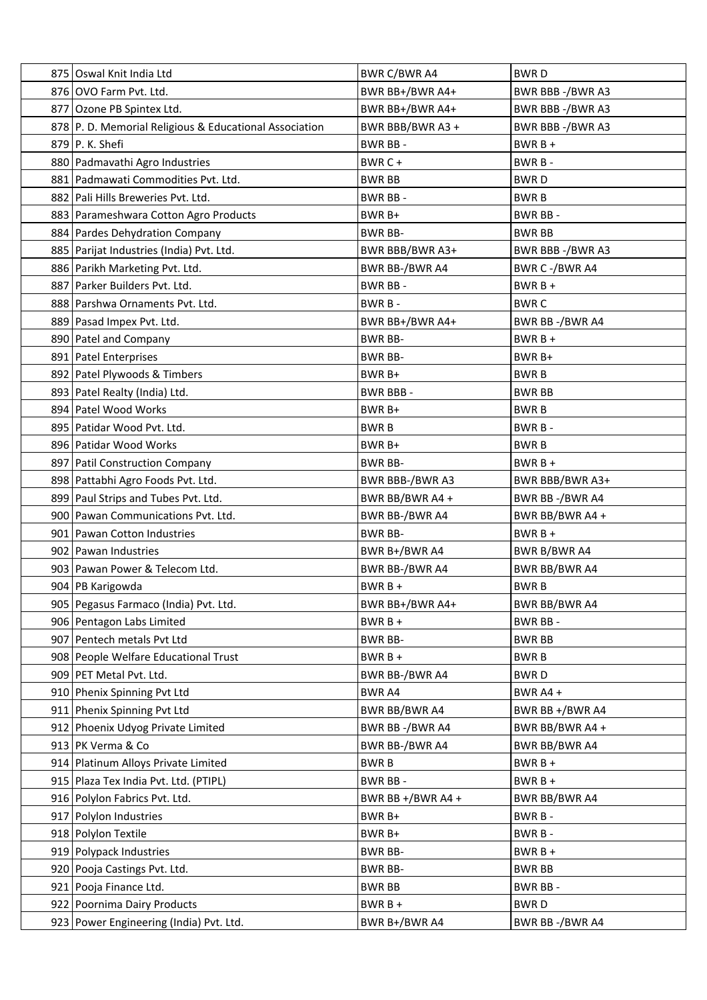| 875 Oswal Knit India Ltd                               | BWR C/BWR A4         | <b>BWRD</b>          |
|--------------------------------------------------------|----------------------|----------------------|
| 876 OVO Farm Pvt. Ltd.                                 | BWR BB+/BWR A4+      | BWR BBB-/BWR A3      |
| 877 Ozone PB Spintex Ltd.                              | BWR BB+/BWR A4+      | BWR BBB-/BWR A3      |
| 878 P. D. Memorial Religious & Educational Association | BWR BBB/BWR A3+      | BWR BBB-/BWR A3      |
| 879 P. K. Shefi                                        | BWR BB-              | $BWRB +$             |
| 880 Padmavathi Agro Industries                         | BWR C+               | BWR B-               |
| 881   Padmawati Commodities Pvt. Ltd.                  | <b>BWR BB</b>        | <b>BWRD</b>          |
| 882 Pali Hills Breweries Pvt. Ltd.                     | BWR BB-              | <b>BWRB</b>          |
| 883   Parameshwara Cotton Agro Products                | BWR B+               | BWR BB-              |
| 884 Pardes Dehydration Company                         | <b>BWR BB-</b>       | <b>BWR BB</b>        |
| 885   Parijat Industries (India) Pvt. Ltd.             | BWR BBB/BWR A3+      | BWR BBB-/BWR A3      |
| 886 Parikh Marketing Pvt. Ltd.                         | BWR BB-/BWR A4       | BWR C-/BWR A4        |
| 887 Parker Builders Pvt. Ltd.                          | BWR BB-              | $BWRB +$             |
| 888 Parshwa Ornaments Pvt. Ltd.                        | BWR B-               | <b>BWRC</b>          |
| 889 Pasad Impex Pvt. Ltd.                              | BWR BB+/BWR A4+      | BWR BB-/BWR A4       |
| 890 Patel and Company                                  | <b>BWR BB-</b>       | $BWRB +$             |
| 891   Patel Enterprises                                | <b>BWR BB-</b>       | BWR B+               |
| 892   Patel Plywoods & Timbers                         | BWR B+               | <b>BWRB</b>          |
| 893   Patel Realty (India) Ltd.                        | <b>BWR BBB-</b>      | <b>BWR BB</b>        |
| 894 Patel Wood Works                                   | BWR B+               | <b>BWRB</b>          |
| 895   Patidar Wood Pvt. Ltd.                           | <b>BWRB</b>          | BWR B-               |
| 896   Patidar Wood Works                               | BWR B+               | <b>BWRB</b>          |
| 897   Patil Construction Company                       | <b>BWR BB-</b>       | $BWRB +$             |
| 898   Pattabhi Agro Foods Pvt. Ltd.                    | BWR BBB-/BWR A3      | BWR BBB/BWR A3+      |
| 899 Paul Strips and Tubes Pvt. Ltd.                    | BWR BB/BWR A4 +      | BWR BB-/BWR A4       |
| 900 Pawan Communications Pvt. Ltd.                     | BWR BB-/BWR A4       | BWR BB/BWR A4 +      |
| 901 Pawan Cotton Industries                            | <b>BWR BB-</b>       | $BWRB +$             |
| 902 Pawan Industries                                   | BWR B+/BWR A4        | BWR B/BWR A4         |
| 903 Pawan Power & Telecom Ltd.                         | BWR BB-/BWR A4       | <b>BWR BB/BWR A4</b> |
| 904   PB Karigowda                                     | $BWRB +$             | <b>BWRB</b>          |
| 905 Pegasus Farmaco (India) Pvt. Ltd.                  | BWR BB+/BWR A4+      | <b>BWR BB/BWR A4</b> |
| 906 Pentagon Labs Limited                              | $BWRB +$             | BWR BB-              |
| 907 Pentech metals Pvt Ltd                             | <b>BWR BB-</b>       | <b>BWR BB</b>        |
| 908 People Welfare Educational Trust                   | $BWRB +$             | <b>BWRB</b>          |
| 909 PET Metal Pvt. Ltd.                                | BWR BB-/BWR A4       | <b>BWRD</b>          |
| 910 Phenix Spinning Pvt Ltd                            | BWR A4               | BWR A4 +             |
| 911 Phenix Spinning Pvt Ltd                            | <b>BWR BB/BWR A4</b> | BWR BB +/BWR A4      |
| 912 Phoenix Udyog Private Limited                      | BWR BB-/BWR A4       | BWR BB/BWR A4 +      |
| 913 PK Verma & Co                                      | BWR BB-/BWR A4       | <b>BWR BB/BWR A4</b> |
| 914 Platinum Alloys Private Limited                    | <b>BWRB</b>          | $BWRB +$             |
| 915   Plaza Tex India Pvt. Ltd. (PTIPL)                | BWR BB-              | $BWRB +$             |
| 916 Polylon Fabrics Pvt. Ltd.                          | BWR BB +/BWR A4 +    | BWR BB/BWR A4        |
| 917 Polylon Industries                                 | BWR B+               | BWR B-               |
| 918 Polylon Textile                                    | BWR B+               | BWR B-               |
| 919 Polypack Industries                                | <b>BWR BB-</b>       | BWR B +              |
| 920 Pooja Castings Pvt. Ltd.                           | <b>BWR BB-</b>       | <b>BWR BB</b>        |
| 921 Pooja Finance Ltd.                                 | <b>BWR BB</b>        | BWR BB-              |
| 922 Poornima Dairy Products                            | $BWRB +$             | <b>BWRD</b>          |
| 923 Power Engineering (India) Pvt. Ltd.                | BWR B+/BWR A4        | BWR BB-/BWR A4       |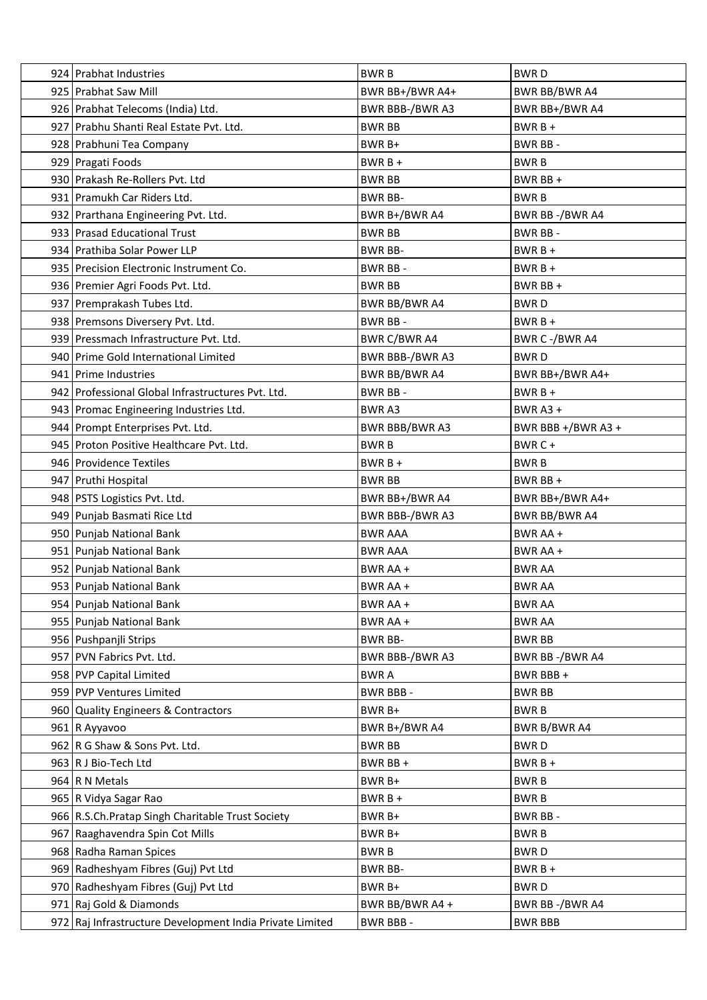| 924   Prabhat Industries                                 | <b>BWRB</b>           | <b>BWRD</b>          |
|----------------------------------------------------------|-----------------------|----------------------|
| 925 Prabhat Saw Mill                                     | BWR BB+/BWR A4+       | <b>BWR BB/BWR A4</b> |
| 926   Prabhat Telecoms (India) Ltd.                      | BWR BBB-/BWR A3       | BWR BB+/BWR A4       |
| 927 Prabhu Shanti Real Estate Pvt. Ltd.                  | <b>BWR BB</b>         | $BWRB +$             |
| 928 Prabhuni Tea Company                                 | BWR B+                | BWR BB -             |
| 929 Pragati Foods                                        | $BWRB+$               | <b>BWRB</b>          |
| 930 Prakash Re-Rollers Pvt. Ltd                          | <b>BWR BB</b>         | BWR BB +             |
| 931 Pramukh Car Riders Ltd.                              | <b>BWR BB-</b>        | <b>BWRB</b>          |
| 932 Prarthana Engineering Pvt. Ltd.                      | BWR B+/BWR A4         | BWR BB-/BWR A4       |
| 933 Prasad Educational Trust                             | <b>BWR BB</b>         | BWR BB-              |
| 934 Prathiba Solar Power LLP                             | <b>BWR BB-</b>        | $BWRB +$             |
| 935 Precision Electronic Instrument Co.                  | BWR BB-               | $BWRB +$             |
| 936   Premier Agri Foods Pvt. Ltd.                       | <b>BWR BB</b>         | BWR BB +             |
| 937 Premprakash Tubes Ltd.                               | <b>BWR BB/BWR A4</b>  | <b>BWRD</b>          |
| 938 Premsons Diversery Pvt. Ltd.                         | BWR BB-               | $BWRB +$             |
| 939 Pressmach Infrastructure Pvt. Ltd.                   | <b>BWR C/BWR A4</b>   | BWR C-/BWR A4        |
| 940 Prime Gold International Limited                     | BWR BBB-/BWR A3       | <b>BWRD</b>          |
| 941 Prime Industries                                     | <b>BWR BB/BWR A4</b>  | BWR BB+/BWR A4+      |
| 942   Professional Global Infrastructures Pvt. Ltd.      | BWR BB-               | $BWRB +$             |
| 943 Promac Engineering Industries Ltd.                   | <b>BWRA3</b>          | BWR A3+              |
| 944 Prompt Enterprises Pvt. Ltd.                         | <b>BWR BBB/BWR A3</b> | BWR BBB +/BWR A3 +   |
| 945   Proton Positive Healthcare Pvt. Ltd.               | <b>BWRB</b>           | BWR C +              |
| 946   Providence Textiles                                | $BWRB +$              | <b>BWRB</b>          |
| 947 Pruthi Hospital                                      | <b>BWR BB</b>         | BWR BB +             |
| 948   PSTS Logistics Pvt. Ltd.                           | BWR BB+/BWR A4        | BWR BB+/BWR A4+      |
| 949 Punjab Basmati Rice Ltd                              | BWR BBB-/BWR A3       | BWR BB/BWR A4        |
| 950 Punjab National Bank                                 | <b>BWR AAA</b>        | BWR AA +             |
| 951 Punjab National Bank                                 | <b>BWR AAA</b>        | BWR AA +             |
| 952 Punjab National Bank                                 | BWR AA +              | <b>BWR AA</b>        |
| 953 Punjab National Bank                                 | BWR AA +              | <b>BWR AA</b>        |
| 954 Punjab National Bank                                 | BWR AA +              | <b>BWR AA</b>        |
| 955 Punjab National Bank                                 | BWR AA +              | <b>BWR AA</b>        |
| 956 Pushpanjli Strips                                    | <b>BWR BB-</b>        | <b>BWR BB</b>        |
| 957 PVN Fabrics Pvt. Ltd.                                | BWR BBB-/BWR A3       | BWR BB-/BWR A4       |
| 958 PVP Capital Limited                                  | <b>BWRA</b>           | BWR BBB +            |
| 959 PVP Ventures Limited                                 | <b>BWR BBB-</b>       | <b>BWR BB</b>        |
| 960 Quality Engineers & Contractors                      | BWR B+                | <b>BWRB</b>          |
| 961 R Ayyavoo                                            | BWR B+/BWR A4         | <b>BWR B/BWR A4</b>  |
| $962$ R G Shaw & Sons Pvt. Ltd.                          | <b>BWR BB</b>         | <b>BWRD</b>          |
| 963   R J Bio-Tech Ltd                                   | BWR BB +              | $BWRB +$             |
| $964$ R N Metals                                         | BWR B+                | <b>BWRB</b>          |
| 965   R Vidya Sagar Rao                                  | $BWRB +$              | <b>BWRB</b>          |
| 966 R.S.Ch.Pratap Singh Charitable Trust Society         | BWR B+                | BWR BB -             |
| 967 Raaghavendra Spin Cot Mills                          | BWR B+                | <b>BWRB</b>          |
| 968 Radha Raman Spices                                   | <b>BWRB</b>           | <b>BWRD</b>          |
| 969 Radheshyam Fibres (Guj) Pvt Ltd                      | <b>BWR BB-</b>        | $BWRB +$             |
| 970 Radheshyam Fibres (Guj) Pvt Ltd                      | BWR B+                | <b>BWRD</b>          |
| 971 Raj Gold & Diamonds                                  | BWR BB/BWR A4 +       | BWR BB-/BWR A4       |
| 972 Raj Infrastructure Development India Private Limited | <b>BWR BBB-</b>       | <b>BWR BBB</b>       |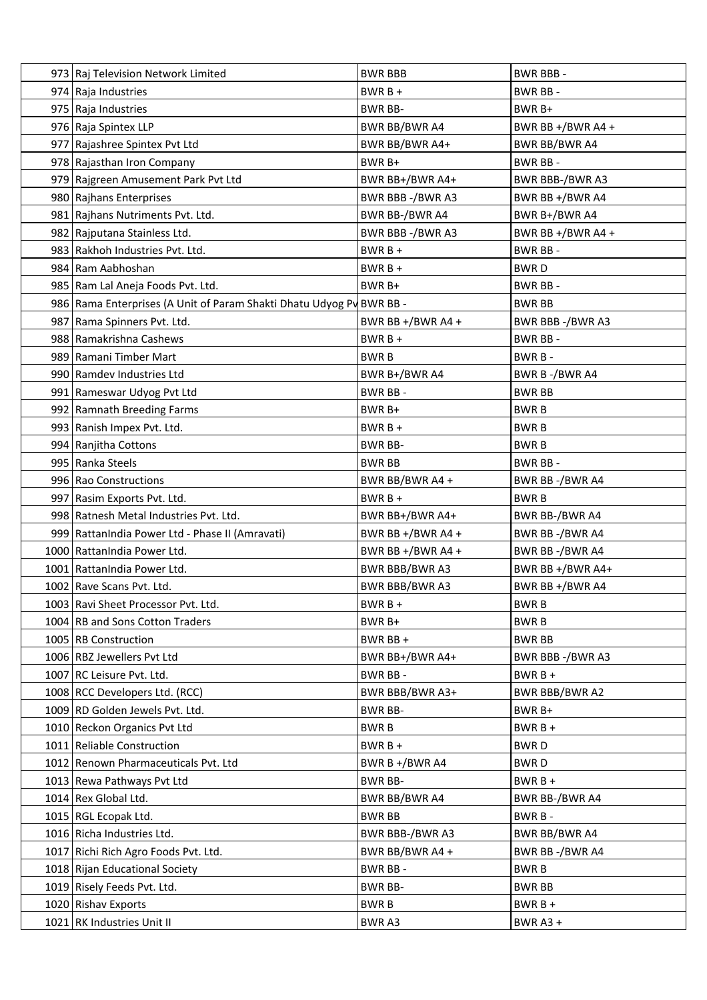| 973 Raj Television Network Limited                                   | <b>BWR BBB</b>        | <b>BWR BBB-</b>   |
|----------------------------------------------------------------------|-----------------------|-------------------|
| 974 Raja Industries                                                  | $BWRB+$               | BWR BB-           |
| 975   Raja Industries                                                | BWR BB-               | BWR B+            |
| 976 Raja Spintex LLP                                                 | <b>BWR BB/BWR A4</b>  | BWR BB +/BWR A4 + |
| 977 Rajashree Spintex Pvt Ltd                                        | BWR BB/BWR A4+        | BWR BB/BWR A4     |
| 978 Rajasthan Iron Company                                           | BWR B+                | BWR BB-           |
| 979 Rajgreen Amusement Park Pvt Ltd                                  | BWR BB+/BWR A4+       | BWR BBB-/BWR A3   |
| 980 Rajhans Enterprises                                              | BWR BBB-/BWR A3       | BWR BB +/BWR A4   |
| 981 Rajhans Nutriments Pvt. Ltd.                                     | BWR BB-/BWR A4        | BWR B+/BWR A4     |
| 982 Rajputana Stainless Ltd.                                         | BWR BBB-/BWR A3       | BWR BB +/BWR A4 + |
| 983 Rakhoh Industries Pvt. Ltd.                                      | $BWRB+$               | BWR BB-           |
| 984 Ram Aabhoshan                                                    | $BWRB+$               | <b>BWRD</b>       |
| 985   Ram Lal Aneja Foods Pvt. Ltd.                                  | BWR B+                | BWR BB-           |
| 986 Rama Enterprises (A Unit of Param Shakti Dhatu Udyog Pv BWR BB - |                       | <b>BWR BB</b>     |
| 987 Rama Spinners Pvt. Ltd.                                          | BWR BB +/BWR A4 +     | BWR BBB-/BWR A3   |
| 988 Ramakrishna Cashews                                              | $BWRB+$               | BWR BB-           |
| 989 Ramani Timber Mart                                               | <b>BWRB</b>           | BWR B -           |
| 990 Ramdev Industries Ltd                                            | BWR B+/BWR A4         | BWR B-/BWR A4     |
| 991 Rameswar Udyog Pvt Ltd                                           | BWR BB-               | <b>BWR BB</b>     |
| 992 Ramnath Breeding Farms                                           | BWR B+                | BWR B             |
| 993   Ranish Impex Pvt. Ltd.                                         | $BWRB+$               | <b>BWRB</b>       |
| 994 Ranjitha Cottons                                                 | <b>BWR BB-</b>        | <b>BWRB</b>       |
| 995   Ranka Steels                                                   | <b>BWR BB</b>         | BWR BB-           |
| 996 Rao Constructions                                                | BWR BB/BWR A4 +       | BWR BB -/BWR A4   |
| 997   Rasim Exports Pvt. Ltd.                                        | $BWRB+$               | <b>BWRB</b>       |
| 998 Ratnesh Metal Industries Pvt. Ltd.                               | BWR BB+/BWR A4+       | BWR BB-/BWR A4    |
| 999   RattanIndia Power Ltd - Phase II (Amravati)                    | BWR BB +/BWR A4 +     | BWR BB-/BWR A4    |
| 1000 RattanIndia Power Ltd.                                          | BWR BB +/BWR A4 +     | BWR BB-/BWR A4    |
| 1001 RattanIndia Power Ltd.                                          | BWR BBB/BWR A3        | BWR BB +/BWR A4+  |
| 1002 Rave Scans Pvt. Ltd.                                            | <b>BWR BBB/BWR A3</b> | BWR BB +/BWR A4   |
| 1003 Ravi Sheet Processor Pvt. Ltd.                                  | $BWRB+$               | <b>BWRB</b>       |
| 1004 RB and Sons Cotton Traders                                      | BWR B+                | <b>BWRB</b>       |
| 1005 RB Construction                                                 | BWR BB+               | <b>BWR BB</b>     |
| 1006 RBZ Jewellers Pvt Ltd                                           | BWR BB+/BWR A4+       | BWR BBB -/BWR A3  |
| 1007 RC Leisure Pvt. Ltd.                                            | BWR BB-               | BWR B +           |
| 1008 RCC Developers Ltd. (RCC)                                       | BWR BBB/BWR A3+       | BWR BBB/BWR A2    |
| 1009 RD Golden Jewels Pvt. Ltd.                                      | <b>BWR BB-</b>        | BWR B+            |
| 1010 Reckon Organics Pvt Ltd                                         | <b>BWRB</b>           | $BWRB +$          |
| 1011 Reliable Construction                                           | $BWRB +$              | <b>BWRD</b>       |
| 1012 Renown Pharmaceuticals Pvt. Ltd                                 | BWR B $+/BWR$ A4      | <b>BWRD</b>       |
| 1013 Rewa Pathways Pvt Ltd                                           | <b>BWR BB-</b>        | $BWRB +$          |
| 1014 Rex Global Ltd.                                                 | BWR BB/BWR A4         | BWR BB-/BWR A4    |
| 1015   RGL Ecopak Ltd.                                               | <b>BWR BB</b>         | BWR B-            |
| 1016 Richa Industries Ltd.                                           | BWR BBB-/BWR A3       | BWR BB/BWR A4     |
| 1017 Richi Rich Agro Foods Pvt. Ltd.                                 | BWR BB/BWR A4 +       | BWR BB-/BWR A4    |
| 1018 Rijan Educational Society                                       | BWR BB-               | <b>BWRB</b>       |
| 1019 Risely Feeds Pvt. Ltd.                                          | <b>BWR BB-</b>        | BWR BB            |
| 1020 Rishav Exports                                                  | <b>BWRB</b>           | $BWRB +$          |
| 1021 RK Industries Unit II                                           | BWR A3                | <b>BWR A3 +</b>   |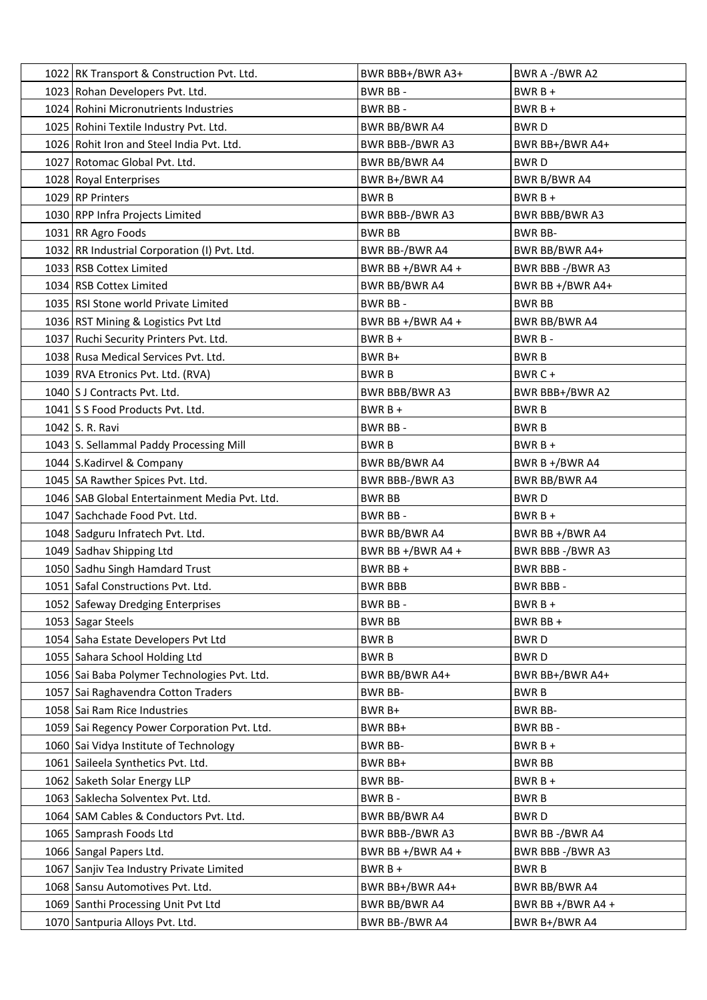| 1022 RK Transport & Construction Pvt. Ltd.     | BWR BBB+/BWR A3+     | BWR A-/BWR A2         |
|------------------------------------------------|----------------------|-----------------------|
| 1023 Rohan Developers Pvt. Ltd.                | BWR BB-              | $BWRB +$              |
| 1024 Rohini Micronutrients Industries          | BWR BB-              | $BWRB+$               |
| 1025 Rohini Textile Industry Pvt. Ltd.         | <b>BWR BB/BWR A4</b> | <b>BWRD</b>           |
| 1026 Rohit Iron and Steel India Pvt. Ltd.      | BWR BBB-/BWR A3      | BWR BB+/BWR A4+       |
| 1027 Rotomac Global Pvt. Ltd.                  | <b>BWR BB/BWR A4</b> | <b>BWRD</b>           |
| 1028 Royal Enterprises                         | BWR B+/BWR A4        | BWR B/BWR A4          |
| 1029 RP Printers                               | <b>BWRB</b>          | $BWRB +$              |
| 1030 RPP Infra Projects Limited                | BWR BBB-/BWR A3      | <b>BWR BBB/BWR A3</b> |
| 1031 RR Agro Foods                             | <b>BWR BB</b>        | <b>BWR BB-</b>        |
| 1032   RR Industrial Corporation (I) Pvt. Ltd. | BWR BB-/BWR A4       | BWR BB/BWR A4+        |
| 1033 RSB Cottex Limited                        | BWR BB +/BWR A4 +    | BWR BBB-/BWR A3       |
| 1034 RSB Cottex Limited                        | BWR BB/BWR A4        | BWR BB +/BWR A4+      |
| 1035   RSI Stone world Private Limited         | BWR BB-              | <b>BWR BB</b>         |
| 1036 RST Mining & Logistics Pvt Ltd            | BWR BB +/BWR A4 +    | <b>BWR BB/BWR A4</b>  |
| 1037 Ruchi Security Printers Pvt. Ltd.         | $BWRB +$             | BWR B -               |
| 1038 Rusa Medical Services Pvt. Ltd.           | BWR B+               | <b>BWRB</b>           |
| 1039 RVA Etronics Pvt. Ltd. (RVA)              | <b>BWRB</b>          | $BWRC +$              |
| 1040 S J Contracts Pvt. Ltd.                   | BWR BBB/BWR A3       | BWR BBB+/BWR A2       |
| 1041 S S Food Products Pvt. Ltd.               | $BWRB +$             | <b>BWRB</b>           |
| 1042 S. R. Ravi                                | BWR BB-              | <b>BWRB</b>           |
| 1043 S. Sellammal Paddy Processing Mill        | <b>BWRB</b>          | $BWRB+$               |
| 1044 S.Kadirvel & Company                      | BWR BB/BWR A4        | BWR B +/BWR A4        |
| 1045 SA Rawther Spices Pvt. Ltd.               | BWR BBB-/BWR A3      | BWR BB/BWR A4         |
| 1046 SAB Global Entertainment Media Pvt. Ltd.  | <b>BWR BB</b>        | <b>BWRD</b>           |
| 1047 Sachchade Food Pvt. Ltd.                  | BWR BB-              | $BWRB +$              |
| 1048 Sadguru Infratech Pvt. Ltd.               | BWR BB/BWR A4        | BWR BB +/BWR A4       |
| 1049 Sadhav Shipping Ltd                       | BWR BB +/BWR A4 +    | BWR BBB-/BWR A3       |
| 1050 Sadhu Singh Hamdard Trust                 | BWR BB +             | <b>BWR BBB-</b>       |
| 1051 Safal Constructions Pvt. Ltd.             | <b>BWR BBB</b>       | <b>BWR BBB-</b>       |
| 1052 Safeway Dredging Enterprises              | BWR BB-              | $BWRB +$              |
| 1053 Sagar Steels                              | <b>BWR BB</b>        | BWR BB +              |
| 1054 Saha Estate Developers Pvt Ltd            | <b>BWRB</b>          | <b>BWRD</b>           |
| 1055 Sahara School Holding Ltd                 | <b>BWRB</b>          | <b>BWRD</b>           |
| 1056 Sai Baba Polymer Technologies Pvt. Ltd.   | BWR BB/BWR A4+       | BWR BB+/BWR A4+       |
| 1057 Sai Raghavendra Cotton Traders            | <b>BWR BB-</b>       | <b>BWRB</b>           |
| 1058 Sai Ram Rice Industries                   | BWR B+               | <b>BWR BB-</b>        |
| 1059 Sai Regency Power Corporation Pvt. Ltd.   | BWR BB+              | <b>BWR BB-</b>        |
| 1060 Sai Vidya Institute of Technology         | <b>BWR BB-</b>       | $BWRB +$              |
| 1061 Saileela Synthetics Pvt. Ltd.             | BWR BB+              | <b>BWR BB</b>         |
| 1062 Saketh Solar Energy LLP                   | <b>BWR BB-</b>       | $BWRB +$              |
| 1063 Saklecha Solventex Pvt. Ltd.              | BWR B-               | <b>BWRB</b>           |
| 1064 SAM Cables & Conductors Pvt. Ltd.         | BWR BB/BWR A4        | <b>BWRD</b>           |
| 1065 Samprash Foods Ltd                        | BWR BBB-/BWR A3      | BWR BB-/BWR A4        |
| 1066 Sangal Papers Ltd.                        | BWR BB $+/BWR$ A4 +  | BWR BBB -/BWR A3      |
| 1067 Sanjiv Tea Industry Private Limited       | $BWRB +$             | <b>BWRB</b>           |
| 1068 Sansu Automotives Pvt. Ltd.               | BWR BB+/BWR A4+      | BWR BB/BWR A4         |
| 1069 Santhi Processing Unit Pvt Ltd            | <b>BWR BB/BWR A4</b> | BWR BB $+/BWR$ A4 +   |
| 1070 Santpuria Alloys Pvt. Ltd.                | BWR BB-/BWR A4       | BWR B+/BWR A4         |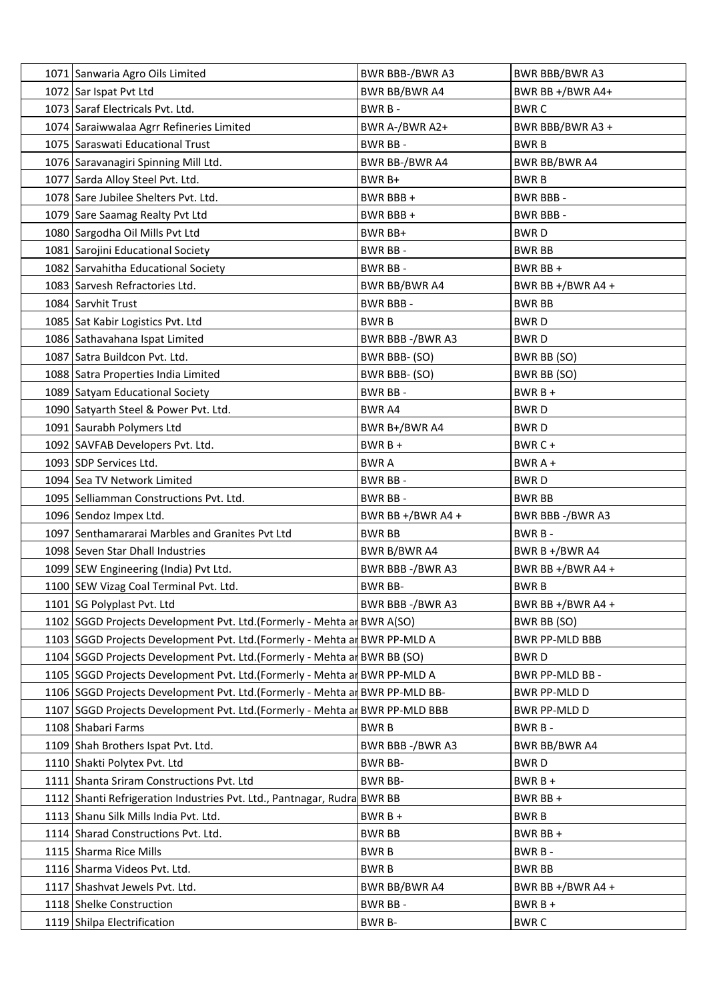| 1071 Sanwaria Agro Oils Limited                                              | BWR BBB-/BWR A3      | BWR BBB/BWR A3        |
|------------------------------------------------------------------------------|----------------------|-----------------------|
| 1072 Sar Ispat Pvt Ltd                                                       | <b>BWR BB/BWR A4</b> | BWR BB +/BWR A4+      |
| 1073 Saraf Electricals Pvt. Ltd.                                             | BWR B-               | <b>BWRC</b>           |
| 1074 Saraiwwalaa Agrr Refineries Limited                                     | BWR A-/BWR A2+       | BWR BBB/BWR A3 +      |
| 1075 Saraswati Educational Trust                                             | BWR BB-              | <b>BWRB</b>           |
| 1076 Saravanagiri Spinning Mill Ltd.                                         | BWR BB-/BWR A4       | <b>BWR BB/BWR A4</b>  |
| 1077 Sarda Alloy Steel Pvt. Ltd.                                             | BWR B+               | <b>BWRB</b>           |
| 1078 Sare Jubilee Shelters Pvt. Ltd.                                         | BWR BBB+             | <b>BWR BBB-</b>       |
| 1079 Sare Saamag Realty Pvt Ltd                                              | BWR BBB+             | BWR BBB -             |
| 1080 Sargodha Oil Mills Pvt Ltd                                              | BWR BB+              | <b>BWRD</b>           |
| 1081 Sarojini Educational Society                                            | BWR BB-              | <b>BWR BB</b>         |
| 1082 Sarvahitha Educational Society                                          | BWR BB-              | BWR BB +              |
| 1083 Sarvesh Refractories Ltd.                                               | BWR BB/BWR A4        | BWR BB +/BWR A4 +     |
| 1084 Sarvhit Trust                                                           | <b>BWR BBB-</b>      | <b>BWR BB</b>         |
| 1085   Sat Kabir Logistics Pvt. Ltd                                          | <b>BWR B</b>         | <b>BWRD</b>           |
| 1086 Sathavahana Ispat Limited                                               | BWR BBB-/BWR A3      | <b>BWRD</b>           |
| 1087 Satra Buildcon Pvt. Ltd.                                                | BWR BBB- (SO)        | BWR BB (SO)           |
| 1088 Satra Properties India Limited                                          | BWR BBB- (SO)        | BWR BB (SO)           |
| 1089 Satyam Educational Society                                              | BWR BB-              | $BWRB +$              |
| 1090 Satyarth Steel & Power Pvt. Ltd.                                        | <b>BWR A4</b>        | <b>BWRD</b>           |
| 1091 Saurabh Polymers Ltd                                                    | BWR B+/BWR A4        | <b>BWRD</b>           |
| 1092 SAVFAB Developers Pvt. Ltd.                                             | $BWRB +$             | BWR C +               |
| 1093 SDP Services Ltd.                                                       | <b>BWRA</b>          | $BWRA +$              |
| 1094 Sea TV Network Limited                                                  | BWR BB-              | <b>BWRD</b>           |
| 1095 Selliamman Constructions Pvt. Ltd.                                      | BWR BB-              | <b>BWR BB</b>         |
| 1096 Sendoz Impex Ltd.                                                       | BWR BB +/BWR A4 +    | BWR BBB-/BWR A3       |
| 1097 Senthamararai Marbles and Granites Pvt Ltd                              | <b>BWR BB</b>        | BWR B-                |
| 1098 Seven Star Dhall Industries                                             | BWR B/BWR A4         | BWR B +/BWR A4        |
| 1099 SEW Engineering (India) Pvt Ltd.                                        | BWR BBB-/BWR A3      | BWR BB +/BWR A4 +     |
| 1100 SEW Vizag Coal Terminal Pvt. Ltd.                                       | <b>BWR BB-</b>       | <b>BWRB</b>           |
| 1101 SG Polyplast Pvt. Ltd                                                   | BWR BBB-/BWR A3      | BWR BB +/BWR A4 +     |
| 1102 SGGD Projects Development Pvt. Ltd. (Formerly - Mehta an BWR A(SO)      |                      | BWR BB (SO)           |
| 1103 SGGD Projects Development Pvt. Ltd. (Formerly - Mehta an BWR PP-MLD A   |                      | <b>BWR PP-MLD BBB</b> |
| 1104 SGGD Projects Development Pvt. Ltd. (Formerly - Mehta an BWR BB (SO)    |                      | <b>BWRD</b>           |
| 1105 SGGD Projects Development Pvt. Ltd. (Formerly - Mehta an BWR PP-MLD A   |                      | BWR PP-MLD BB -       |
| 1106 SGGD Projects Development Pvt. Ltd. (Formerly - Mehta an BWR PP-MLD BB- |                      | BWR PP-MLD D          |
| 1107 SGGD Projects Development Pvt. Ltd. (Formerly - Mehta an BWR PP-MLD BBB |                      | <b>BWR PP-MLD D</b>   |
| 1108 Shabari Farms                                                           | <b>BWRB</b>          | BWR B-                |
| 1109 Shah Brothers Ispat Pvt. Ltd.                                           | BWR BBB-/BWR A3      | BWR BB/BWR A4         |
| 1110 Shakti Polytex Pvt. Ltd                                                 | <b>BWR BB-</b>       | <b>BWRD</b>           |
| 1111 Shanta Sriram Constructions Pvt. Ltd                                    | <b>BWR BB-</b>       | $BWRB +$              |
| 1112 Shanti Refrigeration Industries Pvt. Ltd., Pantnagar, Rudra BWR BB      |                      | BWR BB +              |
| 1113 Shanu Silk Mills India Pvt. Ltd.                                        | $BWRB+$              | <b>BWRB</b>           |
| 1114 Sharad Constructions Pvt. Ltd.                                          | <b>BWR BB</b>        | BWR BB +              |
| 1115 Sharma Rice Mills                                                       | <b>BWRB</b>          | BWR B -               |
| 1116 Sharma Videos Pvt. Ltd.                                                 | <b>BWRB</b>          | <b>BWR BB</b>         |
| 1117 Shashvat Jewels Pvt. Ltd.                                               | BWR BB/BWR A4        | BWR BB +/BWR A4 +     |
| 1118 Shelke Construction                                                     | BWR BB-              | $BWRB +$              |
| 1119 Shilpa Electrification                                                  | <b>BWR B-</b>        | BWR C                 |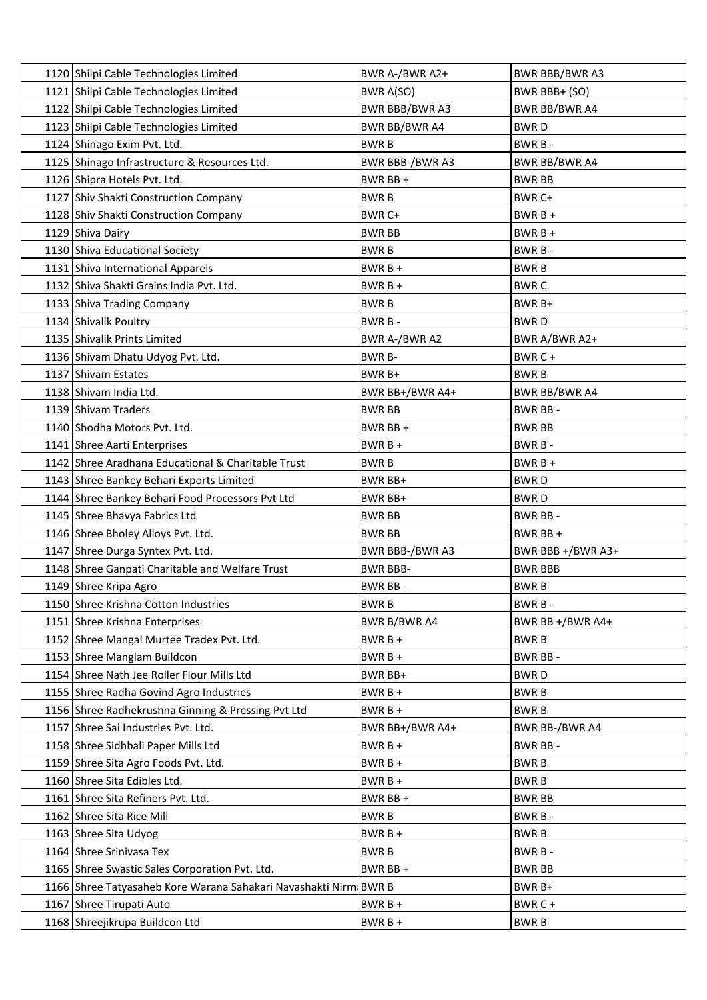| 1120 Shilpi Cable Technologies Limited                           | BWR A-/BWR A2+        | BWR BBB/BWR A3        |
|------------------------------------------------------------------|-----------------------|-----------------------|
| 1121 Shilpi Cable Technologies Limited                           | BWR A(SO)             | BWR BBB+ (SO)         |
| 1122 Shilpi Cable Technologies Limited                           | <b>BWR BBB/BWR A3</b> | BWR BB/BWR A4         |
| 1123 Shilpi Cable Technologies Limited                           | <b>BWR BB/BWR A4</b>  | <b>BWRD</b>           |
| 1124 Shinago Exim Pvt. Ltd.                                      | <b>BWRB</b>           | BWR B-                |
| 1125 Shinago Infrastructure & Resources Ltd.                     | BWR BBB-/BWR A3       | <b>BWR BB/BWR A4</b>  |
| 1126 Shipra Hotels Pvt. Ltd.                                     | BWR BB +              | <b>BWR BB</b>         |
| 1127 Shiv Shakti Construction Company                            | <b>BWRB</b>           | BWR C+                |
| 1128 Shiv Shakti Construction Company                            | BWR C+                | $BWRB +$              |
| 1129 Shiva Dairy                                                 | <b>BWR BB</b>         | $BWRB +$              |
| 1130 Shiva Educational Society                                   | <b>BWRB</b>           | BWR B-                |
| 1131 Shiva International Apparels                                | $BWRB+$               | <b>BWRB</b>           |
| 1132 Shiva Shakti Grains India Pvt. Ltd.                         | $BWRB+$               | <b>BWRC</b>           |
| 1133 Shiva Trading Company                                       | <b>BWRB</b>           | BWR B+                |
| 1134 Shivalik Poultry                                            | BWR B-                | <b>BWRD</b>           |
| 1135 Shivalik Prints Limited                                     | BWR A-/BWR A2         | BWR A/BWR A2+         |
| 1136 Shivam Dhatu Udyog Pvt. Ltd.                                | BWR B-                | $BWRC +$              |
| 1137 Shivam Estates                                              | BWR B+                | <b>BWRB</b>           |
| 1138 Shivam India Ltd.                                           | BWR BB+/BWR A4+       | <b>BWR BB/BWR A4</b>  |
| 1139 Shivam Traders                                              | <b>BWR BB</b>         | BWR BB-               |
| 1140 Shodha Motors Pvt. Ltd.                                     | BWR BB +              | <b>BWR BB</b>         |
| 1141 Shree Aarti Enterprises                                     | $BWRB+$               | BWR B-                |
| 1142 Shree Aradhana Educational & Charitable Trust               | <b>BWRB</b>           | $BWRB +$              |
| 1143 Shree Bankey Behari Exports Limited                         | BWR BB+               | <b>BWRD</b>           |
| 1144 Shree Bankey Behari Food Processors Pvt Ltd                 | BWR BB+               | <b>BWRD</b>           |
| 1145 Shree Bhavya Fabrics Ltd                                    | <b>BWR BB</b>         | BWR BB -              |
| 1146 Shree Bholey Alloys Pvt. Ltd.                               | <b>BWR BB</b>         | BWR BB +              |
| 1147 Shree Durga Syntex Pvt. Ltd.                                | BWR BBB-/BWR A3       | BWR BBB +/BWR A3+     |
| 1148 Shree Ganpati Charitable and Welfare Trust                  | <b>BWR BBB-</b>       | <b>BWR BBB</b>        |
| 1149 Shree Kripa Agro                                            | BWR BB-               | <b>BWRB</b>           |
| 1150 Shree Krishna Cotton Industries                             | <b>BWRB</b>           | BWR B-                |
| 1151 Shree Krishna Enterprises                                   | BWR B/BWR A4          | BWR BB $+/BWR$ A4+    |
| 1152 Shree Mangal Murtee Tradex Pvt. Ltd.                        | $BWRB +$              | <b>BWRB</b>           |
| 1153 Shree Manglam Buildcon                                      | BWR B +               | BWR BB-               |
| 1154 Shree Nath Jee Roller Flour Mills Ltd                       | BWR BB+               | <b>BWRD</b>           |
| 1155 Shree Radha Govind Agro Industries                          | $BWRB +$              | <b>BWRB</b>           |
| 1156 Shree Radhekrushna Ginning & Pressing Pvt Ltd               | $BWRB +$              | <b>BWRB</b>           |
| 1157 Shree Sai Industries Pvt. Ltd.                              | BWR BB+/BWR A4+       | <b>BWR BB-/BWR A4</b> |
| 1158 Shree Sidhbali Paper Mills Ltd                              | $BWRB +$              | BWR BB -              |
| 1159 Shree Sita Agro Foods Pvt. Ltd.                             | $BWRB +$              | <b>BWRB</b>           |
| 1160 Shree Sita Edibles Ltd.                                     | $BWRB +$              | <b>BWRB</b>           |
| 1161 Shree Sita Refiners Pvt. Ltd.                               | BWR BB +              | <b>BWR BB</b>         |
| 1162 Shree Sita Rice Mill                                        | <b>BWRB</b>           | BWR B-                |
| 1163 Shree Sita Udyog                                            | $BWRB +$              | <b>BWRB</b>           |
| 1164 Shree Srinivasa Tex                                         | <b>BWRB</b>           | BWR B -               |
| 1165 Shree Swastic Sales Corporation Pvt. Ltd.                   | BWR BB +              | <b>BWR BB</b>         |
| 1166 Shree Tatyasaheb Kore Warana Sahakari Navashakti Nirm BWR B |                       | BWR B+                |
| 1167 Shree Tirupati Auto                                         | $BWRB +$              | BWR C +               |
| 1168 Shreejikrupa Buildcon Ltd                                   | $BWRB +$              | <b>BWRB</b>           |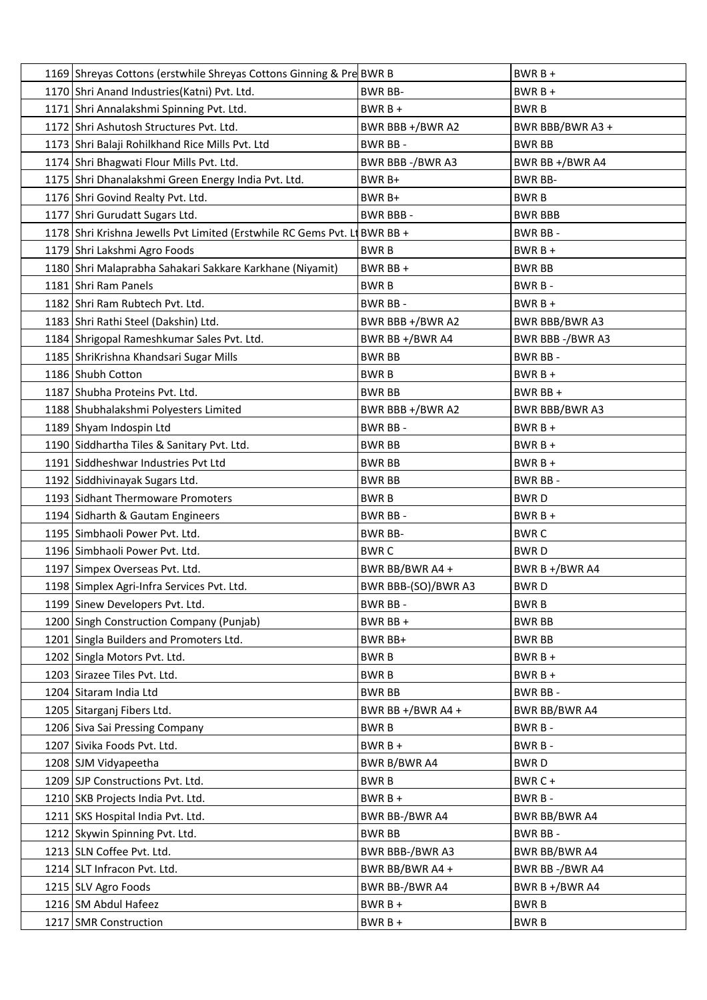| 1169 Shreyas Cottons (erstwhile Shreyas Cottons Ginning & Pre BWR B       |                     | BWR B +               |
|---------------------------------------------------------------------------|---------------------|-----------------------|
| 1170 Shri Anand Industries (Katni) Pvt. Ltd.                              | <b>BWR BB-</b>      | $BWRB +$              |
| 1171 Shri Annalakshmi Spinning Pvt. Ltd.                                  | $BWRB+$             | <b>BWRB</b>           |
| 1172 Shri Ashutosh Structures Pvt. Ltd.                                   | BWR BBB +/BWR A2    | BWR BBB/BWR A3 +      |
| 1173 Shri Balaji Rohilkhand Rice Mills Pvt. Ltd                           | BWR BB-             | <b>BWR BB</b>         |
| 1174 Shri Bhagwati Flour Mills Pvt. Ltd.                                  | BWR BBB-/BWR A3     | BWR BB +/BWR A4       |
| 1175 Shri Dhanalakshmi Green Energy India Pvt. Ltd.                       | BWR B+              | <b>BWR BB-</b>        |
| 1176 Shri Govind Realty Pvt. Ltd.                                         | BWR B+              | <b>BWRB</b>           |
| 1177 Shri Gurudatt Sugars Ltd.                                            | <b>BWR BBB-</b>     | <b>BWR BBB</b>        |
| 1178 Shri Krishna Jewells Pvt Limited (Erstwhile RC Gems Pvt. Lt BWR BB + |                     | <b>BWR BB-</b>        |
| 1179 Shri Lakshmi Agro Foods                                              | <b>BWRB</b>         | BWR B +               |
| 1180 Shri Malaprabha Sahakari Sakkare Karkhane (Niyamit)                  | BWR BB +            | <b>BWR BB</b>         |
| 1181 Shri Ram Panels                                                      | <b>BWRB</b>         | BWR B-                |
| 1182 Shri Ram Rubtech Pvt. Ltd.                                           | BWR BB-             | $BWRB +$              |
| 1183 Shri Rathi Steel (Dakshin) Ltd.                                      | BWR BBB +/BWR A2    | <b>BWR BBB/BWR A3</b> |
| 1184 Shrigopal Rameshkumar Sales Pvt. Ltd.                                | BWR BB +/BWR A4     | BWR BBB-/BWR A3       |
| 1185 ShriKrishna Khandsari Sugar Mills                                    | <b>BWR BB</b>       | BWR BB -              |
| 1186 Shubh Cotton                                                         | <b>BWRB</b>         | $BWRB+$               |
| 1187 Shubha Proteins Pvt. Ltd.                                            | <b>BWR BB</b>       | BWR BB $+$            |
| 1188 Shubhalakshmi Polyesters Limited                                     | BWR BBB +/BWR A2    | BWR BBB/BWR A3        |
| 1189 Shyam Indospin Ltd                                                   | BWR BB-             | $BWRB +$              |
| 1190 Siddhartha Tiles & Sanitary Pvt. Ltd.                                | <b>BWR BB</b>       | $BWRB +$              |
| 1191 Siddheshwar Industries Pvt Ltd                                       | <b>BWR BB</b>       | $BWRB +$              |
| 1192 Siddhivinayak Sugars Ltd.                                            | <b>BWR BB</b>       | <b>BWR BB-</b>        |
| 1193 Sidhant Thermoware Promoters                                         | <b>BWRB</b>         | <b>BWRD</b>           |
| 1194 Sidharth & Gautam Engineers                                          | BWR BB-             | $BWRB +$              |
| 1195 Simbhaoli Power Pvt. Ltd.                                            | <b>BWR BB-</b>      | <b>BWRC</b>           |
| 1196 Simbhaoli Power Pvt. Ltd.                                            | <b>BWRC</b>         | <b>BWRD</b>           |
| 1197 Simpex Overseas Pvt. Ltd.                                            | BWR BB/BWR A4 +     | BWR B +/BWR A4        |
| 1198 Simplex Agri-Infra Services Pvt. Ltd.                                | BWR BBB-(SO)/BWR A3 | <b>BWRD</b>           |
| 1199 Sinew Developers Pvt. Ltd.                                           | BWR BB-             | <b>BWRB</b>           |
| 1200 Singh Construction Company (Punjab)                                  | BWR BB +            | <b>BWR BB</b>         |
| 1201 Singla Builders and Promoters Ltd.                                   | BWR BB+             | <b>BWR BB</b>         |
| 1202 Singla Motors Pvt. Ltd.                                              | <b>BWRB</b>         | $BWRB +$              |
| 1203 Sirazee Tiles Pvt. Ltd.                                              | <b>BWRB</b>         | $BWRB +$              |
| 1204 Sitaram India Ltd                                                    | <b>BWR BB</b>       | BWR BB-               |
| 1205 Sitarganj Fibers Ltd.                                                | BWR BB +/BWR A4 +   | <b>BWR BB/BWR A4</b>  |
| 1206 Siva Sai Pressing Company                                            | <b>BWRB</b>         | BWR B-                |
| 1207 Sivika Foods Pvt. Ltd.                                               | $BWRB +$            | BWR B-                |
| 1208 SJM Vidyapeetha                                                      | BWR B/BWR A4        | <b>BWRD</b>           |
| 1209 SJP Constructions Pvt. Ltd.                                          | <b>BWRB</b>         | BWR C +               |
| 1210 SKB Projects India Pvt. Ltd.                                         | $BWRB +$            | BWR B-                |
| 1211 SKS Hospital India Pvt. Ltd.                                         | BWR BB-/BWR A4      | BWR BB/BWR A4         |
| 1212 Skywin Spinning Pvt. Ltd.                                            | <b>BWR BB</b>       | BWR BB-               |
| 1213 SLN Coffee Pvt. Ltd.                                                 | BWR BBB-/BWR A3     | BWR BB/BWR A4         |
| 1214 SLT Infracon Pvt. Ltd.                                               | BWR BB/BWR A4 +     | BWR BB-/BWR A4        |
| 1215 SLV Agro Foods                                                       | BWR BB-/BWR A4      | BWR B +/BWR A4        |
| 1216 SM Abdul Hafeez                                                      | $BWRB +$            | <b>BWRB</b>           |
| 1217 SMR Construction                                                     | $BWRB +$            | <b>BWRB</b>           |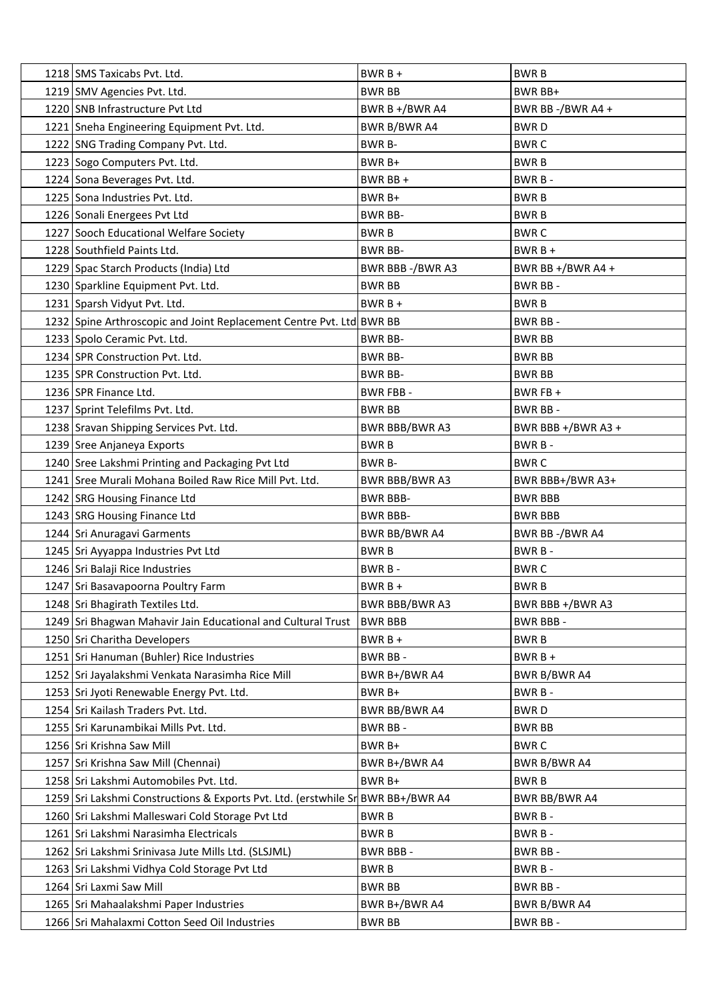| 1218 SMS Taxicabs Pvt. Ltd.                                                     | $BWRB+$               | <b>BWRB</b>          |
|---------------------------------------------------------------------------------|-----------------------|----------------------|
| 1219 SMV Agencies Pvt. Ltd.                                                     | <b>BWR BB</b>         | BWR BB+              |
| 1220 SNB Infrastructure Pvt Ltd                                                 | BWR B $+/BWR$ A4      | BWR BB-/BWR A4+      |
| 1221 Sneha Engineering Equipment Pvt. Ltd.                                      | BWR B/BWR A4          | <b>BWRD</b>          |
| 1222 SNG Trading Company Pvt. Ltd.                                              | BWR B-                | <b>BWRC</b>          |
| 1223 Sogo Computers Pvt. Ltd.                                                   | BWR B+                | <b>BWRB</b>          |
| 1224 Sona Beverages Pvt. Ltd.                                                   | BWR BB+               | BWR B-               |
| 1225 Sona Industries Pvt. Ltd.                                                  | BWR B+                | <b>BWRB</b>          |
| 1226 Sonali Energees Pvt Ltd                                                    | <b>BWR BB-</b>        | <b>BWRB</b>          |
| 1227 Sooch Educational Welfare Society                                          | <b>BWRB</b>           | <b>BWRC</b>          |
| 1228 Southfield Paints Ltd.                                                     | <b>BWR BB-</b>        | $BWRB +$             |
| 1229 Spac Starch Products (India) Ltd                                           | BWR BBB-/BWR A3       | BWR BB +/BWR A4 +    |
| 1230 Sparkline Equipment Pvt. Ltd.                                              | <b>BWR BB</b>         | BWR BB-              |
| 1231 Sparsh Vidyut Pvt. Ltd.                                                    | BWR $B +$             | <b>BWRB</b>          |
| 1232 Spine Arthroscopic and Joint Replacement Centre Pvt. Ltd BWR BB            |                       | BWR BB-              |
| 1233 Spolo Ceramic Pvt. Ltd.                                                    | <b>BWR BB-</b>        | <b>BWR BB</b>        |
| 1234 SPR Construction Pvt. Ltd.                                                 | <b>BWR BB-</b>        | <b>BWR BB</b>        |
| 1235 SPR Construction Pvt. Ltd.                                                 | <b>BWR BB-</b>        | <b>BWR BB</b>        |
| 1236 SPR Finance Ltd.                                                           | BWR FBB-              | BWR FB +             |
| 1237 Sprint Telefilms Pvt. Ltd.                                                 | <b>BWR BB</b>         | BWR BB-              |
| 1238 Sravan Shipping Services Pvt. Ltd.                                         | BWR BBB/BWR A3        | BWR BBB $+/BWR$ A3 + |
| 1239 Sree Anjaneya Exports                                                      | <b>BWRB</b>           | BWR B-               |
| 1240 Sree Lakshmi Printing and Packaging Pvt Ltd                                | BWR B-                | <b>BWRC</b>          |
| 1241 Sree Murali Mohana Boiled Raw Rice Mill Pvt. Ltd.                          | BWR BBB/BWR A3        | BWR BBB+/BWR A3+     |
| 1242   SRG Housing Finance Ltd                                                  | <b>BWR BBB-</b>       | <b>BWR BBB</b>       |
| 1243 SRG Housing Finance Ltd                                                    | <b>BWR BBB-</b>       | <b>BWR BBB</b>       |
| 1244 Sri Anuragavi Garments                                                     | <b>BWR BB/BWR A4</b>  | BWR BB-/BWR A4       |
| 1245 Sri Ayyappa Industries Pvt Ltd                                             | <b>BWRB</b>           | BWR B-               |
| 1246 Sri Balaji Rice Industries                                                 | BWR B-                | <b>BWRC</b>          |
| 1247 Sri Basavapoorna Poultry Farm                                              | $BWRB +$              | <b>BWRB</b>          |
| 1248 Sri Bhagirath Textiles Ltd.                                                | <b>BWR BBB/BWR A3</b> | BWR BBB +/BWR A3     |
| 1249 Sri Bhagwan Mahavir Jain Educational and Cultural Trust                    | <b>BWR BBB</b>        | BWR BBB -            |
| 1250 Sri Charitha Developers                                                    | $BWRB +$              | <b>BWRB</b>          |
| 1251   Sri Hanuman (Buhler) Rice Industries                                     | BWR BB-               | $BWRB +$             |
| 1252 Sri Jayalakshmi Venkata Narasimha Rice Mill                                | BWR B+/BWR A4         | BWR B/BWR A4         |
| 1253 Sri Jyoti Renewable Energy Pvt. Ltd.                                       | BWR B+                | BWR B-               |
| 1254 Sri Kailash Traders Pvt. Ltd.                                              | <b>BWR BB/BWR A4</b>  | <b>BWRD</b>          |
| 1255   Sri Karunambikai Mills Pvt. Ltd.                                         | BWR BB-               | <b>BWR BB</b>        |
| 1256 Sri Krishna Saw Mill                                                       | BWR B+                | <b>BWRC</b>          |
| 1257 Sri Krishna Saw Mill (Chennai)                                             | BWR B+/BWR A4         | BWR B/BWR A4         |
| 1258 Sri Lakshmi Automobiles Pvt. Ltd.                                          | BWR B+                | <b>BWRB</b>          |
| 1259 Sri Lakshmi Constructions & Exports Pvt. Ltd. (erstwhile Sr BWR BB+/BWR A4 |                       | BWR BB/BWR A4        |
| 1260 Sri Lakshmi Malleswari Cold Storage Pvt Ltd                                | <b>BWRB</b>           | BWR B-               |
| 1261 Sri Lakshmi Narasimha Electricals                                          | <b>BWRB</b>           | BWR B-               |
| 1262 Sri Lakshmi Srinivasa Jute Mills Ltd. (SLSJML)                             | <b>BWR BBB-</b>       | BWR BB -             |
| 1263 Sri Lakshmi Vidhya Cold Storage Pvt Ltd                                    | <b>BWRB</b>           | BWR B -              |
| 1264 Sri Laxmi Saw Mill                                                         | <b>BWR BB</b>         | BWR BB-              |
| 1265   Sri Mahaalakshmi Paper Industries                                        | BWR B+/BWR A4         | BWR B/BWR A4         |
| 1266 Sri Mahalaxmi Cotton Seed Oil Industries                                   | <b>BWR BB</b>         | BWR BB-              |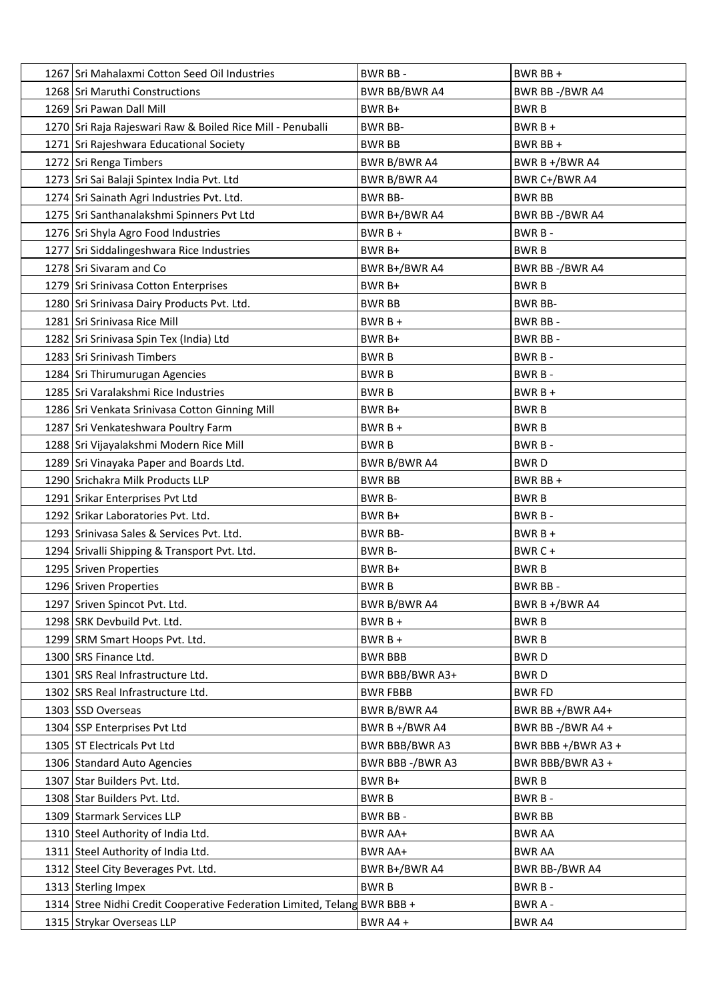| 1267   Sri Mahalaxmi Cotton Seed Oil Industries                          | BWR BB-              | BWR BB $+$            |
|--------------------------------------------------------------------------|----------------------|-----------------------|
| 1268 Sri Maruthi Constructions                                           | <b>BWR BB/BWR A4</b> | BWR BB-/BWR A4        |
| 1269 Sri Pawan Dall Mill                                                 | BWR B+               | <b>BWRB</b>           |
| 1270 Sri Raja Rajeswari Raw & Boiled Rice Mill - Penuballi               | <b>BWR BB-</b>       | $BWRB +$              |
| 1271 Sri Rajeshwara Educational Society                                  | <b>BWR BB</b>        | BWR BB +              |
| 1272 Sri Renga Timbers                                                   | BWR B/BWR A4         | BWR B +/BWR A4        |
| 1273 Sri Sai Balaji Spintex India Pvt. Ltd                               | BWR B/BWR A4         | BWR C+/BWR A4         |
| 1274 Sri Sainath Agri Industries Pvt. Ltd.                               | <b>BWR BB-</b>       | <b>BWR BB</b>         |
| 1275 Sri Santhanalakshmi Spinners Pvt Ltd                                | BWR B+/BWR A4        | BWR BB-/BWR A4        |
| 1276 Sri Shyla Agro Food Industries                                      | $BWRB +$             | BWR B-                |
| 1277 Sri Siddalingeshwara Rice Industries                                | BWR B+               | <b>BWRB</b>           |
| 1278 Sri Sivaram and Co                                                  | BWR B+/BWR A4        | <b>BWR BB-/BWR A4</b> |
| 1279 Sri Srinivasa Cotton Enterprises                                    | BWR B+               | <b>BWRB</b>           |
| 1280 Sri Srinivasa Dairy Products Pvt. Ltd.                              | <b>BWR BB</b>        | <b>BWR BB-</b>        |
| 1281 Sri Srinivasa Rice Mill                                             | $BWRB +$             | <b>BWR BB-</b>        |
| 1282 Sri Srinivasa Spin Tex (India) Ltd                                  | BWR B+               | BWR BB-               |
| 1283 Sri Srinivash Timbers                                               | <b>BWRB</b>          | BWR B-                |
| 1284 Sri Thirumurugan Agencies                                           | <b>BWRB</b>          | BWR B-                |
| 1285 Sri Varalakshmi Rice Industries                                     | <b>BWRB</b>          | $BWRB +$              |
| 1286 Sri Venkata Srinivasa Cotton Ginning Mill                           | BWR B+               | BWR B                 |
| 1287 Sri Venkateshwara Poultry Farm                                      | $BWRB+$              | <b>BWRB</b>           |
| 1288 Sri Vijayalakshmi Modern Rice Mill                                  | <b>BWRB</b>          | BWR B-                |
| 1289 Sri Vinayaka Paper and Boards Ltd.                                  | BWR B/BWR A4         | <b>BWRD</b>           |
| 1290 Srichakra Milk Products LLP                                         | <b>BWR BB</b>        | BWR BB +              |
| 1291 Srikar Enterprises Pvt Ltd                                          | BWR B-               | <b>BWRB</b>           |
| 1292 Srikar Laboratories Pvt. Ltd.                                       | BWR B+               | BWR B-                |
| 1293 Srinivasa Sales & Services Pvt. Ltd.                                | <b>BWR BB-</b>       | $BWRB +$              |
| 1294 Srivalli Shipping & Transport Pvt. Ltd.                             | BWR B-               | BWR C +               |
| 1295 Sriven Properties                                                   | BWR B+               | <b>BWRB</b>           |
| 1296 Sriven Properties                                                   | <b>BWRB</b>          | <b>BWR BB-</b>        |
| 1297 Sriven Spincot Pvt. Ltd.                                            | BWR B/BWR A4         | BWR B +/BWR A4        |
| 1298 SRK Devbuild Pvt. Ltd.                                              | $BWRB +$             | <b>BWRB</b>           |
| 1299 SRM Smart Hoops Pvt. Ltd.                                           | BWR B +              | <b>BWRB</b>           |
| 1300 SRS Finance Ltd.                                                    | <b>BWR BBB</b>       | <b>BWRD</b>           |
| 1301 SRS Real Infrastructure Ltd.                                        | BWR BBB/BWR A3+      | <b>BWRD</b>           |
| 1302 SRS Real Infrastructure Ltd.                                        | <b>BWR FBBB</b>      | <b>BWR FD</b>         |
| 1303 SSD Overseas                                                        | BWR B/BWR A4         | BWR BB $+/BWR$ A4+    |
| 1304 SSP Enterprises Pvt Ltd                                             | BWR B +/BWR A4       | BWR BB-/BWR A4+       |
| 1305 ST Electricals Pvt Ltd                                              | BWR BBB/BWR A3       | BWR BBB +/BWR A3 +    |
| 1306 Standard Auto Agencies                                              | BWR BBB-/BWR A3      | BWR BBB/BWR A3 +      |
| 1307 Star Builders Pvt. Ltd.                                             | BWR B+               | <b>BWRB</b>           |
| 1308 Star Builders Pvt. Ltd.                                             | <b>BWRB</b>          | BWR B-                |
| 1309 Starmark Services LLP                                               | BWR BB-              | <b>BWR BB</b>         |
| 1310 Steel Authority of India Ltd.                                       | BWR AA+              | <b>BWR AA</b>         |
| 1311 Steel Authority of India Ltd.                                       | BWR AA+              | <b>BWR AA</b>         |
| 1312 Steel City Beverages Pvt. Ltd.                                      | BWR B+/BWR A4        | BWR BB-/BWR A4        |
| 1313 Sterling Impex                                                      | <b>BWRB</b>          | BWR B-                |
| 1314 Stree Nidhi Credit Cooperative Federation Limited, Telang BWR BBB + |                      | BWR A -               |
| 1315 Strykar Overseas LLP                                                | BWR A4 +             | BWR A4                |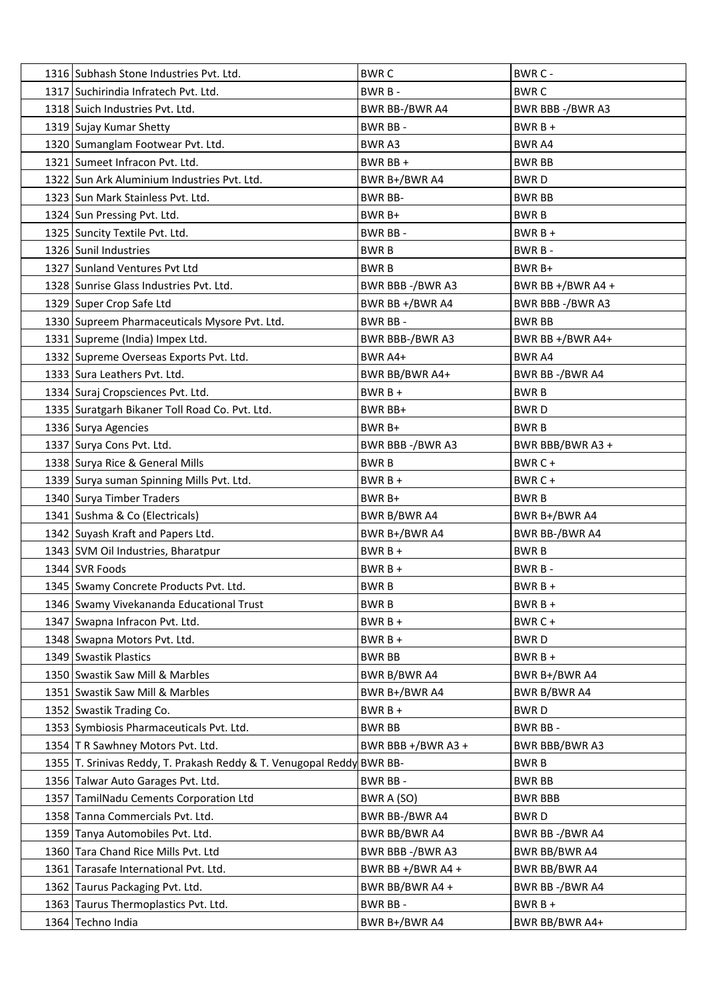| 1316 Subhash Stone Industries Pvt. Ltd.                               | <b>BWRC</b>          | BWR C -            |
|-----------------------------------------------------------------------|----------------------|--------------------|
| 1317 Suchirindia Infratech Pvt. Ltd.                                  | BWR B-               | <b>BWRC</b>        |
| 1318 Suich Industries Pvt. Ltd.                                       | BWR BB-/BWR A4       | BWR BBB-/BWR A3    |
| 1319 Sujay Kumar Shetty                                               | BWR BB-              | $BWRB +$           |
| 1320 Sumanglam Footwear Pvt. Ltd.                                     | BWR A3               | <b>BWR A4</b>      |
| 1321 Sumeet Infracon Pvt. Ltd.                                        | BWR BB +             | <b>BWR BB</b>      |
| 1322 Sun Ark Aluminium Industries Pvt. Ltd.                           | BWR B+/BWR A4        | <b>BWRD</b>        |
| 1323 Sun Mark Stainless Pvt. Ltd.                                     | <b>BWR BB-</b>       | <b>BWR BB</b>      |
| 1324 Sun Pressing Pvt. Ltd.                                           | BWR B+               | <b>BWRB</b>        |
| 1325 Suncity Textile Pvt. Ltd.                                        | BWR BB-              | $BWRB +$           |
| 1326 Sunil Industries                                                 | <b>BWRB</b>          | BWR B -            |
| 1327 Sunland Ventures Pvt Ltd                                         | <b>BWRB</b>          | BWR B+             |
| 1328 Sunrise Glass Industries Pvt. Ltd.                               | BWR BBB-/BWR A3      | BWR BB +/BWR A4 +  |
| 1329 Super Crop Safe Ltd                                              | BWR BB +/BWR A4      | BWR BBB -/BWR A3   |
| 1330 Supreem Pharmaceuticals Mysore Pvt. Ltd.                         | BWR BB-              | BWR BB             |
| 1331 Supreme (India) Impex Ltd.                                       | BWR BBB-/BWR A3      | BWR BB $+/BWR$ A4+ |
| 1332 Supreme Overseas Exports Pvt. Ltd.                               | BWR A4+              | <b>BWR A4</b>      |
| 1333 Sura Leathers Pvt. Ltd.                                          | BWR BB/BWR A4+       | BWR BB-/BWR A4     |
| 1334 Suraj Cropsciences Pvt. Ltd.                                     | $BWRB+$              | <b>BWRB</b>        |
| 1335 Suratgarh Bikaner Toll Road Co. Pvt. Ltd.                        | BWR BB+              | <b>BWRD</b>        |
| 1336 Surya Agencies                                                   | BWR B+               | <b>BWRB</b>        |
| 1337 Surya Cons Pvt. Ltd.                                             | BWR BBB-/BWR A3      | BWR BBB/BWR A3 +   |
| 1338 Surya Rice & General Mills                                       | <b>BWRB</b>          | BWR C +            |
| 1339 Surya suman Spinning Mills Pvt. Ltd.                             | $BWRB +$             | BWR C +            |
| 1340 Surya Timber Traders                                             | BWR B+               | <b>BWRB</b>        |
| 1341 Sushma & Co (Electricals)                                        | BWR B/BWR A4         | BWR B+/BWR A4      |
| 1342 Suyash Kraft and Papers Ltd.                                     | BWR B+/BWR A4        | BWR BB-/BWR A4     |
| 1343 SVM Oil Industries, Bharatpur                                    | $BWRB +$             | <b>BWRB</b>        |
| 1344 SVR Foods                                                        | $BWRB +$             | BWR B-             |
| 1345 Swamy Concrete Products Pvt. Ltd.                                | <b>BWRB</b>          | $BWRB +$           |
| 1346 Swamy Vivekananda Educational Trust                              | <b>BWRB</b>          | $BWRB +$           |
| 1347 Swapna Infracon Pvt. Ltd.                                        | $BWRB +$             | BWR C +            |
| 1348 Swapna Motors Pvt. Ltd.                                          | $BWRB +$             | <b>BWRD</b>        |
| 1349 Swastik Plastics                                                 | <b>BWR BB</b>        | $BWRB +$           |
| 1350 Swastik Saw Mill & Marbles                                       | <b>BWR B/BWR A4</b>  | BWR B+/BWR A4      |
| 1351 Swastik Saw Mill & Marbles                                       | BWR B+/BWR A4        | BWR B/BWR A4       |
| 1352 Swastik Trading Co.                                              | $BWRB +$             | <b>BWRD</b>        |
| 1353 Symbiosis Pharmaceuticals Pvt. Ltd.                              | <b>BWR BB</b>        | <b>BWR BB-</b>     |
| 1354 T R Sawhney Motors Pvt. Ltd.                                     | BWR BBB $+/BWR$ A3 + | BWR BBB/BWR A3     |
| 1355 T. Srinivas Reddy, T. Prakash Reddy & T. Venugopal Reddy BWR BB- |                      | BWR B              |
| 1356 Talwar Auto Garages Pvt. Ltd.                                    | BWR BB-              | BWR BB             |
| 1357 TamilNadu Cements Corporation Ltd                                | BWR A (SO)           | <b>BWR BBB</b>     |
| 1358 Tanna Commercials Pvt. Ltd.                                      | BWR BB-/BWR A4       | <b>BWRD</b>        |
| 1359 Tanya Automobiles Pvt. Ltd.                                      | BWR BB/BWR A4        | BWR BB-/BWR A4     |
| 1360 Tara Chand Rice Mills Pvt. Ltd                                   | BWR BBB-/BWR A3      | BWR BB/BWR A4      |
| 1361 Tarasafe International Pvt. Ltd.                                 | BWR BB $+/BWR$ A4 +  | BWR BB/BWR A4      |
| 1362 Taurus Packaging Pvt. Ltd.                                       | BWR BB/BWR A4 +      | BWR BB-/BWR A4     |
| 1363 Taurus Thermoplastics Pvt. Ltd.                                  | BWR BB-              | $BWRB +$           |
| 1364 Techno India                                                     | BWR B+/BWR A4        | BWR BB/BWR A4+     |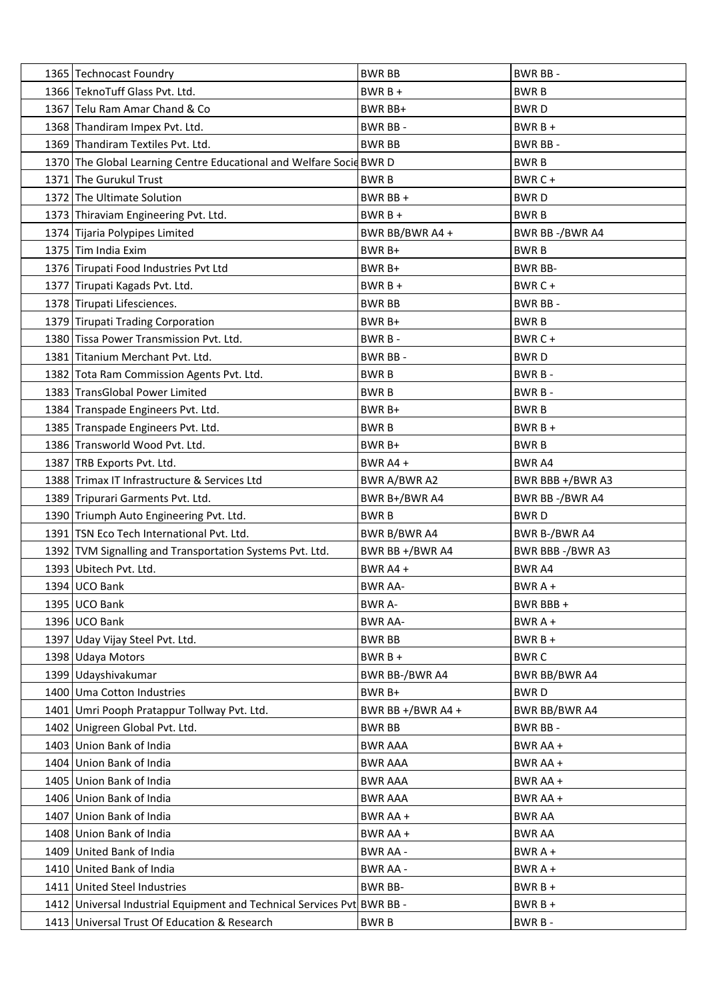| 1365 Technocast Foundry                                                 | <b>BWR BB</b>         | BWR BB-              |
|-------------------------------------------------------------------------|-----------------------|----------------------|
| 1366 TeknoTuff Glass Pvt. Ltd.                                          | $BWRB +$              | <b>BWRB</b>          |
| 1367 Telu Ram Amar Chand & Co                                           | BWR BB+               | <b>BWRD</b>          |
| 1368 Thandiram Impex Pvt. Ltd.                                          | <b>BWR BB-</b>        | $BWRB +$             |
| 1369 Thandiram Textiles Pvt. Ltd.                                       | <b>BWR BB</b>         | BWR BB-              |
| 1370 The Global Learning Centre Educational and Welfare Socid BWR D     |                       | <b>BWRB</b>          |
| 1371 The Gurukul Trust                                                  | <b>BWRB</b>           | BWR C +              |
| 1372 The Ultimate Solution                                              | BWR BB +              | <b>BWRD</b>          |
| 1373 Thiraviam Engineering Pvt. Ltd.                                    | $BWRB+$               | <b>BWRB</b>          |
| 1374 Tijaria Polypipes Limited                                          | BWR BB/BWR A4 +       | BWR BB-/BWR A4       |
| 1375 Tim India Exim                                                     | BWR B+                | <b>BWRB</b>          |
| 1376 Tirupati Food Industries Pvt Ltd                                   | BWR B+                | <b>BWR BB-</b>       |
| 1377 Tirupati Kagads Pvt. Ltd.                                          | $BWRB +$              | BWR C +              |
| 1378 Tirupati Lifesciences.                                             | <b>BWR BB</b>         | <b>BWR BB-</b>       |
| 1379 Tirupati Trading Corporation                                       | BWR B+                | <b>BWRB</b>          |
| 1380 Tissa Power Transmission Pvt. Ltd.                                 | BWR B-                | BWR C +              |
| 1381 Titanium Merchant Pvt. Ltd.                                        | BWR BB-               | <b>BWRD</b>          |
| 1382 Tota Ram Commission Agents Pvt. Ltd.                               | <b>BWRB</b>           | BWR B-               |
| 1383 TransGlobal Power Limited                                          | <b>BWRB</b>           | BWR B-               |
| 1384 Transpade Engineers Pvt. Ltd.                                      | BWR B+                | <b>BWRB</b>          |
| 1385 Transpade Engineers Pvt. Ltd.                                      | <b>BWRB</b>           | $BWRB+$              |
| 1386 Transworld Wood Pvt. Ltd.                                          | BWR B+                | <b>BWRB</b>          |
| 1387   TRB Exports Pvt. Ltd.                                            | BWR A4 +              | <b>BWR A4</b>        |
| 1388 Trimax IT Infrastructure & Services Ltd                            | BWR A/BWR A2          | BWR BBB +/BWR A3     |
| 1389 Tripurari Garments Pvt. Ltd.                                       | BWR B+/BWR A4         | BWR BB-/BWR A4       |
| 1390 Triumph Auto Engineering Pvt. Ltd.                                 | <b>BWRB</b>           | <b>BWRD</b>          |
| 1391 TSN Eco Tech International Pvt. Ltd.                               | <b>BWR B/BWR A4</b>   | BWR B-/BWR A4        |
| 1392 TVM Signalling and Transportation Systems Pvt. Ltd.                | BWR BB +/BWR A4       | BWR BBB-/BWR A3      |
| 1393 Ubitech Pvt. Ltd.                                                  | BWR A4 +              | BWR A4               |
| 1394 UCO Bank                                                           | <b>BWR AA-</b>        | $BWRA +$             |
| 1395 UCO Bank                                                           | <b>BWR A-</b>         | BWR BBB +            |
| 1396 UCO Bank                                                           | <b>BWR AA-</b>        | BWR A +              |
| 1397 Uday Vijay Steel Pvt. Ltd.                                         | <b>BWR BB</b>         | $BWRB +$             |
| 1398 Udaya Motors                                                       | $BWRB +$              | <b>BWRC</b>          |
| 1399 Udayshivakumar                                                     | <b>BWR BB-/BWR A4</b> | BWR BB/BWR A4        |
| 1400 Uma Cotton Industries                                              | BWR B+                | <b>BWRD</b>          |
| 1401 Umri Pooph Pratappur Tollway Pvt. Ltd.                             | BWR BB +/BWR A4 +     | <b>BWR BB/BWR A4</b> |
| 1402 Unigreen Global Pvt. Ltd.                                          | <b>BWR BB</b>         | <b>BWR BB-</b>       |
| 1403 Union Bank of India                                                | <b>BWR AAA</b>        | BWR AA +             |
| 1404 Union Bank of India                                                | <b>BWR AAA</b>        | BWR AA +             |
| 1405 Union Bank of India                                                | <b>BWR AAA</b>        | BWR AA +             |
| 1406 Union Bank of India                                                | <b>BWR AAA</b>        | BWR AA +             |
| 1407 Union Bank of India                                                | BWR AA +              | <b>BWR AA</b>        |
| 1408 Union Bank of India                                                | BWR AA +              | <b>BWR AA</b>        |
| 1409 United Bank of India                                               | <b>BWR AA -</b>       | BWR A +              |
| 1410 United Bank of India                                               | <b>BWR AA -</b>       | $BWRA +$             |
| 1411 United Steel Industries                                            | <b>BWR BB-</b>        | BWR B +              |
| 1412 Universal Industrial Equipment and Technical Services Pvt BWR BB - |                       | $BWRB +$             |
| 1413 Universal Trust Of Education & Research                            | <b>BWRB</b>           | BWR B-               |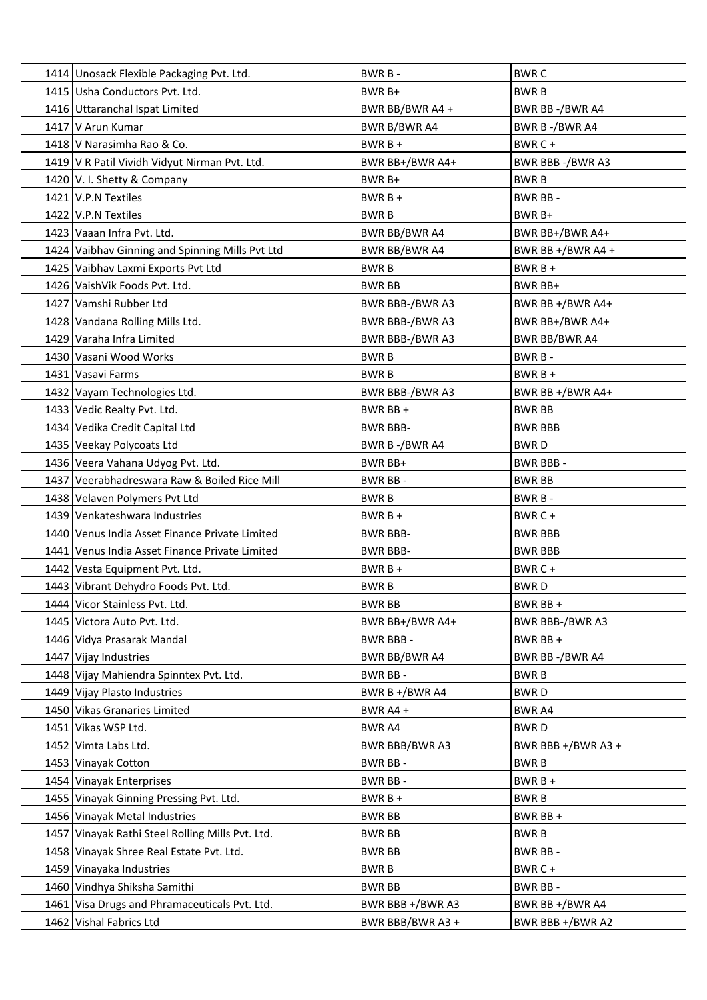| 1414 Unosack Flexible Packaging Pvt. Ltd.        | BWR B-                 | <b>BWRC</b>         |
|--------------------------------------------------|------------------------|---------------------|
| 1415 Usha Conductors Pvt. Ltd.                   | BWR B+                 | <b>BWRB</b>         |
| 1416 Uttaranchal Ispat Limited                   | BWR BB/BWR A4 +        | BWR BB-/BWR A4      |
| 1417 V Arun Kumar                                | BWR B/BWR A4           | BWR B-/BWR A4       |
| 1418 V Narasimha Rao & Co.                       | $BWRB +$               | $BWRC +$            |
| 1419 V R Patil Vividh Vidyut Nirman Pvt. Ltd.    | BWR BB+/BWR A4+        | BWR BBB-/BWR A3     |
| 1420 V. I. Shetty & Company                      | BWR B+                 | <b>BWRB</b>         |
| 1421 V.P.N Textiles                              | $BWRB+$                | BWR BB-             |
| 1422 V.P.N Textiles                              | <b>BWRB</b>            | BWR B+              |
| 1423 Vaaan Infra Pvt. Ltd.                       | <b>BWR BB/BWR A4</b>   | BWR BB+/BWR A4+     |
| 1424 Vaibhav Ginning and Spinning Mills Pvt Ltd  | BWR BB/BWR A4          | BWR BB $+/BWR$ A4 + |
| 1425 Vaibhav Laxmi Exports Pvt Ltd               | <b>BWRB</b>            | $BWRB +$            |
| 1426 VaishVik Foods Pvt. Ltd.                    | <b>BWR BB</b>          | BWR BB+             |
| 1427 Vamshi Rubber Ltd                           | BWR BBB-/BWR A3        | BWR BB +/BWR A4+    |
| 1428 Vandana Rolling Mills Ltd.                  | <b>BWR BBB-/BWR A3</b> | BWR BB+/BWR A4+     |
| 1429 Varaha Infra Limited                        | BWR BBB-/BWR A3        | BWR BB/BWR A4       |
| 1430 Vasani Wood Works                           | <b>BWRB</b>            | BWR B-              |
| 1431 Vasavi Farms                                | <b>BWRB</b>            | $BWRB +$            |
| 1432 Vayam Technologies Ltd.                     | BWR BBB-/BWR A3        | BWR BB +/BWR A4+    |
| 1433 Vedic Realty Pvt. Ltd.                      | BWR BB +               | <b>BWR BB</b>       |
| 1434 Vedika Credit Capital Ltd                   | <b>BWR BBB-</b>        | <b>BWR BBB</b>      |
| 1435 Veekay Polycoats Ltd                        | BWR B-/BWR A4          | <b>BWRD</b>         |
| 1436 Veera Vahana Udyog Pvt. Ltd.                | BWR BB+                | <b>BWR BBB-</b>     |
| 1437 Veerabhadreswara Raw & Boiled Rice Mill     | BWR BB-                | <b>BWR BB</b>       |
| 1438 Velaven Polymers Pvt Ltd                    | <b>BWRB</b>            | BWR B-              |
| 1439 Venkateshwara Industries                    | $BWRB+$                | BWR C +             |
| 1440 Venus India Asset Finance Private Limited   | <b>BWR BBB-</b>        | <b>BWR BBB</b>      |
| 1441   Venus India Asset Finance Private Limited | <b>BWR BBB-</b>        | <b>BWR BBB</b>      |
| 1442 Vesta Equipment Pvt. Ltd.                   | $BWRB +$               | BWR C +             |
| 1443 Vibrant Dehydro Foods Pvt. Ltd.             | <b>BWRB</b>            | <b>BWRD</b>         |
| 1444 Vicor Stainless Pvt. Ltd.                   | <b>BWR BB</b>          | BWR BB +            |
| 1445 Victora Auto Pvt. Ltd.                      | BWR BB+/BWR A4+        | BWR BBB-/BWR A3     |
| 1446 Vidya Prasarak Mandal                       | <b>BWR BBB-</b>        | BWR BB +            |
| 1447 Vijay Industries                            | BWR BB/BWR A4          | BWR BB-/BWR A4      |
| 1448 Vijay Mahiendra Spinntex Pvt. Ltd.          | BWR BB-                | <b>BWRB</b>         |
| 1449 Vijay Plasto Industries                     | BWR B $+/BWR$ A4       | <b>BWRD</b>         |
| 1450 Vikas Granaries Limited                     | BWR A4 +               | BWR A4              |
| 1451   Vikas WSP Ltd.                            | BWR A4                 | <b>BWRD</b>         |
| 1452 Vimta Labs Ltd.                             | BWR BBB/BWR A3         | BWR BBB +/BWR A3 +  |
| 1453 Vinayak Cotton                              | BWR BB-                | BWR B               |
| 1454 Vinayak Enterprises                         | BWR BB-                | $BWRB +$            |
| 1455 Vinayak Ginning Pressing Pvt. Ltd.          | $BWRB +$               | <b>BWRB</b>         |
| 1456 Vinayak Metal Industries                    | <b>BWR BB</b>          | BWR BB +            |
| 1457 Vinayak Rathi Steel Rolling Mills Pvt. Ltd. | <b>BWR BB</b>          | BWR B               |
| 1458 Vinayak Shree Real Estate Pvt. Ltd.         | BWR BB                 | BWR BB -            |
| 1459 Vinayaka Industries                         | <b>BWRB</b>            | BWR C +             |
| 1460 Vindhya Shiksha Samithi                     | <b>BWR BB</b>          | BWR BB -            |
| 1461 Visa Drugs and Phramaceuticals Pvt. Ltd.    | BWR BBB +/BWR A3       | BWR BB +/BWR A4     |
| 1462 Vishal Fabrics Ltd                          | BWR BBB/BWR A3 +       | BWR BBB +/BWR A2    |